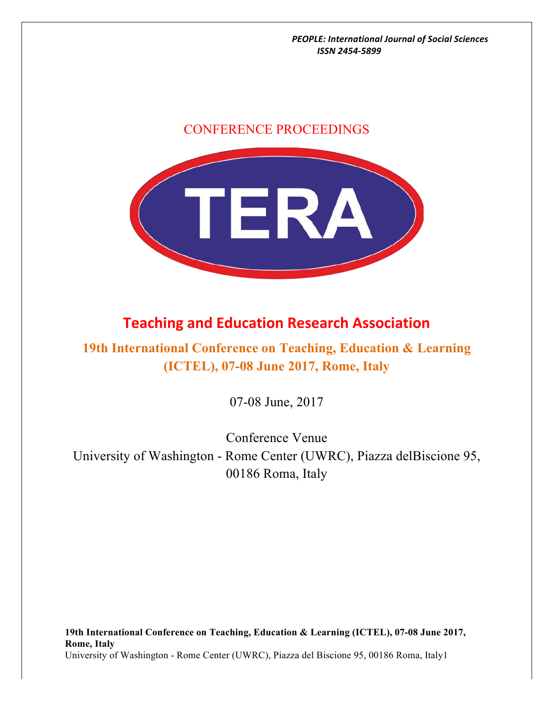# CONFERENCE PROCEEDINGS



# **Teaching and Education Research Association**

# **19th International Conference on Teaching, Education & Learning (ICTEL), 07-08 June 2017, Rome, Italy**

07-08 June, 2017

Conference Venue University of Washington - Rome Center (UWRC), Piazza delBiscione 95, 00186 Roma, Italy

**19th International Conference on Teaching, Education & Learning (ICTEL), 07-08 June 2017, Rome, Italy** University of Washington - Rome Center (UWRC), Piazza del Biscione 95, 00186 Roma, Italy1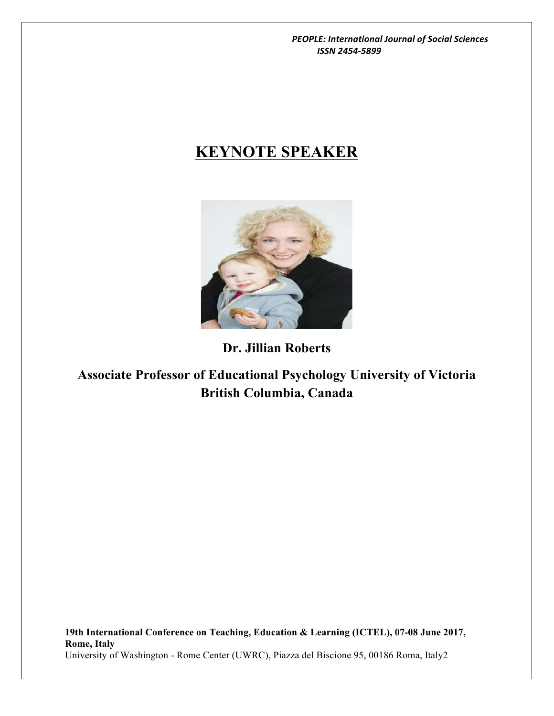# **KEYNOTE SPEAKER**



# **Dr. Jillian Roberts**

# **Associate Professor of Educational Psychology University of Victoria British Columbia, Canada**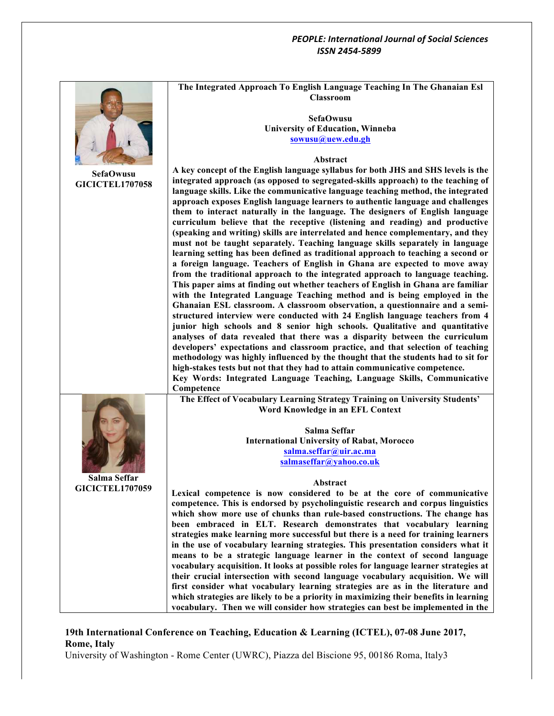

## **19th International Conference on Teaching, Education & Learning (ICTEL), 07-08 June 2017, Rome, Italy**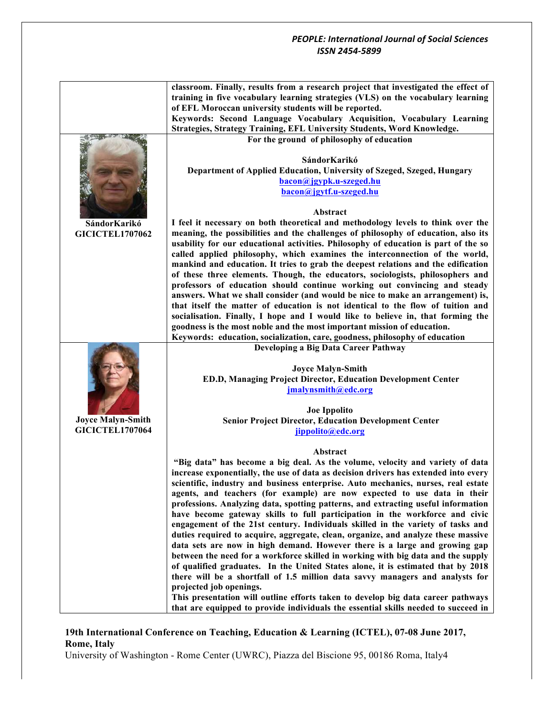|                          | classroom. Finally, results from a research project that investigated the effect of                                                                                    |
|--------------------------|------------------------------------------------------------------------------------------------------------------------------------------------------------------------|
|                          | training in five vocabulary learning strategies (VLS) on the vocabulary learning                                                                                       |
|                          | of EFL Moroccan university students will be reported.                                                                                                                  |
|                          | Keywords: Second Language Vocabulary Acquisition, Vocabulary Learning                                                                                                  |
|                          | Strategies, Strategy Training, EFL University Students, Word Knowledge.                                                                                                |
|                          | For the ground of philosophy of education                                                                                                                              |
|                          |                                                                                                                                                                        |
|                          | SándorKarikó                                                                                                                                                           |
|                          |                                                                                                                                                                        |
|                          | Department of Applied Education, University of Szeged, Szeged, Hungary                                                                                                 |
|                          | bacon@jgypk.u-szeged.hu                                                                                                                                                |
|                          | bacon@jgytf.u-szeged.hu                                                                                                                                                |
|                          |                                                                                                                                                                        |
|                          | Abstract                                                                                                                                                               |
| SándorKarikó             | I feel it necessary on both theoretical and methodology levels to think over the                                                                                       |
| <b>GICICTEL1707062</b>   | meaning, the possibilities and the challenges of philosophy of education, also its                                                                                     |
|                          | usability for our educational activities. Philosophy of education is part of the so                                                                                    |
|                          | called applied philosophy, which examines the interconnection of the world,                                                                                            |
|                          | mankind and education. It tries to grab the deepest relations and the edification                                                                                      |
|                          | of these three elements. Though, the educators, sociologists, philosophers and                                                                                         |
|                          | professors of education should continue working out convincing and steady                                                                                              |
|                          | answers. What we shall consider (and would be nice to make an arrangement) is,                                                                                         |
|                          | that itself the matter of education is not identical to the flow of tuition and                                                                                        |
|                          | socialisation. Finally, I hope and I would like to believe in, that forming the                                                                                        |
|                          | goodness is the most noble and the most important mission of education.                                                                                                |
|                          | Keywords: education, socialization, care, goodness, philosophy of education                                                                                            |
|                          |                                                                                                                                                                        |
|                          | Developing a Big Data Career Pathway                                                                                                                                   |
|                          |                                                                                                                                                                        |
|                          | <b>Joyce Malyn-Smith</b>                                                                                                                                               |
|                          | ED.D, Managing Project Director, Education Development Center                                                                                                          |
|                          | jmalynsmith@edc.org                                                                                                                                                    |
|                          |                                                                                                                                                                        |
|                          | <b>Joe Ippolito</b>                                                                                                                                                    |
| <b>Joyce Malyn-Smith</b> | <b>Senior Project Director, Education Development Center</b>                                                                                                           |
| <b>GICICTEL1707064</b>   | jippolito@edc.org                                                                                                                                                      |
|                          |                                                                                                                                                                        |
|                          | Abstract                                                                                                                                                               |
|                          | "Big data" has become a big deal. As the volume, velocity and variety of data                                                                                          |
|                          | increase exponentially, the use of data as decision drivers has extended into every                                                                                    |
|                          | scientific, industry and business enterprise. Auto mechanics, nurses, real estate                                                                                      |
|                          | agents, and teachers (for example) are now expected to use data in their                                                                                               |
|                          | professions. Analyzing data, spotting patterns, and extracting useful information                                                                                      |
|                          | have become gateway skills to full participation in the workforce and civic                                                                                            |
|                          | engagement of the 21st century. Individuals skilled in the variety of tasks and                                                                                        |
|                          | duties required to acquire, aggregate, clean, organize, and analyze these massive                                                                                      |
|                          | data sets are now in high demand. However there is a large and growing gap                                                                                             |
|                          | between the need for a workforce skilled in working with big data and the supply                                                                                       |
|                          | of qualified graduates. In the United States alone, it is estimated that by 2018                                                                                       |
|                          | there will be a shortfall of 1.5 million data savvy managers and analysts for                                                                                          |
|                          | projected job openings.                                                                                                                                                |
|                          | This presentation will outline efforts taken to develop big data career pathways<br>that are equipped to provide individuals the essential skills needed to succeed in |

# **19th International Conference on Teaching, Education & Learning (ICTEL), 07-08 June 2017, Rome, Italy**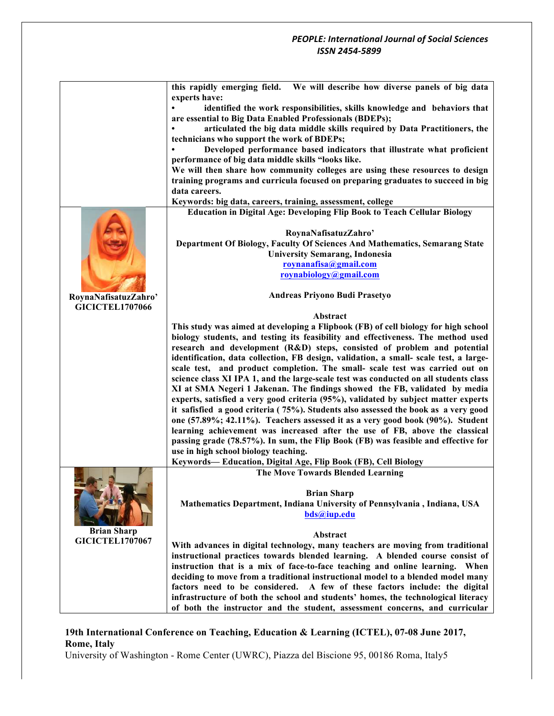| this rapidly emerging field.<br>We will describe how diverse panels of big data<br>experts have:<br>identified the work responsibilities, skills knowledge and behaviors that<br>are essential to Big Data Enabled Professionals (BDEPs);<br>articulated the big data middle skills required by Data Practitioners, the<br>technicians who support the work of BDEPs; |
|-----------------------------------------------------------------------------------------------------------------------------------------------------------------------------------------------------------------------------------------------------------------------------------------------------------------------------------------------------------------------|
|                                                                                                                                                                                                                                                                                                                                                                       |
|                                                                                                                                                                                                                                                                                                                                                                       |
|                                                                                                                                                                                                                                                                                                                                                                       |
|                                                                                                                                                                                                                                                                                                                                                                       |
|                                                                                                                                                                                                                                                                                                                                                                       |
|                                                                                                                                                                                                                                                                                                                                                                       |
| Developed performance based indicators that illustrate what proficient                                                                                                                                                                                                                                                                                                |
| performance of big data middle skills "looks like.                                                                                                                                                                                                                                                                                                                    |
| We will then share how community colleges are using these resources to design                                                                                                                                                                                                                                                                                         |
| training programs and curricula focused on preparing graduates to succeed in big                                                                                                                                                                                                                                                                                      |
| data careers.                                                                                                                                                                                                                                                                                                                                                         |
| Keywords: big data, careers, training, assessment, college                                                                                                                                                                                                                                                                                                            |
| <b>Education in Digital Age: Developing Flip Book to Teach Cellular Biology</b>                                                                                                                                                                                                                                                                                       |
|                                                                                                                                                                                                                                                                                                                                                                       |
| RoynaNafisatuzZahro'                                                                                                                                                                                                                                                                                                                                                  |
| Department Of Biology, Faculty Of Sciences And Mathematics, Semarang State                                                                                                                                                                                                                                                                                            |
| <b>University Semarang, Indonesia</b>                                                                                                                                                                                                                                                                                                                                 |
| roynanafisa@gmail.com                                                                                                                                                                                                                                                                                                                                                 |
| roynabiology@gmail.com                                                                                                                                                                                                                                                                                                                                                |
| Andreas Priyono Budi Prasetyo                                                                                                                                                                                                                                                                                                                                         |
| RoynaNafisatuzZahro'<br><b>GICICTEL1707066</b>                                                                                                                                                                                                                                                                                                                        |
| Abstract                                                                                                                                                                                                                                                                                                                                                              |
| This study was aimed at developing a Flipbook (FB) of cell biology for high school                                                                                                                                                                                                                                                                                    |
| biology students, and testing its feasibility and effectiveness. The method used                                                                                                                                                                                                                                                                                      |
| research and development (R&D) steps, consisted of problem and potential                                                                                                                                                                                                                                                                                              |
| identification, data collection, FB design, validation, a small- scale test, a large-                                                                                                                                                                                                                                                                                 |
| scale test, and product completion. The small- scale test was carried out on                                                                                                                                                                                                                                                                                          |
| science class XI IPA 1, and the large-scale test was conducted on all students class                                                                                                                                                                                                                                                                                  |
| XI at SMA Negeri 1 Jakenan. The findings showed the FB, validated by media                                                                                                                                                                                                                                                                                            |
| experts, satisfied a very good criteria (95%), validated by subject matter experts                                                                                                                                                                                                                                                                                    |
| it safisfied a good criteria (75%). Students also assessed the book as a very good                                                                                                                                                                                                                                                                                    |
| one (57.89%; 42.11%). Teachers assessed it as a very good book (90%). Student                                                                                                                                                                                                                                                                                         |
| learning achievement was increased after the use of FB, above the classical                                                                                                                                                                                                                                                                                           |
| passing grade (78.57%). In sum, the Flip Book (FB) was feasible and effective for                                                                                                                                                                                                                                                                                     |
| use in high school biology teaching.                                                                                                                                                                                                                                                                                                                                  |
| Keywords-Education, Digital Age, Flip Book (FB), Cell Biology                                                                                                                                                                                                                                                                                                         |
| The Move Towards Blended Learning                                                                                                                                                                                                                                                                                                                                     |
|                                                                                                                                                                                                                                                                                                                                                                       |
| <b>Brian Sharp</b>                                                                                                                                                                                                                                                                                                                                                    |
| Mathematics Department, Indiana University of Pennsylvania, Indiana, USA                                                                                                                                                                                                                                                                                              |
| bds@iup.edu                                                                                                                                                                                                                                                                                                                                                           |
| <b>Brian Sharp</b><br>Abstract                                                                                                                                                                                                                                                                                                                                        |
| <b>GICICTEL1707067</b><br>With advances in digital technology, many teachers are moving from traditional                                                                                                                                                                                                                                                              |
| instructional practices towards blended learning. A blended course consist of                                                                                                                                                                                                                                                                                         |
| instruction that is a mix of face-to-face teaching and online learning. When                                                                                                                                                                                                                                                                                          |
| deciding to move from a traditional instructional model to a blended model many                                                                                                                                                                                                                                                                                       |
| factors need to be considered. A few of these factors include: the digital                                                                                                                                                                                                                                                                                            |
| infrastructure of both the school and students' homes, the technological literacy                                                                                                                                                                                                                                                                                     |
| of both the instructor and the student, assessment concerns, and curricular                                                                                                                                                                                                                                                                                           |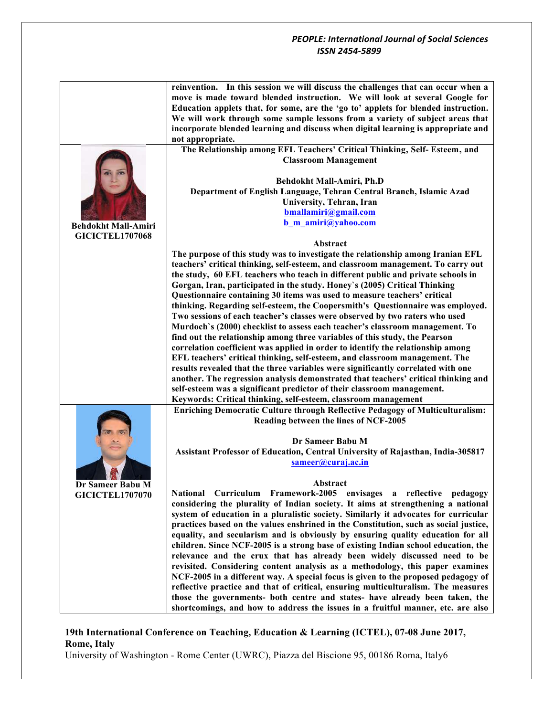|                            | reinvention. In this session we will discuss the challenges that can occur when a    |
|----------------------------|--------------------------------------------------------------------------------------|
|                            | move is made toward blended instruction. We will look at several Google for          |
|                            | Education applets that, for some, are the 'go to' applets for blended instruction.   |
|                            |                                                                                      |
|                            | We will work through some sample lessons from a variety of subject areas that        |
|                            | incorporate blended learning and discuss when digital learning is appropriate and    |
|                            | not appropriate.                                                                     |
|                            | The Relationship among EFL Teachers' Critical Thinking, Self- Esteem, and            |
|                            | <b>Classroom Management</b>                                                          |
|                            |                                                                                      |
|                            | Behdokht Mall-Amiri, Ph.D                                                            |
|                            |                                                                                      |
|                            | Department of English Language, Tehran Central Branch, Islamic Azad                  |
|                            | University, Tehran, Iran                                                             |
|                            | bmallamiri@gmail.com                                                                 |
| <b>Behdokht Mall-Amiri</b> | b m amiri@yahoo.com                                                                  |
| <b>GICICTEL1707068</b>     |                                                                                      |
|                            | Abstract                                                                             |
|                            | The purpose of this study was to investigate the relationship among Iranian EFL      |
|                            |                                                                                      |
|                            | teachers' critical thinking, self-esteem, and classroom management. To carry out     |
|                            | the study, 60 EFL teachers who teach in different public and private schools in      |
|                            | Gorgan, Iran, participated in the study. Honey's (2005) Critical Thinking            |
|                            | Questionnaire containing 30 items was used to measure teachers' critical             |
|                            | thinking. Regarding self-esteem, the Coopersmith's Questionnaire was employed.       |
|                            | Two sessions of each teacher's classes were observed by two raters who used          |
|                            | Murdoch's (2000) checklist to assess each teacher's classroom management. To         |
|                            | find out the relationship among three variables of this study, the Pearson           |
|                            |                                                                                      |
|                            | correlation coefficient was applied in order to identify the relationship among      |
|                            | EFL teachers' critical thinking, self-esteem, and classroom management. The          |
|                            | results revealed that the three variables were significantly correlated with one     |
|                            | another. The regression analysis demonstrated that teachers' critical thinking and   |
|                            | self-esteem was a significant predictor of their classroom management.               |
|                            | Keywords: Critical thinking, self-esteem, classroom management                       |
|                            | Enriching Democratic Culture through Reflective Pedagogy of Multiculturalism:        |
|                            | Reading between the lines of NCF-2005                                                |
|                            |                                                                                      |
|                            |                                                                                      |
|                            | Dr Sameer Babu M                                                                     |
|                            | Assistant Professor of Education, Central University of Rajasthan, India-305817      |
|                            | sameer@curaj.ac.in                                                                   |
|                            |                                                                                      |
|                            | Abstract                                                                             |
| Dr Sameer Babu M           | National Curriculum Framework-2005 envisages a reflective pedagogy                   |
| <b>GICICTEL1707070</b>     | considering the plurality of Indian society. It aims at strengthening a national     |
|                            |                                                                                      |
|                            | system of education in a pluralistic society. Similarly it advocates for curricular  |
|                            | practices based on the values enshrined in the Constitution, such as social justice, |
|                            | equality, and secularism and is obviously by ensuring quality education for all      |
|                            | children. Since NCF-2005 is a strong base of existing Indian school education, the   |
|                            | relevance and the crux that has already been widely discussed need to be             |
|                            | revisited. Considering content analysis as a methodology, this paper examines        |
|                            | NCF-2005 in a different way. A special focus is given to the proposed pedagogy of    |
|                            | reflective practice and that of critical, ensuring multiculturalism. The measures    |
|                            |                                                                                      |
|                            | those the governments- both centre and states- have already been taken, the          |
|                            | shortcomings, and how to address the issues in a fruitful manner, etc. are also      |

# **19th International Conference on Teaching, Education & Learning (ICTEL), 07-08 June 2017, Rome, Italy**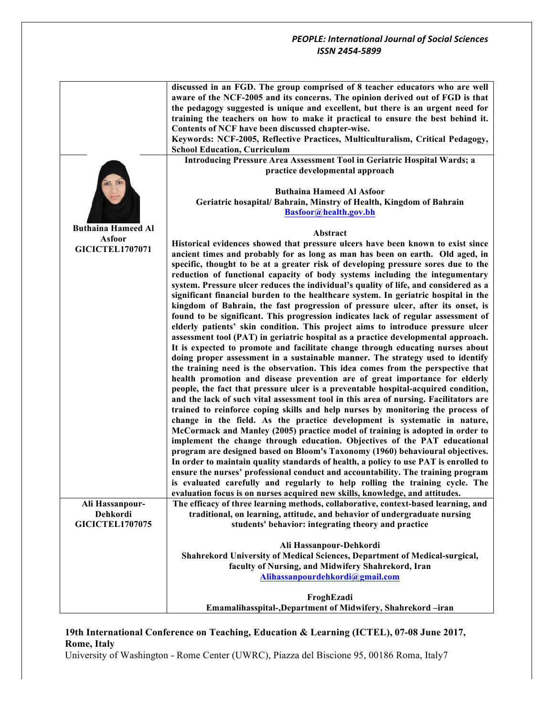|                           | discussed in an FGD. The group comprised of 8 teacher educators who are well<br>aware of the NCF-2005 and its concerns. The opinion derived out of FGD is that       |
|---------------------------|----------------------------------------------------------------------------------------------------------------------------------------------------------------------|
|                           | the pedagogy suggested is unique and excellent, but there is an urgent need for                                                                                      |
|                           | training the teachers on how to make it practical to ensure the best behind it.                                                                                      |
|                           | Contents of NCF have been discussed chapter-wise.                                                                                                                    |
|                           | Keywords: NCF-2005, Reflective Practices, Multiculturalism, Critical Pedagogy,                                                                                       |
|                           | <b>School Education, Curriculum</b><br>Introducing Pressure Area Assessment Tool in Geriatric Hospital Wards; a                                                      |
|                           | practice developmental approach                                                                                                                                      |
|                           | <b>Buthaina Hameed Al Asfoor</b><br>Geriatric hosapital/ Bahrain, Minstry of Health, Kingdom of Bahrain<br>Basfoor@health.gov.bh                                     |
| <b>Buthaina Hameed Al</b> | Abstract                                                                                                                                                             |
| <b>Asfoor</b>             | Historical evidences showed that pressure ulcers have been known to exist since                                                                                      |
| <b>GICICTEL1707071</b>    | ancient times and probably for as long as man has been on earth. Old aged, in                                                                                        |
|                           | specific, thought to be at a greater risk of developing pressure sores due to the                                                                                    |
|                           | reduction of functional capacity of body systems including the integumentary                                                                                         |
|                           | system. Pressure ulcer reduces the individual's quality of life, and considered as a                                                                                 |
|                           | significant financial burden to the healthcare system. In geriatric hospital in the                                                                                  |
|                           | kingdom of Bahrain, the fast progression of pressure ulcer, after its onset, is                                                                                      |
|                           | found to be significant. This progression indicates lack of regular assessment of                                                                                    |
|                           | elderly patients' skin condition. This project aims to introduce pressure ulcer<br>assessment tool (PAT) in geriatric hospital as a practice developmental approach. |
|                           | It is expected to promote and facilitate change through educating nurses about                                                                                       |
|                           | doing proper assessment in a sustainable manner. The strategy used to identify                                                                                       |
|                           | the training need is the observation. This idea comes from the perspective that                                                                                      |
|                           | health promotion and disease prevention are of great importance for elderly                                                                                          |
|                           | people, the fact that pressure ulcer is a preventable hospital-acquired condition,                                                                                   |
|                           | and the lack of such vital assessment tool in this area of nursing. Facilitators are                                                                                 |
|                           | trained to reinforce coping skills and help nurses by monitoring the process of                                                                                      |
|                           | change in the field. As the practice development is systematic in nature,                                                                                            |
|                           | McCormack and Manley (2005) practice model of training is adopted in order to                                                                                        |
|                           | implement the change through education. Objectives of the PAT educational                                                                                            |
|                           | program are designed based on Bloom's Taxonomy (1960) behavioural objectives.                                                                                        |
|                           | In order to maintain quality standards of health, a policy to use PAT is enrolled to                                                                                 |
|                           | ensure the nurses' professional conduct and accountability. The training program                                                                                     |
|                           | is evaluated carefully and regularly to help rolling the training cycle. The                                                                                         |
| Ali Hassanpour-           | evaluation focus is on nurses acquired new skills, knowledge, and attitudes.<br>The efficacy of three learning methods, collaborative, context-based learning, and   |
| Dehkordi                  | traditional, on learning, attitude, and behavior of undergraduate nursing                                                                                            |
| <b>GICICTEL1707075</b>    | students' behavior: integrating theory and practice                                                                                                                  |
|                           |                                                                                                                                                                      |
|                           | Ali Hassanpour-Dehkordi                                                                                                                                              |
|                           | Shahrekord University of Medical Sciences, Department of Medical-surgical,                                                                                           |
|                           | faculty of Nursing, and Midwifery Shahrekord, Iran                                                                                                                   |
|                           | Alihassanpourdehkordi@gmail.com                                                                                                                                      |
|                           |                                                                                                                                                                      |
|                           | FroghEzadi                                                                                                                                                           |
|                           | Emamalihasspital-, Department of Midwifery, Shahrekord-iran                                                                                                          |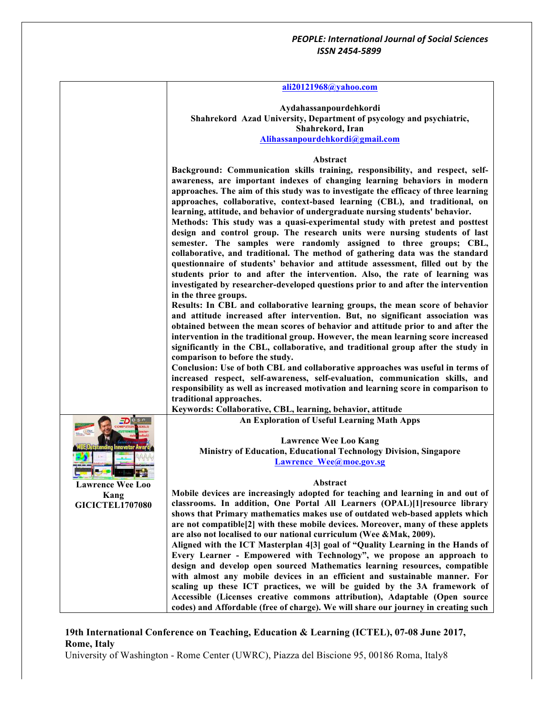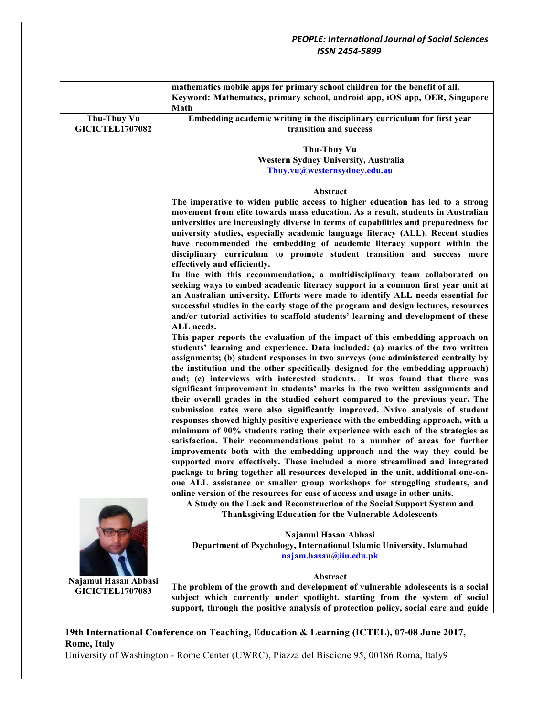|                        | mathematics mobile apps for primary school children for the benefit of all.<br>Keyword: Mathematics, primary school, android app, iOS app, OER, Singapore<br>Math |
|------------------------|-------------------------------------------------------------------------------------------------------------------------------------------------------------------|
| <b>Thu-Thuy Vu</b>     | Embedding academic writing in the disciplinary curriculum for first year                                                                                          |
| <b>GICICTEL1707082</b> | transition and success                                                                                                                                            |
|                        |                                                                                                                                                                   |
|                        | <b>Thu-Thuy Vu</b>                                                                                                                                                |
|                        | Western Sydney University, Australia                                                                                                                              |
|                        | Thuy.vu@westernsydney.edu.au                                                                                                                                      |
|                        |                                                                                                                                                                   |
|                        | Abstract                                                                                                                                                          |
|                        | The imperative to widen public access to higher education has led to a strong                                                                                     |
|                        | movement from elite towards mass education. As a result, students in Australian                                                                                   |
|                        |                                                                                                                                                                   |
|                        | universities are increasingly diverse in terms of capabilities and preparedness for                                                                               |
|                        | university studies, especially academic language literacy (ALL). Recent studies                                                                                   |
|                        | have recommended the embedding of academic literacy support within the                                                                                            |
|                        | disciplinary curriculum to promote student transition and success more                                                                                            |
|                        | effectively and efficiently.                                                                                                                                      |
|                        | In line with this recommendation, a multidisciplinary team collaborated on                                                                                        |
|                        | seeking ways to embed academic literacy support in a common first year unit at                                                                                    |
|                        | an Australian university. Efforts were made to identify ALL needs essential for                                                                                   |
|                        | successful studies in the early stage of the program and design lectures, resources                                                                               |
|                        | and/or tutorial activities to scaffold students' learning and development of these                                                                                |
|                        | ALL needs.                                                                                                                                                        |
|                        | This paper reports the evaluation of the impact of this embedding approach on                                                                                     |
|                        | students' learning and experience. Data included: (a) marks of the two written                                                                                    |
|                        | assignments; (b) student responses in two surveys (one administered centrally by                                                                                  |
|                        | the institution and the other specifically designed for the embedding approach)                                                                                   |
|                        | and; (c) interviews with interested students. It was found that there was                                                                                         |
|                        | significant improvement in students' marks in the two written assignments and                                                                                     |
|                        | their overall grades in the studied cohort compared to the previous year. The                                                                                     |
|                        |                                                                                                                                                                   |
|                        | submission rates were also significantly improved. Nvivo analysis of student                                                                                      |
|                        | responses showed highly positive experience with the embedding approach, with a                                                                                   |
|                        | minimum of 90% students rating their experience with each of the strategies as                                                                                    |
|                        | satisfaction. Their recommendations point to a number of areas for further                                                                                        |
|                        | improvements both with the embedding approach and the way they could be                                                                                           |
|                        | supported more effectively. These included a more streamlined and integrated                                                                                      |
|                        | package to bring together all resources developed in the unit, additional one-on-                                                                                 |
|                        | one ALL assistance or smaller group workshops for struggling students, and                                                                                        |
|                        | online version of the resources for ease of access and usage in other units.                                                                                      |
|                        | A Study on the Lack and Reconstruction of the Social Support System and                                                                                           |
|                        | <b>Thanksgiving Education for the Vulnerable Adolescents</b>                                                                                                      |
|                        |                                                                                                                                                                   |
|                        | Najamul Hasan Abbasi                                                                                                                                              |
|                        | Department of Psychology, International Islamic University, Islamabad                                                                                             |
|                        | najam.hasan@iiu.edu.pk                                                                                                                                            |
|                        |                                                                                                                                                                   |
|                        | Abstract                                                                                                                                                          |
| Najamul Hasan Abbasi   | The problem of the growth and development of vulnerable adolescents is a social                                                                                   |
| <b>GICICTEL1707083</b> | subject which currently under spotlight. starting from the system of social                                                                                       |
|                        | support, through the positive analysis of protection policy, social care and guide                                                                                |

# **19th International Conference on Teaching, Education & Learning (ICTEL), 07-08 June 2017, Rome, Italy**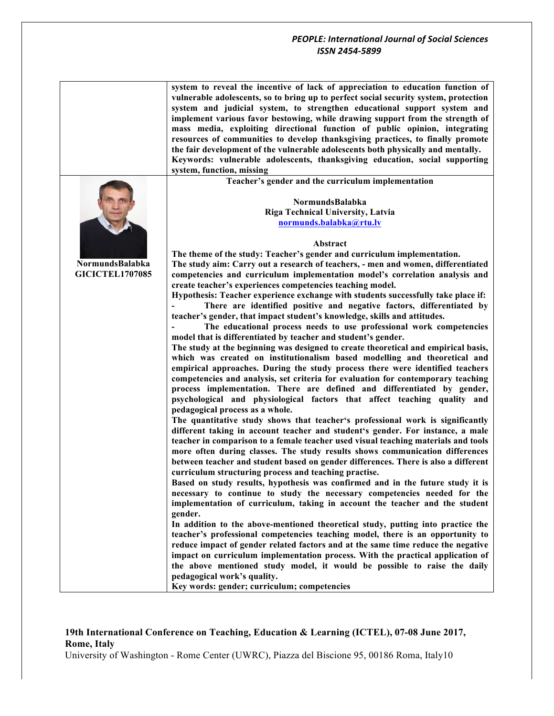|                        | system to reveal the incentive of lack of appreciation to education function of<br>vulnerable adolescents, so to bring up to perfect social security system, protection<br>system and judicial system, to strengthen educational support system and<br>implement various favor bestowing, while drawing support from the strength of<br>mass media, exploiting directional function of public opinion, integrating<br>resources of communities to develop thanksgiving practices, to finally promote<br>the fair development of the vulnerable adolescents both physically and mentally.<br>Keywords: vulnerable adolescents, thanksgiving education, social supporting<br>system, function, missing |
|------------------------|------------------------------------------------------------------------------------------------------------------------------------------------------------------------------------------------------------------------------------------------------------------------------------------------------------------------------------------------------------------------------------------------------------------------------------------------------------------------------------------------------------------------------------------------------------------------------------------------------------------------------------------------------------------------------------------------------|
|                        | Teacher's gender and the curriculum implementation                                                                                                                                                                                                                                                                                                                                                                                                                                                                                                                                                                                                                                                   |
|                        | NormundsBalabka<br>Riga Technical University, Latvia<br>normunds.balabka@rtu.lv                                                                                                                                                                                                                                                                                                                                                                                                                                                                                                                                                                                                                      |
|                        | Abstract                                                                                                                                                                                                                                                                                                                                                                                                                                                                                                                                                                                                                                                                                             |
|                        | The theme of the study: Teacher's gender and curriculum implementation.                                                                                                                                                                                                                                                                                                                                                                                                                                                                                                                                                                                                                              |
| NormundsBalabka        | The study aim: Carry out a research of teachers, - men and women, differentiated                                                                                                                                                                                                                                                                                                                                                                                                                                                                                                                                                                                                                     |
| <b>GICICTEL1707085</b> | competencies and curriculum implementation model's correlation analysis and                                                                                                                                                                                                                                                                                                                                                                                                                                                                                                                                                                                                                          |
|                        | create teacher's experiences competencies teaching model.                                                                                                                                                                                                                                                                                                                                                                                                                                                                                                                                                                                                                                            |
|                        | Hypothesis: Teacher experience exchange with students successfully take place if:                                                                                                                                                                                                                                                                                                                                                                                                                                                                                                                                                                                                                    |
|                        | There are identified positive and negative factors, differentiated by                                                                                                                                                                                                                                                                                                                                                                                                                                                                                                                                                                                                                                |
|                        | teacher's gender, that impact student's knowledge, skills and attitudes.                                                                                                                                                                                                                                                                                                                                                                                                                                                                                                                                                                                                                             |
|                        | The educational process needs to use professional work competencies                                                                                                                                                                                                                                                                                                                                                                                                                                                                                                                                                                                                                                  |
|                        | model that is differentiated by teacher and student's gender.                                                                                                                                                                                                                                                                                                                                                                                                                                                                                                                                                                                                                                        |
|                        | The study at the beginning was designed to create theoretical and empirical basis,<br>which was created on institutionalism based modelling and theoretical and<br>empirical approaches. During the study process there were identified teachers<br>competencies and analysis, set criteria for evaluation for contemporary teaching<br>process implementation. There are defined and differentiated by gender,<br>psychological and physiological factors that affect teaching quality and<br>pedagogical process as a whole.                                                                                                                                                                       |
|                        | The quantitative study shows that teacher's professional work is significantly                                                                                                                                                                                                                                                                                                                                                                                                                                                                                                                                                                                                                       |
|                        | different taking in account teacher and student's gender. For instance, a male<br>teacher in comparison to a female teacher used visual teaching materials and tools<br>more often during classes. The study results shows communication differences                                                                                                                                                                                                                                                                                                                                                                                                                                                 |
|                        | between teacher and student based on gender differences. There is also a different                                                                                                                                                                                                                                                                                                                                                                                                                                                                                                                                                                                                                   |
|                        | curriculum structuring process and teaching practise.                                                                                                                                                                                                                                                                                                                                                                                                                                                                                                                                                                                                                                                |
|                        | Based on study results, hypothesis was confirmed and in the future study it is                                                                                                                                                                                                                                                                                                                                                                                                                                                                                                                                                                                                                       |
|                        | necessary to continue to study the necessary competencies needed for the<br>implementation of curriculum, taking in account the teacher and the student                                                                                                                                                                                                                                                                                                                                                                                                                                                                                                                                              |
|                        | gender.                                                                                                                                                                                                                                                                                                                                                                                                                                                                                                                                                                                                                                                                                              |
|                        | In addition to the above-mentioned theoretical study, putting into practice the                                                                                                                                                                                                                                                                                                                                                                                                                                                                                                                                                                                                                      |
|                        | teacher's professional competencies teaching model, there is an opportunity to                                                                                                                                                                                                                                                                                                                                                                                                                                                                                                                                                                                                                       |
|                        | reduce impact of gender related factors and at the same time reduce the negative                                                                                                                                                                                                                                                                                                                                                                                                                                                                                                                                                                                                                     |
|                        | impact on curriculum implementation process. With the practical application of                                                                                                                                                                                                                                                                                                                                                                                                                                                                                                                                                                                                                       |
|                        | the above mentioned study model, it would be possible to raise the daily                                                                                                                                                                                                                                                                                                                                                                                                                                                                                                                                                                                                                             |
|                        | pedagogical work's quality.                                                                                                                                                                                                                                                                                                                                                                                                                                                                                                                                                                                                                                                                          |
|                        | Key words: gender; curriculum; competencies                                                                                                                                                                                                                                                                                                                                                                                                                                                                                                                                                                                                                                                          |

# **19th International Conference on Teaching, Education & Learning (ICTEL), 07-08 June 2017, Rome, Italy**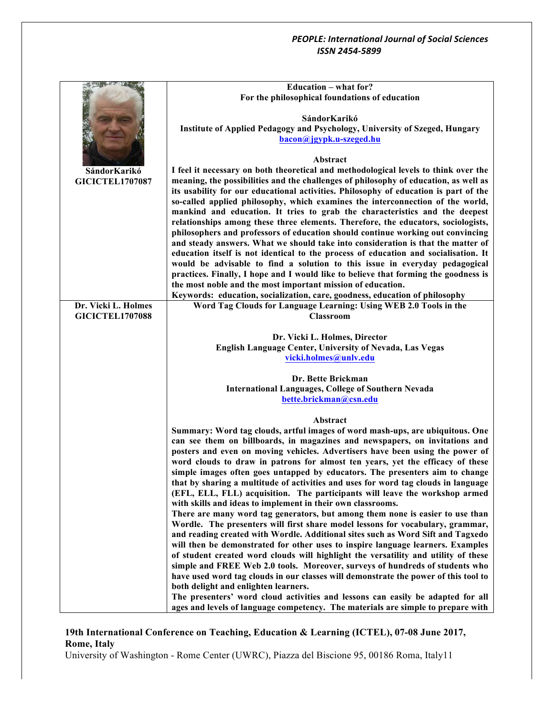|                                               | <b>Education – what for?</b>                                                              |
|-----------------------------------------------|-------------------------------------------------------------------------------------------|
|                                               | For the philosophical foundations of education                                            |
|                                               |                                                                                           |
|                                               | SándorKarikó                                                                              |
|                                               | Institute of Applied Pedagogy and Psychology, University of Szeged, Hungary               |
|                                               | bacon@jgypk.u-szeged.hu                                                                   |
|                                               | Abstract                                                                                  |
| SándorKarikó                                  | I feel it necessary on both theoretical and methodological levels to think over the       |
| <b>GICICTEL1707087</b>                        | meaning, the possibilities and the challenges of philosophy of education, as well as      |
|                                               | its usability for our educational activities. Philosophy of education is part of the      |
|                                               | so-called applied philosophy, which examines the interconnection of the world,            |
|                                               | mankind and education. It tries to grab the characteristics and the deepest               |
|                                               | relationships among these three elements. Therefore, the educators, sociologists,         |
|                                               | philosophers and professors of education should continue working out convincing           |
|                                               | and steady answers. What we should take into consideration is that the matter of          |
|                                               | education itself is not identical to the process of education and socialisation. It       |
|                                               | would be advisable to find a solution to this issue in everyday pedagogical               |
|                                               | practices. Finally, I hope and I would like to believe that forming the goodness is       |
|                                               | the most noble and the most important mission of education.                               |
|                                               | Keywords: education, socialization, care, goodness, education of philosophy               |
| Dr. Vicki L. Holmes<br><b>GICICTEL1707088</b> | Word Tag Clouds for Language Learning: Using WEB 2.0 Tools in the                         |
|                                               | <b>Classroom</b>                                                                          |
|                                               | Dr. Vicki L. Holmes, Director                                                             |
|                                               | English Language Center, University of Nevada, Las Vegas                                  |
|                                               | vicki.holmes@unlv.edu                                                                     |
|                                               |                                                                                           |
|                                               | Dr. Bette Brickman                                                                        |
|                                               | <b>International Languages, College of Southern Nevada</b>                                |
|                                               | bette.brickman@csn.edu                                                                    |
|                                               |                                                                                           |
|                                               | Abstract<br>Summary: Word tag clouds, artful images of word mash-ups, are ubiquitous. One |
|                                               | can see them on billboards, in magazines and newspapers, on invitations and               |
|                                               | posters and even on moving vehicles. Advertisers have been using the power of             |
|                                               | word clouds to draw in patrons for almost ten years, yet the efficacy of these            |
|                                               | simple images often goes untapped by educators. The presenters aim to change              |
|                                               | that by sharing a multitude of activities and uses for word tag clouds in language        |
|                                               | (EFL, ELL, FLL) acquisition. The participants will leave the workshop armed               |
|                                               | with skills and ideas to implement in their own classrooms.                               |
|                                               | There are many word tag generators, but among them none is easier to use than             |
|                                               | Wordle. The presenters will first share model lessons for vocabulary, grammar,            |
|                                               | and reading created with Wordle. Additional sites such as Word Sift and Tagxedo           |
|                                               | will then be demonstrated for other uses to inspire language learners. Examples           |
|                                               | of student created word clouds will highlight the versatility and utility of these        |
|                                               | simple and FREE Web 2.0 tools. Moreover, surveys of hundreds of students who              |
|                                               | have used word tag clouds in our classes will demonstrate the power of this tool to       |
|                                               | both delight and enlighten learners.                                                      |
|                                               | The presenters' word cloud activities and lessons can easily be adapted for all           |
|                                               | ages and levels of language competency. The materials are simple to prepare with          |

# **19th International Conference on Teaching, Education & Learning (ICTEL), 07-08 June 2017, Rome, Italy**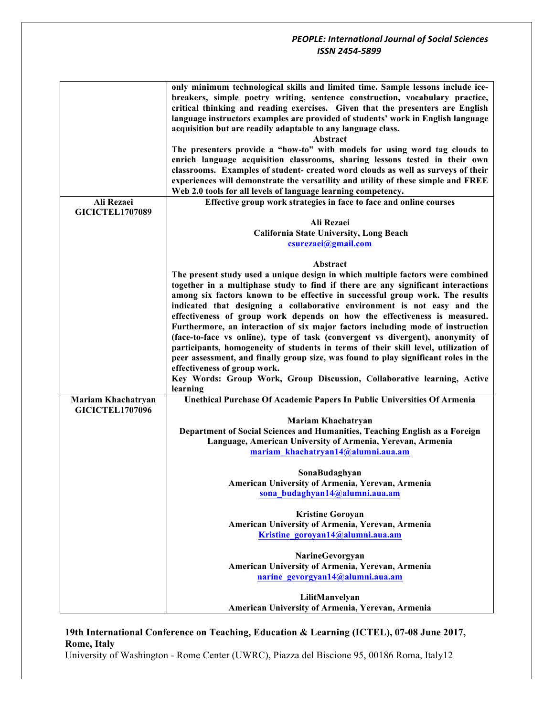|                        | only minimum technological skills and limited time. Sample lessons include ice-     |
|------------------------|-------------------------------------------------------------------------------------|
|                        | breakers, simple poetry writing, sentence construction, vocabulary practice,        |
|                        | critical thinking and reading exercises. Given that the presenters are English      |
|                        | language instructors examples are provided of students' work in English language    |
|                        | acquisition but are readily adaptable to any language class.                        |
|                        | <b>Abstract</b>                                                                     |
|                        | The presenters provide a "how-to" with models for using word tag clouds to          |
|                        |                                                                                     |
|                        | enrich language acquisition classrooms, sharing lessons tested in their own         |
|                        | classrooms. Examples of student- created word clouds as well as surveys of their    |
|                        | experiences will demonstrate the versatility and utility of these simple and FREE   |
|                        | Web 2.0 tools for all levels of language learning competency.                       |
| Ali Rezaei             | Effective group work strategies in face to face and online courses                  |
| <b>GICICTEL1707089</b> |                                                                                     |
|                        | Ali Rezaei                                                                          |
|                        |                                                                                     |
|                        | <b>California State University, Long Beach</b>                                      |
|                        | csurezaei@gmail.com                                                                 |
|                        |                                                                                     |
|                        | Abstract                                                                            |
|                        | The present study used a unique design in which multiple factors were combined      |
|                        | together in a multiphase study to find if there are any significant interactions    |
|                        | among six factors known to be effective in successful group work. The results       |
|                        | indicated that designing a collaborative environment is not easy and the            |
|                        | effectiveness of group work depends on how the effectiveness is measured.           |
|                        |                                                                                     |
|                        | Furthermore, an interaction of six major factors including mode of instruction      |
|                        | (face-to-face vs online), type of task (convergent vs divergent), anonymity of      |
|                        | participants, homogeneity of students in terms of their skill level, utilization of |
|                        | peer assessment, and finally group size, was found to play significant roles in the |
|                        | effectiveness of group work.                                                        |
|                        | Key Words: Group Work, Group Discussion, Collaborative learning, Active             |
|                        | learning                                                                            |
| Mariam Khachatryan     | Unethical Purchase Of Academic Papers In Public Universities Of Armenia             |
|                        |                                                                                     |
| <b>GICICTEL1707096</b> |                                                                                     |
|                        | Mariam Khachatryan                                                                  |
|                        | Department of Social Sciences and Humanities, Teaching English as a Foreign         |
|                        | Language, American University of Armenia, Yerevan, Armenia                          |
|                        | mariam khachatryan14@alumni.aua.am                                                  |
|                        |                                                                                     |
|                        | SonaBudaghyan                                                                       |
|                        | American University of Armenia, Yerevan, Armenia                                    |
|                        | sona budaghyan14@alumni.aua.am                                                      |
|                        |                                                                                     |
|                        | <b>Kristine Goroyan</b>                                                             |
|                        |                                                                                     |
|                        | American University of Armenia, Yerevan, Armenia                                    |
|                        | Kristine goroyan14@alumni.aua.am                                                    |
|                        |                                                                                     |
|                        | NarineGevorgyan                                                                     |
|                        | American University of Armenia, Yerevan, Armenia                                    |
|                        | narine gevorgyan14@alumni.aua.am                                                    |
|                        |                                                                                     |
|                        | LilitManvelyan                                                                      |
|                        | American University of Armenia, Yerevan, Armenia                                    |
|                        |                                                                                     |

## **19th International Conference on Teaching, Education & Learning (ICTEL), 07-08 June 2017, Rome, Italy**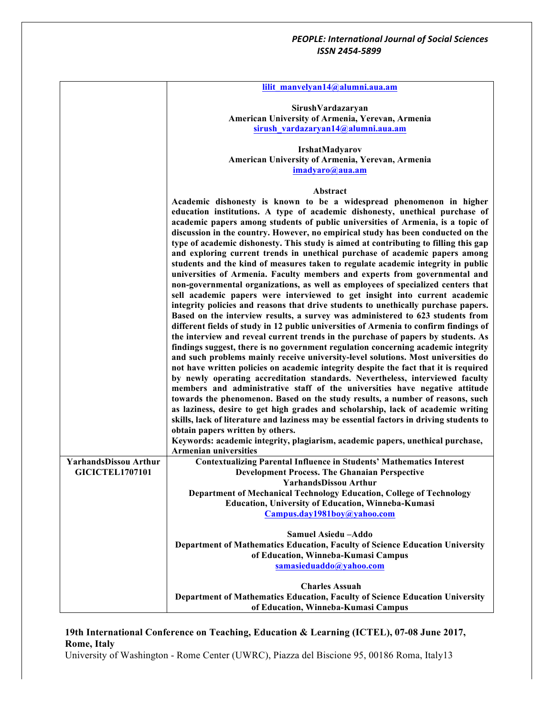|                              | lilit manvelyan14@alumni.aua.am                                                                                             |
|------------------------------|-----------------------------------------------------------------------------------------------------------------------------|
|                              |                                                                                                                             |
|                              | SirushVardazaryan                                                                                                           |
|                              | American University of Armenia, Yerevan, Armenia                                                                            |
|                              | sirush vardazaryan14@alumni.aua.am                                                                                          |
|                              | IrshatMadyarov                                                                                                              |
|                              | American University of Armenia, Yerevan, Armenia                                                                            |
|                              | imadyaro@aua.am                                                                                                             |
|                              |                                                                                                                             |
|                              | Abstract                                                                                                                    |
|                              | Academic dishonesty is known to be a widespread phenomenon in higher                                                        |
|                              | education institutions. A type of academic dishonesty, unethical purchase of                                                |
|                              | academic papers among students of public universities of Armenia, is a topic of                                             |
|                              | discussion in the country. However, no empirical study has been conducted on the                                            |
|                              | type of academic dishonesty. This study is aimed at contributing to filling this gap                                        |
|                              | and exploring current trends in unethical purchase of academic papers among                                                 |
|                              | students and the kind of measures taken to regulate academic integrity in public                                            |
|                              | universities of Armenia. Faculty members and experts from governmental and                                                  |
|                              | non-governmental organizations, as well as employees of specialized centers that                                            |
|                              | sell academic papers were interviewed to get insight into current academic                                                  |
|                              | integrity policies and reasons that drive students to unethically purchase papers.                                          |
|                              | Based on the interview results, a survey was administered to 623 students from                                              |
|                              | different fields of study in 12 public universities of Armenia to confirm findings of                                       |
|                              | the interview and reveal current trends in the purchase of papers by students. As                                           |
|                              | findings suggest, there is no government regulation concerning academic integrity                                           |
|                              | and such problems mainly receive university-level solutions. Most universities do                                           |
|                              | not have written policies on academic integrity despite the fact that it is required                                        |
|                              | by newly operating accreditation standards. Nevertheless, interviewed faculty                                               |
|                              | members and administrative staff of the universities have negative attitude                                                 |
|                              | towards the phenomenon. Based on the study results, a number of reasons, such                                               |
|                              | as laziness, desire to get high grades and scholarship, lack of academic writing                                            |
|                              | skills, lack of literature and laziness may be essential factors in driving students to<br>obtain papers written by others. |
|                              | Keywords: academic integrity, plagiarism, academic papers, unethical purchase,                                              |
|                              | <b>Armenian universities</b>                                                                                                |
| <b>YarhandsDissou Arthur</b> | <b>Contextualizing Parental Influence in Students' Mathematics Interest</b>                                                 |
| <b>GICICTEL1707101</b>       | <b>Development Process. The Ghanaian Perspective</b>                                                                        |
|                              | YarhandsDissou Arthur                                                                                                       |
|                              | Department of Mechanical Technology Education, College of Technology                                                        |
|                              | <b>Education, University of Education, Winneba-Kumasi</b>                                                                   |
|                              | Campus.day1981boy@yahoo.com                                                                                                 |
|                              |                                                                                                                             |
|                              | Samuel Asiedu - Addo                                                                                                        |
|                              | Department of Mathematics Education, Faculty of Science Education University                                                |
|                              | of Education, Winneba-Kumasi Campus                                                                                         |
|                              | samasieduaddo@yahoo.com                                                                                                     |
|                              |                                                                                                                             |
|                              | <b>Charles Assuah</b>                                                                                                       |
|                              | <b>Department of Mathematics Education, Faculty of Science Education University</b><br>of Education, Winneba-Kumasi Campus  |
|                              |                                                                                                                             |

# **19th International Conference on Teaching, Education & Learning (ICTEL), 07-08 June 2017, Rome, Italy**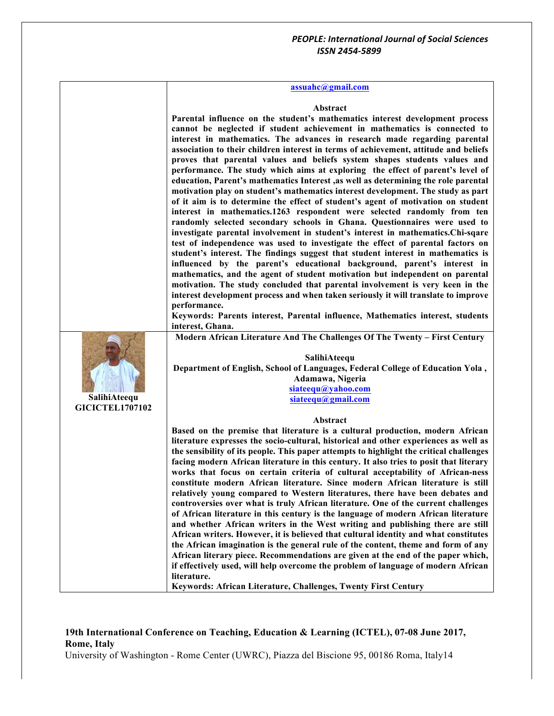# **assuahc@gmail.com**

#### **Abstract**

| SalihiAteequ           | Parental influence on the student's mathematics interest development process<br>cannot be neglected if student achievement in mathematics is connected to<br>interest in mathematics. The advances in research made regarding parental<br>association to their children interest in terms of achievement, attitude and beliefs<br>proves that parental values and beliefs system shapes students values and<br>performance. The study which aims at exploring the effect of parent's level of<br>education, Parent's mathematics Interest , as well as determining the role parental<br>motivation play on student's mathematics interest development. The study as part<br>of it aim is to determine the effect of student's agent of motivation on student<br>interest in mathematics.1263 respondent were selected randomly from ten<br>randomly selected secondary schools in Ghana. Questionnaires were used to<br>investigate parental involvement in student's interest in mathematics. Chi-sqare<br>test of independence was used to investigate the effect of parental factors on<br>student's interest. The findings suggest that student interest in mathematics is<br>influenced by the parent's educational background, parent's interest in<br>mathematics, and the agent of student motivation but independent on parental<br>motivation. The study concluded that parental involvement is very keen in the<br>interest development process and when taken seriously it will translate to improve<br>performance.<br>Keywords: Parents interest, Parental influence, Mathematics interest, students<br>interest, Ghana.<br>Modern African Literature And The Challenges Of The Twenty - First Century<br>SalihiAteequ<br>Department of English, School of Languages, Federal College of Education Yola,<br>Adamawa, Nigeria<br>siateequ@yahoo.com<br>siateequ@gmail.com |
|------------------------|----------------------------------------------------------------------------------------------------------------------------------------------------------------------------------------------------------------------------------------------------------------------------------------------------------------------------------------------------------------------------------------------------------------------------------------------------------------------------------------------------------------------------------------------------------------------------------------------------------------------------------------------------------------------------------------------------------------------------------------------------------------------------------------------------------------------------------------------------------------------------------------------------------------------------------------------------------------------------------------------------------------------------------------------------------------------------------------------------------------------------------------------------------------------------------------------------------------------------------------------------------------------------------------------------------------------------------------------------------------------------------------------------------------------------------------------------------------------------------------------------------------------------------------------------------------------------------------------------------------------------------------------------------------------------------------------------------------------------------------------------------------------------------------------------------------------------------------------------------------------------------------|
| <b>GICICTEL1707102</b> |                                                                                                                                                                                                                                                                                                                                                                                                                                                                                                                                                                                                                                                                                                                                                                                                                                                                                                                                                                                                                                                                                                                                                                                                                                                                                                                                                                                                                                                                                                                                                                                                                                                                                                                                                                                                                                                                                        |
|                        | Abstract                                                                                                                                                                                                                                                                                                                                                                                                                                                                                                                                                                                                                                                                                                                                                                                                                                                                                                                                                                                                                                                                                                                                                                                                                                                                                                                                                                                                                                                                                                                                                                                                                                                                                                                                                                                                                                                                               |
|                        | Based on the premise that literature is a cultural production, modern African<br>literature expresses the socio-cultural, historical and other experiences as well as<br>the sensibility of its people. This paper attempts to highlight the critical challenges<br>facing modern African literature in this century. It also tries to posit that literary<br>works that focus on certain criteria of cultural acceptability of African-ness<br>constitute modern African literature. Since modern African literature is still<br>relatively young compared to Western literatures, there have been debates and<br>controversies over what is truly African literature. One of the current challenges<br>of African literature in this century is the language of modern African literature<br>and whether African writers in the West writing and publishing there are still<br>African writers. However, it is believed that cultural identity and what constitutes<br>the African imagination is the general rule of the content, theme and form of any<br>African literary piece. Recommendations are given at the end of the paper which,<br>if effectively used, will help overcome the problem of language of modern African<br>literature.<br>Keywords: African Literature, Challenges, Twenty First Century                                                                                                                                                                                                                                                                                                                                                                                                                                                                                                                                                                   |

# **19th International Conference on Teaching, Education & Learning (ICTEL), 07-08 June 2017, Rome, Italy**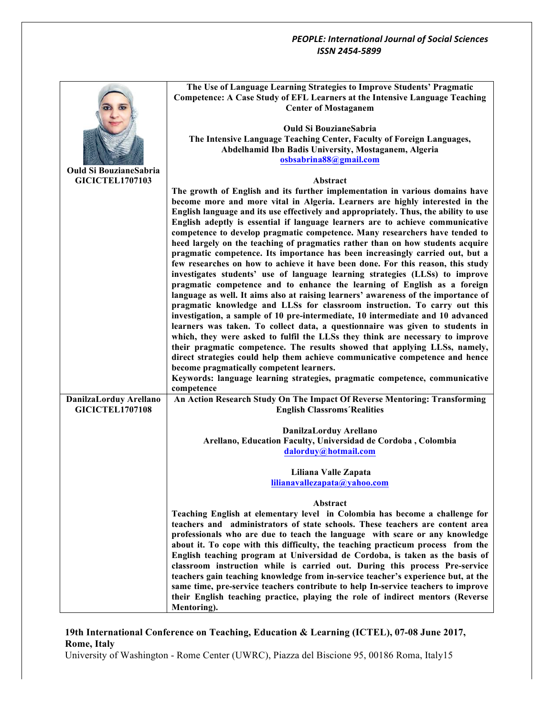|                               | The Use of Language Learning Strategies to Improve Students' Pragmatic               |
|-------------------------------|--------------------------------------------------------------------------------------|
|                               | Competence: A Case Study of EFL Learners at the Intensive Language Teaching          |
|                               | <b>Center of Mostaganem</b>                                                          |
|                               |                                                                                      |
|                               | <b>Ould Si BouzianeSabria</b>                                                        |
|                               | The Intensive Language Teaching Center, Faculty of Foreign Languages,                |
|                               | Abdelhamid Ibn Badis University, Mostaganem, Algeria                                 |
|                               | osbsabrina88@gmail.com                                                               |
| <b>Ould Si BouzianeSabria</b> |                                                                                      |
| <b>GICICTEL1707103</b>        | Abstract                                                                             |
|                               | The growth of English and its further implementation in various domains have         |
|                               | become more and more vital in Algeria. Learners are highly interested in the         |
|                               | English language and its use effectively and appropriately. Thus, the ability to use |
|                               | English adeptly is essential if language learners are to achieve communicative       |
|                               | competence to develop pragmatic competence. Many researchers have tended to          |
|                               | heed largely on the teaching of pragmatics rather than on how students acquire       |
|                               | pragmatic competence. Its importance has been increasingly carried out, but a        |
|                               | few researches on how to achieve it have been done. For this reason, this study      |
|                               | investigates students' use of language learning strategies (LLSs) to improve         |
|                               | pragmatic competence and to enhance the learning of English as a foreign             |
|                               | language as well. It aims also at raising learners' awareness of the importance of   |
|                               | pragmatic knowledge and LLSs for classroom instruction. To carry out this            |
|                               | investigation, a sample of 10 pre-intermediate, 10 intermediate and 10 advanced      |
|                               | learners was taken. To collect data, a questionnaire was given to students in        |
|                               | which, they were asked to fulfil the LLSs they think are necessary to improve        |
|                               | their pragmatic competence. The results showed that applying LLSs, namely,           |
|                               | direct strategies could help them achieve communicative competence and hence         |
|                               | become pragmatically competent learners.                                             |
|                               | Keywords: language learning strategies, pragmatic competence, communicative          |
|                               | competence                                                                           |
| DanilzaLorduy Arellano        | An Action Research Study On The Impact Of Reverse Mentoring: Transforming            |
| <b>GICICTEL1707108</b>        | <b>English Classroms Realities</b>                                                   |
|                               |                                                                                      |
|                               | DanilzaLorduy Arellano                                                               |
|                               | Arellano, Education Faculty, Universidad de Cordoba, Colombia                        |
|                               | dalorduy@hotmail.com                                                                 |
|                               |                                                                                      |
|                               | Liliana Valle Zapata<br>lilianavallezapata@vahoo.com                                 |
|                               |                                                                                      |
|                               | Abstract                                                                             |
|                               | Teaching English at elementary level in Colombia has become a challenge for          |
|                               | teachers and administrators of state schools. These teachers are content area        |
|                               | professionals who are due to teach the language with scare or any knowledge          |
|                               | about it. To cope with this difficulty, the teaching practicum process from the      |
|                               | English teaching program at Universidad de Cordoba, is taken as the basis of         |
|                               | classroom instruction while is carried out. During this process Pre-service          |
|                               | teachers gain teaching knowledge from in-service teacher's experience but, at the    |
|                               | same time, pre-service teachers contribute to help In-service teachers to improve    |
|                               | their English teaching practice, playing the role of indirect mentors (Reverse       |
|                               | Mentoring).                                                                          |

# **19th International Conference on Teaching, Education & Learning (ICTEL), 07-08 June 2017, Rome, Italy**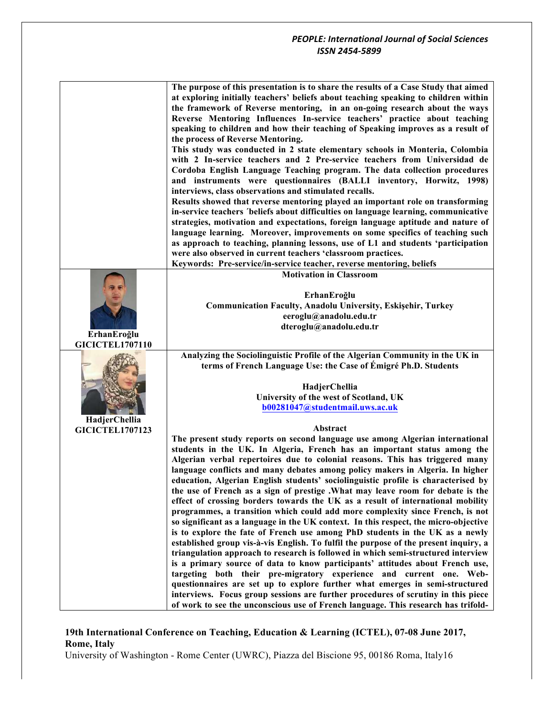|                                       | The purpose of this presentation is to share the results of a Case Study that aimed<br>at exploring initially teachers' beliefs about teaching speaking to children within<br>the framework of Reverse mentoring, in an on-going research about the ways<br>Reverse Mentoring Influences In-service teachers' practice about teaching<br>speaking to children and how their teaching of Speaking improves as a result of<br>the process of Reverse Mentoring.<br>This study was conducted in 2 state elementary schools in Monteria, Colombia<br>with 2 In-service teachers and 2 Pre-service teachers from Universidad de<br>Cordoba English Language Teaching program. The data collection procedures<br>and instruments were questionnaires (BALLI inventory, Horwitz, 1998)<br>interviews, class observations and stimulated recalls.<br>Results showed that reverse mentoring played an important role on transforming<br>in-service teachers 'beliefs about difficulties on language learning, communicative<br>strategies, motivation and expectations, foreign language aptitude and nature of<br>language learning. Moreover, improvements on some specifics of teaching such<br>as approach to teaching, planning lessons, use of L1 and students 'participation<br>were also observed in current teachers 'classroom practices.<br>Keywords: Pre-service/in-service teacher, reverse mentoring, beliefs                           |
|---------------------------------------|----------------------------------------------------------------------------------------------------------------------------------------------------------------------------------------------------------------------------------------------------------------------------------------------------------------------------------------------------------------------------------------------------------------------------------------------------------------------------------------------------------------------------------------------------------------------------------------------------------------------------------------------------------------------------------------------------------------------------------------------------------------------------------------------------------------------------------------------------------------------------------------------------------------------------------------------------------------------------------------------------------------------------------------------------------------------------------------------------------------------------------------------------------------------------------------------------------------------------------------------------------------------------------------------------------------------------------------------------------------------------------------------------------------------------------------------|
|                                       | <b>Motivation in Classroom</b>                                                                                                                                                                                                                                                                                                                                                                                                                                                                                                                                                                                                                                                                                                                                                                                                                                                                                                                                                                                                                                                                                                                                                                                                                                                                                                                                                                                                               |
| ErhanEroğlu<br><b>GICICTEL1707110</b> | ErhanEroğlu<br><b>Communication Faculty, Anadolu University, Eskişehir, Turkey</b><br>eeroglu@anadolu.edu.tr<br>dteroglu@anadolu.edu.tr                                                                                                                                                                                                                                                                                                                                                                                                                                                                                                                                                                                                                                                                                                                                                                                                                                                                                                                                                                                                                                                                                                                                                                                                                                                                                                      |
|                                       | Analyzing the Sociolinguistic Profile of the Algerian Community in the UK in                                                                                                                                                                                                                                                                                                                                                                                                                                                                                                                                                                                                                                                                                                                                                                                                                                                                                                                                                                                                                                                                                                                                                                                                                                                                                                                                                                 |
| HadjerChellia                         | terms of French Language Use: the Case of Émigré Ph.D. Students<br>HadjerChellia<br>University of the west of Scotland, UK<br>b00281047@studentmail.uws.ac.uk                                                                                                                                                                                                                                                                                                                                                                                                                                                                                                                                                                                                                                                                                                                                                                                                                                                                                                                                                                                                                                                                                                                                                                                                                                                                                |
| <b>GICICTEL1707123</b>                | Abstract                                                                                                                                                                                                                                                                                                                                                                                                                                                                                                                                                                                                                                                                                                                                                                                                                                                                                                                                                                                                                                                                                                                                                                                                                                                                                                                                                                                                                                     |
|                                       | The present study reports on second language use among Algerian international<br>students in the UK. In Algeria, French has an important status among the<br>Algerian verbal repertoires due to colonial reasons. This has triggered many<br>language conflicts and many debates among policy makers in Algeria. In higher<br>education, Algerian English students' sociolinguistic profile is characterised by<br>the use of French as a sign of prestige .What may leave room for debate is the<br>effect of crossing borders towards the UK as a result of international mobility<br>programmes, a transition which could add more complexity since French, is not<br>so significant as a language in the UK context. In this respect, the micro-objective<br>is to explore the fate of French use among PhD students in the UK as a newly<br>established group vis-à-vis English. To fulfil the purpose of the present inquiry, a<br>triangulation approach to research is followed in which semi-structured interview<br>is a primary source of data to know participants' attitudes about French use,<br>targeting both their pre-migratory experience and current one. Web-<br>questionnaires are set up to explore further what emerges in semi-structured<br>interviews. Focus group sessions are further procedures of scrutiny in this piece<br>of work to see the unconscious use of French language. This research has trifold- |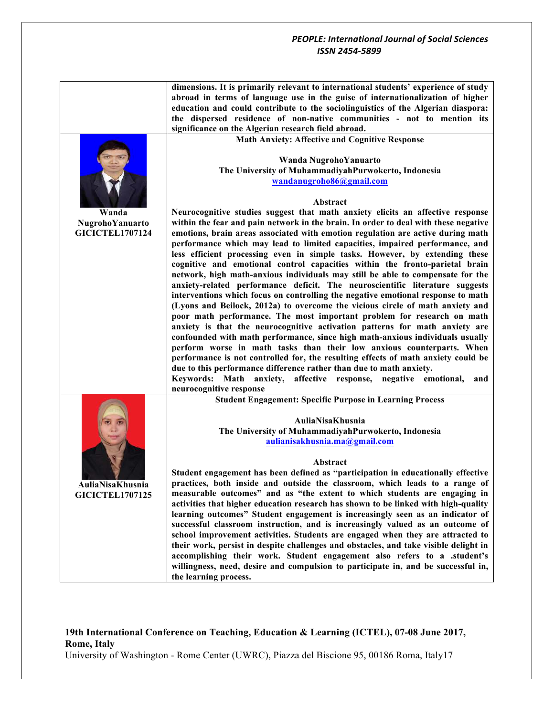|                        | dimensions. It is primarily relevant to international students' experience of study                                                                                 |
|------------------------|---------------------------------------------------------------------------------------------------------------------------------------------------------------------|
|                        | abroad in terms of language use in the guise of internationalization of higher                                                                                      |
|                        | education and could contribute to the sociolinguistics of the Algerian diaspora:                                                                                    |
|                        | the dispersed residence of non-native communities - not to mention its                                                                                              |
|                        | significance on the Algerian research field abroad.                                                                                                                 |
|                        | <b>Math Anxiety: Affective and Cognitive Response</b>                                                                                                               |
|                        |                                                                                                                                                                     |
|                        | Wanda NugrohoYanuarto                                                                                                                                               |
|                        | The University of MuhammadiyahPurwokerto, Indonesia                                                                                                                 |
|                        | wandanugroho86@gmail.com                                                                                                                                            |
|                        |                                                                                                                                                                     |
|                        | <b>Abstract</b>                                                                                                                                                     |
| Wanda                  | Neurocognitive studies suggest that math anxiety elicits an affective response                                                                                      |
| NugrohoYanuarto        | within the fear and pain network in the brain. In order to deal with these negative                                                                                 |
| <b>GICICTEL1707124</b> | emotions, brain areas associated with emotion regulation are active during math                                                                                     |
|                        | performance which may lead to limited capacities, impaired performance, and                                                                                         |
|                        | less efficient processing even in simple tasks. However, by extending these<br>cognitive and emotional control capacities within the fronto-parietal brain          |
|                        | network, high math-anxious individuals may still be able to compensate for the                                                                                      |
|                        | anxiety-related performance deficit. The neuroscientific literature suggests                                                                                        |
|                        | interventions which focus on controlling the negative emotional response to math                                                                                    |
|                        | (Lyons and Beilock, 2012a) to overcome the vicious circle of math anxiety and                                                                                       |
|                        | poor math performance. The most important problem for research on math                                                                                              |
|                        | anxiety is that the neurocognitive activation patterns for math anxiety are                                                                                         |
|                        | confounded with math performance, since high math-anxious individuals usually                                                                                       |
|                        | perform worse in math tasks than their low anxious counterparts. When                                                                                               |
|                        | performance is not controlled for, the resulting effects of math anxiety could be                                                                                   |
|                        | due to this performance difference rather than due to math anxiety.                                                                                                 |
|                        | Keywords: Math anxiety, affective response, negative emotional,<br>and                                                                                              |
|                        | neurocognitive response                                                                                                                                             |
|                        | <b>Student Engagement: Specific Purpose in Learning Process</b>                                                                                                     |
|                        |                                                                                                                                                                     |
|                        | AuliaNisaKhusnia                                                                                                                                                    |
|                        | The University of MuhammadiyahPurwokerto, Indonesia                                                                                                                 |
|                        | aulianisakhusnia.ma@gmail.com                                                                                                                                       |
|                        |                                                                                                                                                                     |
|                        | Abstract                                                                                                                                                            |
|                        | Student engagement has been defined as "participation in educationally effective                                                                                    |
| AuliaNisaKhusnia       | practices, both inside and outside the classroom, which leads to a range of                                                                                         |
| <b>GICICTEL1707125</b> | measurable outcomes" and as "the extent to which students are engaging in                                                                                           |
|                        | activities that higher education research has shown to be linked with high-quality<br>learning outcomes" Student engagement is increasingly seen as an indicator of |
|                        | successful classroom instruction, and is increasingly valued as an outcome of                                                                                       |
|                        | school improvement activities. Students are engaged when they are attracted to                                                                                      |
|                        | their work, persist in despite challenges and obstacles, and take visible delight in                                                                                |
|                        | accomplishing their work. Student engagement also refers to a .student's                                                                                            |
|                        | willingness, need, desire and compulsion to participate in, and be successful in,                                                                                   |
|                        | the learning process.                                                                                                                                               |
|                        |                                                                                                                                                                     |

# **19th International Conference on Teaching, Education & Learning (ICTEL), 07-08 June 2017, Rome, Italy**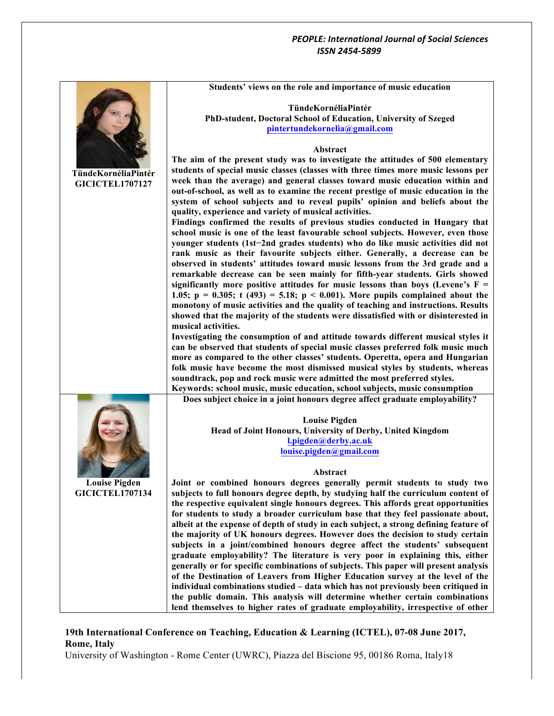|                        | Students' views on the role and importance of music education                                                                                                       |
|------------------------|---------------------------------------------------------------------------------------------------------------------------------------------------------------------|
|                        |                                                                                                                                                                     |
|                        | TündeKornéliaPintér                                                                                                                                                 |
|                        | PhD-student, Doctoral School of Education, University of Szeged                                                                                                     |
|                        | pintertundekornelia@gmail.com                                                                                                                                       |
|                        |                                                                                                                                                                     |
|                        | Abstract                                                                                                                                                            |
|                        | The aim of the present study was to investigate the attitudes of 500 elementary                                                                                     |
| TündeKornéliaPintér    | students of special music classes (classes with three times more music lessons per                                                                                  |
| <b>GICICTEL1707127</b> | week than the average) and general classes toward music education within and                                                                                        |
|                        | out-of-school, as well as to examine the recent prestige of music education in the                                                                                  |
|                        | system of school subjects and to reveal pupils' opinion and beliefs about the<br>quality, experience and variety of musical activities.                             |
|                        | Findings confirmed the results of previous studies conducted in Hungary that                                                                                        |
|                        | school music is one of the least favourable school subjects. However, even those                                                                                    |
|                        | younger students (1st-2nd grades students) who do like music activities did not                                                                                     |
|                        | rank music as their favourite subjects either. Generally, a decrease can be                                                                                         |
|                        | observed in students' attitudes toward music lessons from the 3rd grade and a                                                                                       |
|                        | remarkable decrease can be seen mainly for fifth-year students. Girls showed                                                                                        |
|                        | significantly more positive attitudes for music lessons than boys (Levene's $F =$                                                                                   |
|                        | 1.05; $p = 0.305$ ; $t(493) = 5.18$ ; $p < 0.001$ ). More pupils complained about the                                                                               |
|                        | monotony of music activities and the quality of teaching and instructions. Results                                                                                  |
|                        | showed that the majority of the students were dissatisfied with or disinterested in                                                                                 |
|                        | musical activities.                                                                                                                                                 |
|                        | Investigating the consumption of and attitude towards different musical styles it                                                                                   |
|                        | can be observed that students of special music classes preferred folk music much                                                                                    |
|                        | more as compared to the other classes' students. Operetta, opera and Hungarian                                                                                      |
|                        | folk music have become the most dismissed musical styles by students, whereas                                                                                       |
|                        | soundtrack, pop and rock music were admitted the most preferred styles.                                                                                             |
|                        | Keywords: school music, music education, school subjects, music consumption                                                                                         |
|                        | Does subject choice in a joint honours degree affect graduate employability?                                                                                        |
|                        | <b>Louise Pigden</b>                                                                                                                                                |
|                        | Head of Joint Honours, University of Derby, United Kingdom                                                                                                          |
|                        | l.pigden@derby.ac.uk                                                                                                                                                |
|                        | louise.pigden@gmail.com                                                                                                                                             |
|                        |                                                                                                                                                                     |
|                        | Abstract                                                                                                                                                            |
| <b>Louise Pigden</b>   | Joint or combined honours degrees generally permit students to study two                                                                                            |
| <b>GICICTEL1707134</b> | subjects to full honours degree depth, by studying half the curriculum content of                                                                                   |
|                        | the respective equivalent single honours degrees. This affords great opportunities                                                                                  |
|                        | for students to study a broader curriculum base that they feel passionate about,                                                                                    |
|                        | albeit at the expense of depth of study in each subject, a strong defining feature of                                                                               |
|                        | the majority of UK honours degrees. However does the decision to study certain                                                                                      |
|                        | subjects in a joint/combined honours degree affect the students' subsequent                                                                                         |
|                        | graduate employability? The literature is very poor in explaining this, either                                                                                      |
|                        | generally or for specific combinations of subjects. This paper will present analysis                                                                                |
|                        | of the Destination of Leavers from Higher Education survey at the level of the<br>individual combinations studied - data which has not previously been critiqued in |
|                        | the public domain. This analysis will determine whether certain combinations                                                                                        |
|                        | lend themselves to higher rates of graduate employability, irrespective of other                                                                                    |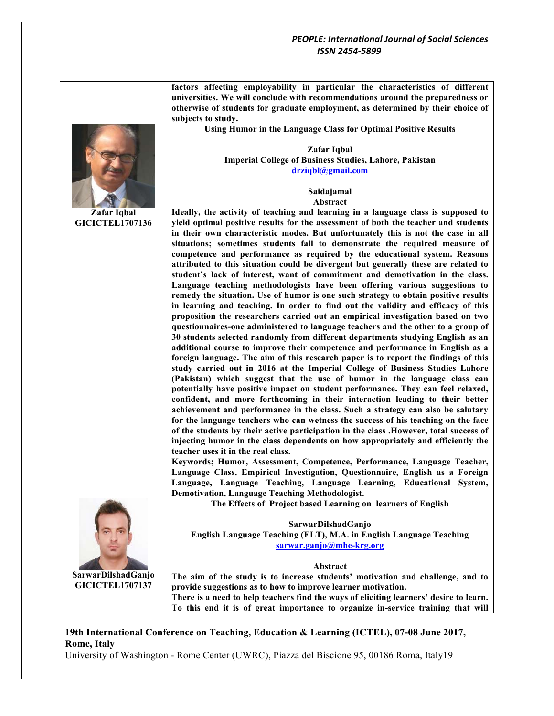|                        | factors affecting employability in particular the characteristics of different<br>universities. We will conclude with recommendations around the preparedness or<br>otherwise of students for graduate employment, as determined by their choice of<br>subjects to study. |
|------------------------|---------------------------------------------------------------------------------------------------------------------------------------------------------------------------------------------------------------------------------------------------------------------------|
|                        |                                                                                                                                                                                                                                                                           |
|                        | Using Humor in the Language Class for Optimal Positive Results                                                                                                                                                                                                            |
|                        | Zafar Iqbal                                                                                                                                                                                                                                                               |
|                        | Imperial College of Business Studies, Lahore, Pakistan                                                                                                                                                                                                                    |
|                        | drziqbl@gmail.com                                                                                                                                                                                                                                                         |
|                        |                                                                                                                                                                                                                                                                           |
|                        | Saidajamal                                                                                                                                                                                                                                                                |
|                        | Abstract                                                                                                                                                                                                                                                                  |
| Zafar Iqbal            | Ideally, the activity of teaching and learning in a language class is supposed to                                                                                                                                                                                         |
| <b>GICICTEL1707136</b> | yield optimal positive results for the assessment of both the teacher and students                                                                                                                                                                                        |
|                        | in their own characteristic modes. But unfortunately this is not the case in all                                                                                                                                                                                          |
|                        |                                                                                                                                                                                                                                                                           |
|                        | situations; sometimes students fail to demonstrate the required measure of                                                                                                                                                                                                |
|                        | competence and performance as required by the educational system. Reasons                                                                                                                                                                                                 |
|                        | attributed to this situation could be divergent but generally these are related to                                                                                                                                                                                        |
|                        | student's lack of interest, want of commitment and demotivation in the class.                                                                                                                                                                                             |
|                        | Language teaching methodologists have been offering various suggestions to                                                                                                                                                                                                |
|                        | remedy the situation. Use of humor is one such strategy to obtain positive results                                                                                                                                                                                        |
|                        | in learning and teaching. In order to find out the validity and efficacy of this                                                                                                                                                                                          |
|                        | proposition the researchers carried out an empirical investigation based on two                                                                                                                                                                                           |
|                        | questionnaires-one administered to language teachers and the other to a group of                                                                                                                                                                                          |
|                        | 30 students selected randomly from different departments studying English as an                                                                                                                                                                                           |
|                        | additional course to improve their competence and performance in English as a                                                                                                                                                                                             |
|                        | foreign language. The aim of this research paper is to report the findings of this                                                                                                                                                                                        |
|                        | study carried out in 2016 at the Imperial College of Business Studies Lahore                                                                                                                                                                                              |
|                        | (Pakistan) which suggest that the use of humor in the language class can                                                                                                                                                                                                  |
|                        | potentially have positive impact on student performance. They can feel relaxed,                                                                                                                                                                                           |
|                        | confident, and more forthcoming in their interaction leading to their better                                                                                                                                                                                              |
|                        | achievement and performance in the class. Such a strategy can also be salutary                                                                                                                                                                                            |
|                        | for the language teachers who can wetness the success of his teaching on the face                                                                                                                                                                                         |
|                        |                                                                                                                                                                                                                                                                           |
|                        | of the students by their active participation in the class . However, total success of                                                                                                                                                                                    |
|                        | injecting humor in the class dependents on how appropriately and efficiently the                                                                                                                                                                                          |
|                        | teacher uses it in the real class.                                                                                                                                                                                                                                        |
|                        | Keywords; Humor, Assessment, Competence, Performance, Language Teacher,                                                                                                                                                                                                   |
|                        | Language Class, Empirical Investigation, Questionnaire, English as a Foreign                                                                                                                                                                                              |
|                        | Language, Language Teaching, Language Learning, Educational System,                                                                                                                                                                                                       |
|                        | <b>Demotivation, Language Teaching Methodologist.</b>                                                                                                                                                                                                                     |
|                        | The Effects of Project based Learning on learners of English                                                                                                                                                                                                              |
|                        |                                                                                                                                                                                                                                                                           |
|                        | SarwarDilshadGanjo                                                                                                                                                                                                                                                        |
|                        | English Language Teaching (ELT), M.A. in English Language Teaching                                                                                                                                                                                                        |
|                        | sarwar.ganjo@mhe-krg.org                                                                                                                                                                                                                                                  |
|                        |                                                                                                                                                                                                                                                                           |
|                        | Abstract                                                                                                                                                                                                                                                                  |
| SarwarDilshadGanjo     | The aim of the study is to increase students' motivation and challenge, and to                                                                                                                                                                                            |
| <b>GICICTEL1707137</b> | provide suggestions as to how to improve learner motivation.                                                                                                                                                                                                              |
|                        | There is a need to help teachers find the ways of eliciting learners' desire to learn.                                                                                                                                                                                    |
|                        | To this end it is of great importance to organize in-service training that will                                                                                                                                                                                           |

# **19th International Conference on Teaching, Education & Learning (ICTEL), 07-08 June 2017, Rome, Italy**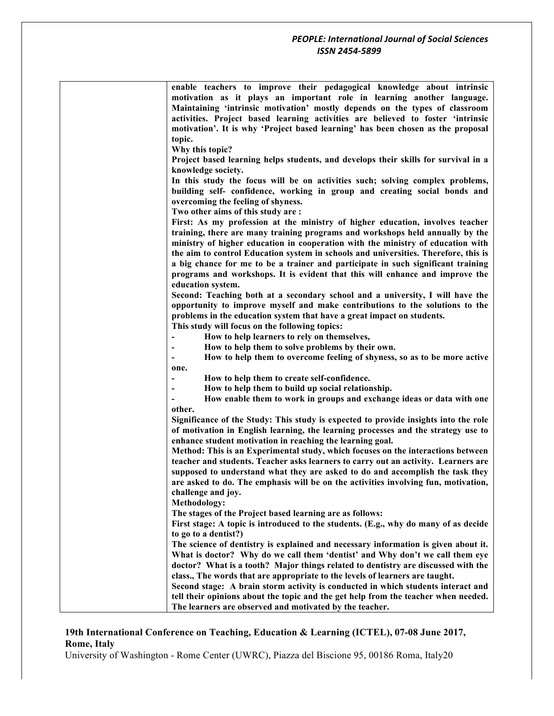| enable teachers to improve their pedagogical knowledge about intrinsic<br>motivation as it plays an important role in learning another language.<br>Maintaining 'intrinsic motivation' mostly depends on the types of classroom<br>activities. Project based learning activities are believed to foster 'intrinsic<br>motivation'. It is why 'Project based learning' has been chosen as the proposal<br>topic.<br>Why this topic?                                                                                                                                     |
|------------------------------------------------------------------------------------------------------------------------------------------------------------------------------------------------------------------------------------------------------------------------------------------------------------------------------------------------------------------------------------------------------------------------------------------------------------------------------------------------------------------------------------------------------------------------|
| Project based learning helps students, and develops their skills for survival in a                                                                                                                                                                                                                                                                                                                                                                                                                                                                                     |
| knowledge society.<br>In this study the focus will be on activities such; solving complex problems,<br>building self- confidence, working in group and creating social bonds and<br>overcoming the feeling of shyness.                                                                                                                                                                                                                                                                                                                                                 |
| Two other aims of this study are:<br>First: As my profession at the ministry of higher education, involves teacher<br>training, there are many training programs and workshops held annually by the<br>ministry of higher education in cooperation with the ministry of education with<br>the aim to control Education system in schools and universities. Therefore, this is<br>a big chance for me to be a trainer and participate in such significant training<br>programs and workshops. It is evident that this will enhance and improve the<br>education system. |
| Second: Teaching both at a secondary school and a university, I will have the<br>opportunity to improve myself and make contributions to the solutions to the<br>problems in the education system that have a great impact on students.<br>This study will focus on the following topics:<br>How to help learners to rely on themselves,<br>How to help them to solve problems by their own.                                                                                                                                                                           |
| How to help them to overcome feeling of shyness, so as to be more active<br>one.                                                                                                                                                                                                                                                                                                                                                                                                                                                                                       |
| How to help them to create self-confidence.                                                                                                                                                                                                                                                                                                                                                                                                                                                                                                                            |
| How to help them to build up social relationship.                                                                                                                                                                                                                                                                                                                                                                                                                                                                                                                      |
| How enable them to work in groups and exchange ideas or data with one<br>other.                                                                                                                                                                                                                                                                                                                                                                                                                                                                                        |
| Significance of the Study: This study is expected to provide insights into the role<br>of motivation in English learning, the learning processes and the strategy use to<br>enhance student motivation in reaching the learning goal.                                                                                                                                                                                                                                                                                                                                  |
| Method: This is an Experimental study, which focuses on the interactions between<br>teacher and students. Teacher asks learners to carry out an activity. Learners are<br>supposed to understand what they are asked to do and accomplish the task they<br>are asked to do. The emphasis will be on the activities involving fun, motivation,<br>challenge and joy.                                                                                                                                                                                                    |
| Methodology:                                                                                                                                                                                                                                                                                                                                                                                                                                                                                                                                                           |
| The stages of the Project based learning are as follows:<br>First stage: A topic is introduced to the students. (E.g., why do many of as decide                                                                                                                                                                                                                                                                                                                                                                                                                        |
| to go to a dentist?)                                                                                                                                                                                                                                                                                                                                                                                                                                                                                                                                                   |
| The science of dentistry is explained and necessary information is given about it.                                                                                                                                                                                                                                                                                                                                                                                                                                                                                     |
| What is doctor? Why do we call them 'dentist' and Why don't we call them eye<br>doctor? What is a tooth? Major things related to dentistry are discussed with the                                                                                                                                                                                                                                                                                                                                                                                                      |
| class., The words that are appropriate to the levels of learners are taught.<br>Second stage: A brain storm activity is conducted in which students interact and<br>tell their opinions about the topic and the get help from the teacher when needed.<br>The learners are observed and motivated by the teacher.                                                                                                                                                                                                                                                      |
|                                                                                                                                                                                                                                                                                                                                                                                                                                                                                                                                                                        |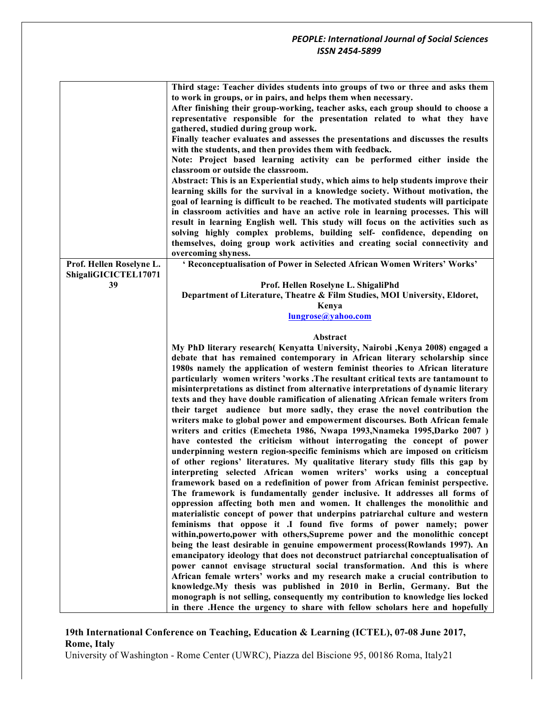|                          | Third stage: Teacher divides students into groups of two or three and asks them<br>to work in groups, or in pairs, and helps them when necessary.<br>After finishing their group-working, teacher asks, each group should to choose a<br>representative responsible for the presentation related to what they have<br>gathered, studied during group work.<br>Finally teacher evaluates and assesses the presentations and discusses the results<br>with the students, and then provides them with feedback.<br>Note: Project based learning activity can be performed either inside the<br>classroom or outside the classroom.<br>Abstract: This is an Experiential study, which aims to help students improve their<br>learning skills for the survival in a knowledge society. Without motivation, the<br>goal of learning is difficult to be reached. The motivated students will participate<br>in classroom activities and have an active role in learning processes. This will<br>result in learning English well. This study will focus on the activities such as<br>solving highly complex problems, building self- confidence, depending on<br>themselves, doing group work activities and creating social connectivity and<br>overcoming shyness.                                                                                                                                                                                                                                                                                                                                                                                                                                                                                                                                                                                                                                                                                                                                                                                                         |
|--------------------------|----------------------------------------------------------------------------------------------------------------------------------------------------------------------------------------------------------------------------------------------------------------------------------------------------------------------------------------------------------------------------------------------------------------------------------------------------------------------------------------------------------------------------------------------------------------------------------------------------------------------------------------------------------------------------------------------------------------------------------------------------------------------------------------------------------------------------------------------------------------------------------------------------------------------------------------------------------------------------------------------------------------------------------------------------------------------------------------------------------------------------------------------------------------------------------------------------------------------------------------------------------------------------------------------------------------------------------------------------------------------------------------------------------------------------------------------------------------------------------------------------------------------------------------------------------------------------------------------------------------------------------------------------------------------------------------------------------------------------------------------------------------------------------------------------------------------------------------------------------------------------------------------------------------------------------------------------------------------------------------------------------------------------------------------------------------------|
| Prof. Hellen Roselyne L. | ' Reconceptualisation of Power in Selected African Women Writers' Works'                                                                                                                                                                                                                                                                                                                                                                                                                                                                                                                                                                                                                                                                                                                                                                                                                                                                                                                                                                                                                                                                                                                                                                                                                                                                                                                                                                                                                                                                                                                                                                                                                                                                                                                                                                                                                                                                                                                                                                                             |
| ShigaliGICICTEL17071     |                                                                                                                                                                                                                                                                                                                                                                                                                                                                                                                                                                                                                                                                                                                                                                                                                                                                                                                                                                                                                                                                                                                                                                                                                                                                                                                                                                                                                                                                                                                                                                                                                                                                                                                                                                                                                                                                                                                                                                                                                                                                      |
| 39                       | Prof. Hellen Roselyne L. ShigaliPhd                                                                                                                                                                                                                                                                                                                                                                                                                                                                                                                                                                                                                                                                                                                                                                                                                                                                                                                                                                                                                                                                                                                                                                                                                                                                                                                                                                                                                                                                                                                                                                                                                                                                                                                                                                                                                                                                                                                                                                                                                                  |
|                          | Department of Literature, Theatre & Film Studies, MOI University, Eldoret,                                                                                                                                                                                                                                                                                                                                                                                                                                                                                                                                                                                                                                                                                                                                                                                                                                                                                                                                                                                                                                                                                                                                                                                                                                                                                                                                                                                                                                                                                                                                                                                                                                                                                                                                                                                                                                                                                                                                                                                           |
|                          | Kenya                                                                                                                                                                                                                                                                                                                                                                                                                                                                                                                                                                                                                                                                                                                                                                                                                                                                                                                                                                                                                                                                                                                                                                                                                                                                                                                                                                                                                                                                                                                                                                                                                                                                                                                                                                                                                                                                                                                                                                                                                                                                |
|                          | lungrose@yahoo.com                                                                                                                                                                                                                                                                                                                                                                                                                                                                                                                                                                                                                                                                                                                                                                                                                                                                                                                                                                                                                                                                                                                                                                                                                                                                                                                                                                                                                                                                                                                                                                                                                                                                                                                                                                                                                                                                                                                                                                                                                                                   |
|                          |                                                                                                                                                                                                                                                                                                                                                                                                                                                                                                                                                                                                                                                                                                                                                                                                                                                                                                                                                                                                                                                                                                                                                                                                                                                                                                                                                                                                                                                                                                                                                                                                                                                                                                                                                                                                                                                                                                                                                                                                                                                                      |
|                          | Abstract                                                                                                                                                                                                                                                                                                                                                                                                                                                                                                                                                                                                                                                                                                                                                                                                                                                                                                                                                                                                                                                                                                                                                                                                                                                                                                                                                                                                                                                                                                                                                                                                                                                                                                                                                                                                                                                                                                                                                                                                                                                             |
|                          | My PhD literary research (Kenyatta University, Nairobi , Kenya 2008) engaged a<br>debate that has remained contemporary in African literary scholarship since<br>1980s namely the application of western feminist theories to African literature<br>particularly women writers 'works. The resultant critical texts are tantamount to<br>misinterpretations as distinct from alternative interpretations of dynamic literary<br>texts and they have double ramification of alienating African female writers from<br>their target audience but more sadly, they erase the novel contribution the<br>writers make to global power and empowerment discourses. Both African female<br>writers and critics (Emecheta 1986, Nwapa 1993, Nnameka 1995, Darko 2007)<br>have contested the criticism without interrogating the concept of power<br>underpinning western region-specific feminisms which are imposed on criticism<br>of other regions' literatures. My qualitative literary study fills this gap by<br>interpreting selected African women writers' works using a conceptual<br>framework based on a redefinition of power from African feminist perspective.<br>The framework is fundamentally gender inclusive. It addresses all forms of<br>oppression affecting both men and women. It challenges the monolithic and<br>materialistic concept of power that underpins patriarchal culture and western<br>feminisms that oppose it .I found five forms of power namely; power<br>within, powerto, power with others, Supreme power and the monolithic concept<br>being the least desirable in genuine empowerment process(Rowlands 1997). An<br>emancipatory ideology that does not deconstruct patriarchal conceptualisation of<br>power cannot envisage structural social transformation. And this is where<br>African female wrters' works and my research make a crucial contribution to<br>knowledge. My thesis was published in 2010 in Berlin, Germany. But the<br>monograph is not selling, consequently my contribution to knowledge lies locked |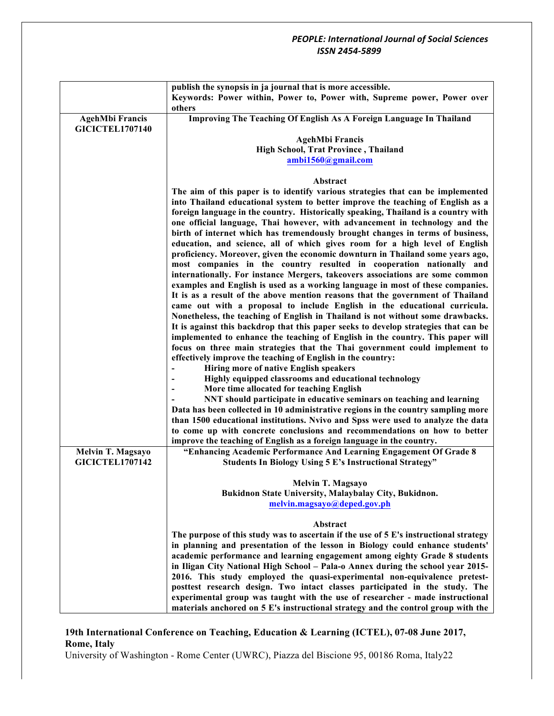|                                                  | publish the synopsis in ja journal that is more accessible.                                           |
|--------------------------------------------------|-------------------------------------------------------------------------------------------------------|
|                                                  | Keywords: Power within, Power to, Power with, Supreme power, Power over                               |
|                                                  | others                                                                                                |
| <b>AgehMbi Francis</b><br><b>GICICTEL1707140</b> | Improving The Teaching Of English As A Foreign Language In Thailand                                   |
|                                                  | <b>AgehMbi Francis</b>                                                                                |
|                                                  | High School, Trat Province, Thailand                                                                  |
|                                                  | ambi1560@gmail.com                                                                                    |
|                                                  |                                                                                                       |
|                                                  | Abstract                                                                                              |
|                                                  | The aim of this paper is to identify various strategies that can be implemented                       |
|                                                  | into Thailand educational system to better improve the teaching of English as a                       |
|                                                  | foreign language in the country. Historically speaking, Thailand is a country with                    |
|                                                  | one official language, Thai however, with advancement in technology and the                           |
|                                                  | birth of internet which has tremendously brought changes in terms of business,                        |
|                                                  | education, and science, all of which gives room for a high level of English                           |
|                                                  | proficiency. Moreover, given the economic downturn in Thailand some years ago,                        |
|                                                  | most companies in the country resulted in cooperation nationally and                                  |
|                                                  | internationally. For instance Mergers, takeovers associations are some common                         |
|                                                  | examples and English is used as a working language in most of these companies.                        |
|                                                  | It is as a result of the above mention reasons that the government of Thailand                        |
|                                                  | came out with a proposal to include English in the educational curricula.                             |
|                                                  | Nonetheless, the teaching of English in Thailand is not without some drawbacks.                       |
|                                                  | It is against this backdrop that this paper seeks to develop strategies that can be                   |
|                                                  | implemented to enhance the teaching of English in the country. This paper will                        |
|                                                  | focus on three main strategies that the Thai government could implement to                            |
|                                                  | effectively improve the teaching of English in the country:<br>Hiring more of native English speakers |
|                                                  | Highly equipped classrooms and educational technology                                                 |
|                                                  | More time allocated for teaching English                                                              |
|                                                  | NNT should participate in educative seminars on teaching and learning                                 |
|                                                  | Data has been collected in 10 administrative regions in the country sampling more                     |
|                                                  | than 1500 educational institutions. Nvivo and Spss were used to analyze the data                      |
|                                                  | to come up with concrete conclusions and recommendations on how to better                             |
|                                                  | improve the teaching of English as a foreign language in the country.                                 |
| <b>Melvin T. Magsayo</b>                         | "Enhancing Academic Performance And Learning Engagement Of Grade 8                                    |
| <b>GICICTEL1707142</b>                           | <b>Students In Biology Using 5 E's Instructional Strategy"</b>                                        |
|                                                  |                                                                                                       |
|                                                  | Melvin T. Magsayo                                                                                     |
|                                                  | Bukidnon State University, Malaybalay City, Bukidnon.                                                 |
|                                                  | melvin.magsayo@deped.gov.ph                                                                           |
|                                                  | Abstract                                                                                              |
|                                                  | The purpose of this study was to ascertain if the use of 5 E's instructional strategy                 |
|                                                  | in planning and presentation of the lesson in Biology could enhance students'                         |
|                                                  | academic performance and learning engagement among eighty Grade 8 students                            |
|                                                  | in Iligan City National High School - Pala-o Annex during the school year 2015-                       |
|                                                  | 2016. This study employed the quasi-experimental non-equivalence pretest-                             |
|                                                  | posttest research design. Two intact classes participated in the study. The                           |
|                                                  | experimental group was taught with the use of researcher - made instructional                         |
|                                                  | materials anchored on 5 E's instructional strategy and the control group with the                     |

# **19th International Conference on Teaching, Education & Learning (ICTEL), 07-08 June 2017, Rome, Italy**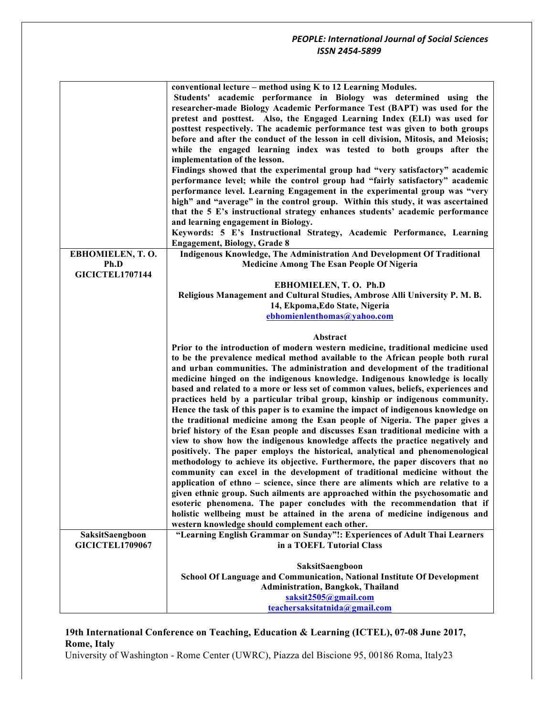|                        | conventional lecture - method using K to 12 Learning Modules.                      |
|------------------------|------------------------------------------------------------------------------------|
|                        | Students' academic performance in Biology was determined using the                 |
|                        | researcher-made Biology Academic Performance Test (BAPT) was used for the          |
|                        | pretest and posttest. Also, the Engaged Learning Index (ELI) was used for          |
|                        | posttest respectively. The academic performance test was given to both groups      |
|                        | before and after the conduct of the lesson in cell division, Mitosis, and Meiosis; |
|                        | while the engaged learning index was tested to both groups after the               |
|                        | implementation of the lesson.                                                      |
|                        | Findings showed that the experimental group had "very satisfactory" academic       |
|                        | performance level; while the control group had "fairly satisfactory" academic      |
|                        | performance level. Learning Engagement in the experimental group was "very         |
|                        | high" and "average" in the control group. Within this study, it was ascertained    |
|                        | that the 5 E's instructional strategy enhances students' academic performance      |
|                        | and learning engagement in Biology.                                                |
|                        | Keywords: 5 E's Instructional Strategy, Academic Performance, Learning             |
|                        | <b>Engagement, Biology, Grade 8</b>                                                |
| EBHOMIELEN, T.O.       | Indigenous Knowledge, The Administration And Development Of Traditional            |
| Ph.D                   | <b>Medicine Among The Esan People Of Nigeria</b>                                   |
| <b>GICICTEL1707144</b> |                                                                                    |
|                        | EBHOMIELEN, T.O. Ph.D                                                              |
|                        | Religious Management and Cultural Studies, Ambrose Alli University P. M. B.        |
|                        | 14, Ekpoma, Edo State, Nigeria                                                     |
|                        | ebhomienlenthomas@yahoo.com                                                        |
|                        |                                                                                    |
|                        | Abstract                                                                           |
|                        | Prior to the introduction of modern western medicine, traditional medicine used    |
|                        | to be the prevalence medical method available to the African people both rural     |
|                        | and urban communities. The administration and development of the traditional       |
|                        | medicine hinged on the indigenous knowledge. Indigenous knowledge is locally       |
|                        | based and related to a more or less set of common values, beliefs, experiences and |
|                        | practices held by a particular tribal group, kinship or indigenous community.      |
|                        | Hence the task of this paper is to examine the impact of indigenous knowledge on   |
|                        | the traditional medicine among the Esan people of Nigeria. The paper gives a       |
|                        | brief history of the Esan people and discusses Esan traditional medicine with a    |
|                        | view to show how the indigenous knowledge affects the practice negatively and      |
|                        | positively. The paper employs the historical, analytical and phenomenological      |
|                        | methodology to achieve its objective. Furthermore, the paper discovers that no     |
|                        | community can excel in the development of traditional medicine without the         |
|                        | application of ethno – science, since there are aliments which are relative to a   |
|                        | given ethnic group. Such ailments are approached within the psychosomatic and      |
|                        | esoteric phenomena. The paper concludes with the recommendation that if            |
|                        | holistic wellbeing must be attained in the arena of medicine indigenous and        |
|                        | western knowledge should complement each other.                                    |
| SaksitSaengboon        | "Learning English Grammar on Sunday"!: Experiences of Adult Thai Learners          |
| <b>GICICTEL1709067</b> | in a TOEFL Tutorial Class                                                          |
|                        |                                                                                    |
|                        | SaksitSaengboon                                                                    |
|                        | School Of Language and Communication, National Institute Of Development            |
|                        | Administration, Bangkok, Thailand                                                  |
|                        | saksit2505@gmail.com<br>teachersaksitatnida@gmail.com                              |
|                        |                                                                                    |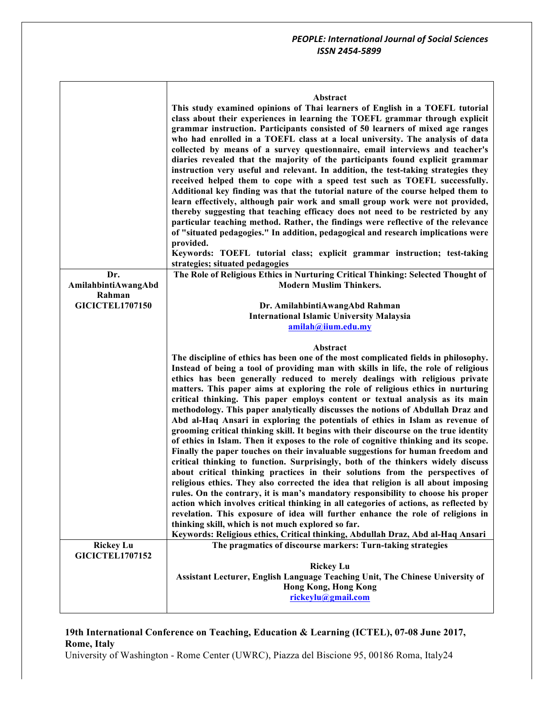| Abstract |
|----------|
|----------|

|                                            | This study examined opinions of Thai learners of English in a TOEFL tutorial<br>class about their experiences in learning the TOEFL grammar through explicit<br>grammar instruction. Participants consisted of 50 learners of mixed age ranges<br>who had enrolled in a TOEFL class at a local university. The analysis of data<br>collected by means of a survey questionnaire, email interviews and teacher's<br>diaries revealed that the majority of the participants found explicit grammar<br>instruction very useful and relevant. In addition, the test-taking strategies they<br>received helped them to cope with a speed test such as TOEFL successfully.<br>Additional key finding was that the tutorial nature of the course helped them to<br>learn effectively, although pair work and small group work were not provided,<br>thereby suggesting that teaching efficacy does not need to be restricted by any<br>particular teaching method. Rather, the findings were reflective of the relevance<br>of "situated pedagogies." In addition, pedagogical and research implications were<br>provided.<br>Keywords: TOEFL tutorial class; explicit grammar instruction; test-taking<br>strategies; situated pedagogies                                                                                                                                                                                                                                                                                                                     |
|--------------------------------------------|---------------------------------------------------------------------------------------------------------------------------------------------------------------------------------------------------------------------------------------------------------------------------------------------------------------------------------------------------------------------------------------------------------------------------------------------------------------------------------------------------------------------------------------------------------------------------------------------------------------------------------------------------------------------------------------------------------------------------------------------------------------------------------------------------------------------------------------------------------------------------------------------------------------------------------------------------------------------------------------------------------------------------------------------------------------------------------------------------------------------------------------------------------------------------------------------------------------------------------------------------------------------------------------------------------------------------------------------------------------------------------------------------------------------------------------------------------------------------------------------------------------------------------------------------------|
| Dr.<br>AmilahbintiAwangAbd                 | The Role of Religious Ethics in Nurturing Critical Thinking: Selected Thought of<br><b>Modern Muslim Thinkers.</b>                                                                                                                                                                                                                                                                                                                                                                                                                                                                                                                                                                                                                                                                                                                                                                                                                                                                                                                                                                                                                                                                                                                                                                                                                                                                                                                                                                                                                                      |
| Rahman<br><b>GICICTEL1707150</b>           | Dr. AmilahbintiAwangAbd Rahman<br><b>International Islamic University Malaysia</b><br>amilah@iium.edu.my                                                                                                                                                                                                                                                                                                                                                                                                                                                                                                                                                                                                                                                                                                                                                                                                                                                                                                                                                                                                                                                                                                                                                                                                                                                                                                                                                                                                                                                |
|                                            | Abstract<br>The discipline of ethics has been one of the most complicated fields in philosophy.<br>Instead of being a tool of providing man with skills in life, the role of religious<br>ethics has been generally reduced to merely dealings with religious private<br>matters. This paper aims at exploring the role of religious ethics in nurturing<br>critical thinking. This paper employs content or textual analysis as its main<br>methodology. This paper analytically discusses the notions of Abdullah Draz and<br>Abd al-Haq Ansari in exploring the potentials of ethics in Islam as revenue of<br>grooming critical thinking skill. It begins with their discourse on the true identity<br>of ethics in Islam. Then it exposes to the role of cognitive thinking and its scope.<br>Finally the paper touches on their invaluable suggestions for human freedom and<br>critical thinking to function. Surprisingly, both of the thinkers widely discuss<br>about critical thinking practices in their solutions from the perspectives of<br>religious ethics. They also corrected the idea that religion is all about imposing<br>rules. On the contrary, it is man's mandatory responsibility to choose his proper<br>action which involves critical thinking in all categories of actions, as reflected by<br>revelation. This exposure of idea will further enhance the role of religions in<br>thinking skill, which is not much explored so far.<br>Keywords: Religious ethics, Critical thinking, Abdullah Draz, Abd al-Haq Ansari |
| <b>Rickey Lu</b><br><b>GICICTEL1707152</b> | The pragmatics of discourse markers: Turn-taking strategies<br><b>Rickey Lu</b>                                                                                                                                                                                                                                                                                                                                                                                                                                                                                                                                                                                                                                                                                                                                                                                                                                                                                                                                                                                                                                                                                                                                                                                                                                                                                                                                                                                                                                                                         |
|                                            | Assistant Lecturer, English Language Teaching Unit, The Chinese University of<br><b>Hong Kong, Hong Kong</b><br>rickeylu@gmail.com                                                                                                                                                                                                                                                                                                                                                                                                                                                                                                                                                                                                                                                                                                                                                                                                                                                                                                                                                                                                                                                                                                                                                                                                                                                                                                                                                                                                                      |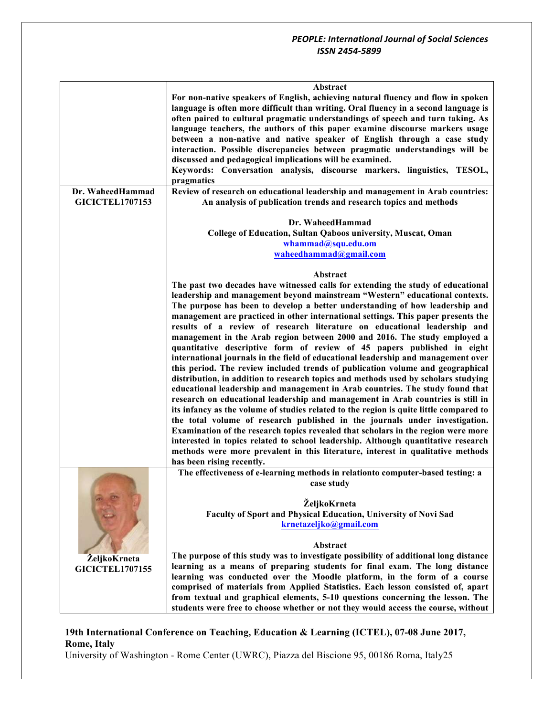|                        | Abstract                                                                               |
|------------------------|----------------------------------------------------------------------------------------|
|                        | For non-native speakers of English, achieving natural fluency and flow in spoken       |
|                        | language is often more difficult than writing. Oral fluency in a second language is    |
|                        |                                                                                        |
|                        | often paired to cultural pragmatic understandings of speech and turn taking. As        |
|                        | language teachers, the authors of this paper examine discourse markers usage           |
|                        | between a non-native and native speaker of English through a case study                |
|                        | interaction. Possible discrepancies between pragmatic understandings will be           |
|                        |                                                                                        |
|                        | discussed and pedagogical implications will be examined.                               |
|                        | Keywords: Conversation analysis, discourse markers, linguistics, TESOL,                |
|                        | pragmatics                                                                             |
| Dr. WaheedHammad       | Review of research on educational leadership and management in Arab countries:         |
|                        |                                                                                        |
| <b>GICICTEL1707153</b> | An analysis of publication trends and research topics and methods                      |
|                        |                                                                                        |
|                        | Dr. WaheedHammad                                                                       |
|                        | College of Education, Sultan Qaboos university, Muscat, Oman                           |
|                        | whammad@squ.edu.om                                                                     |
|                        |                                                                                        |
|                        | waheedhammad@gmail.com                                                                 |
|                        |                                                                                        |
|                        | Abstract                                                                               |
|                        | The past two decades have witnessed calls for extending the study of educational       |
|                        | leadership and management beyond mainstream "Western" educational contexts.            |
|                        |                                                                                        |
|                        | The purpose has been to develop a better understanding of how leadership and           |
|                        | management are practiced in other international settings. This paper presents the      |
|                        | results of a review of research literature on educational leadership and               |
|                        | management in the Arab region between 2000 and 2016. The study employed a              |
|                        | quantitative descriptive form of review of 45 papers published in eight                |
|                        |                                                                                        |
|                        | international journals in the field of educational leadership and management over      |
|                        | this period. The review included trends of publication volume and geographical         |
|                        | distribution, in addition to research topics and methods used by scholars studying     |
|                        | educational leadership and management in Arab countries. The study found that          |
|                        |                                                                                        |
|                        | research on educational leadership and management in Arab countries is still in        |
|                        | its infancy as the volume of studies related to the region is quite little compared to |
|                        | the total volume of research published in the journals under investigation.            |
|                        | Examination of the research topics revealed that scholars in the region were more      |
|                        |                                                                                        |
|                        | interested in topics related to school leadership. Although quantitative research      |
|                        | methods were more prevalent in this literature, interest in qualitative methods        |
|                        | has been rising recently.                                                              |
|                        | The effectiveness of e-learning methods in relationto computer-based testing: a        |
|                        | case study                                                                             |
|                        |                                                                                        |
|                        |                                                                                        |
|                        | ŽeljkoKrneta                                                                           |
|                        | Faculty of Sport and Physical Education, University of Novi Sad                        |
|                        | krnetazeljko@gmail.com                                                                 |
|                        |                                                                                        |
|                        |                                                                                        |
|                        | Abstract                                                                               |
| <b>ŽeljkoKrneta</b>    | The purpose of this study was to investigate possibility of additional long distance   |
| <b>GICICTEL1707155</b> | learning as a means of preparing students for final exam. The long distance            |
|                        | learning was conducted over the Moodle platform, in the form of a course               |
|                        | comprised of materials from Applied Statistics. Each lesson consisted of, apart        |
|                        |                                                                                        |
|                        | from textual and graphical elements, 5-10 questions concerning the lesson. The         |
|                        | students were free to choose whether or not they would access the course, without      |

# **19th International Conference on Teaching, Education & Learning (ICTEL), 07-08 June 2017, Rome, Italy**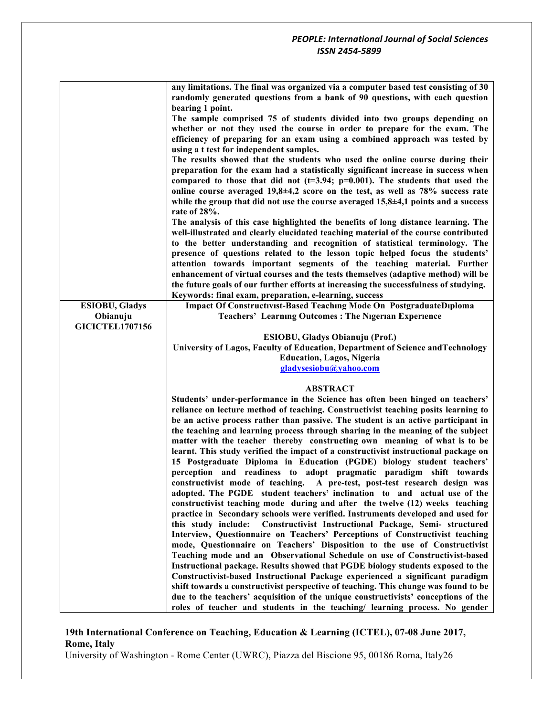| <b>ESIOBU, Gladys</b><br>Obianuju<br><b>GICICTEL1707156</b> | any limitations. The final was organized via a computer based test consisting of 30<br>randomly generated questions from a bank of 90 questions, with each question<br>bearing 1 point.<br>The sample comprised 75 of students divided into two groups depending on<br>whether or not they used the course in order to prepare for the exam. The<br>efficiency of preparing for an exam using a combined approach was tested by<br>using a t test for independent samples.<br>The results showed that the students who used the online course during their<br>preparation for the exam had a statistically significant increase in success when<br>compared to those that did not ( $t=3.94$ ; $p=0.001$ ). The students that used the<br>online course averaged $19,8\pm4,2$ score on the test, as well as 78% success rate<br>while the group that did not use the course averaged $15,8\pm4,1$ points and a success<br>rate of 28%.<br>The analysis of this case highlighted the benefits of long distance learning. The<br>well-illustrated and clearly elucidated teaching material of the course contributed<br>to the better understanding and recognition of statistical terminology. The<br>presence of questions related to the lesson topic helped focus the students'<br>attention towards important segments of the teaching material. Further<br>enhancement of virtual courses and the tests themselves (adaptive method) will be<br>the future goals of our further efforts at increasing the successfulness of studying.<br>Keywords: final exam, preparation, e-learning, success<br>Impact Of Constructivist-Based Teaching Mode On PostgraduateDiploma<br><b>Teachers' Learning Outcomes: The Nigerian Experience</b> |
|-------------------------------------------------------------|-------------------------------------------------------------------------------------------------------------------------------------------------------------------------------------------------------------------------------------------------------------------------------------------------------------------------------------------------------------------------------------------------------------------------------------------------------------------------------------------------------------------------------------------------------------------------------------------------------------------------------------------------------------------------------------------------------------------------------------------------------------------------------------------------------------------------------------------------------------------------------------------------------------------------------------------------------------------------------------------------------------------------------------------------------------------------------------------------------------------------------------------------------------------------------------------------------------------------------------------------------------------------------------------------------------------------------------------------------------------------------------------------------------------------------------------------------------------------------------------------------------------------------------------------------------------------------------------------------------------------------------------------------------------------------------------------------------------------------------------|
|                                                             | <b>ESIOBU, Gladys Obianuju (Prof.)</b>                                                                                                                                                                                                                                                                                                                                                                                                                                                                                                                                                                                                                                                                                                                                                                                                                                                                                                                                                                                                                                                                                                                                                                                                                                                                                                                                                                                                                                                                                                                                                                                                                                                                                                    |
|                                                             | University of Lagos, Faculty of Education, Department of Science and Technology                                                                                                                                                                                                                                                                                                                                                                                                                                                                                                                                                                                                                                                                                                                                                                                                                                                                                                                                                                                                                                                                                                                                                                                                                                                                                                                                                                                                                                                                                                                                                                                                                                                           |
|                                                             | <b>Education, Lagos, Nigeria</b>                                                                                                                                                                                                                                                                                                                                                                                                                                                                                                                                                                                                                                                                                                                                                                                                                                                                                                                                                                                                                                                                                                                                                                                                                                                                                                                                                                                                                                                                                                                                                                                                                                                                                                          |
|                                                             | gladysesiobu@yahoo.com                                                                                                                                                                                                                                                                                                                                                                                                                                                                                                                                                                                                                                                                                                                                                                                                                                                                                                                                                                                                                                                                                                                                                                                                                                                                                                                                                                                                                                                                                                                                                                                                                                                                                                                    |
|                                                             | <b>ABSTRACT</b>                                                                                                                                                                                                                                                                                                                                                                                                                                                                                                                                                                                                                                                                                                                                                                                                                                                                                                                                                                                                                                                                                                                                                                                                                                                                                                                                                                                                                                                                                                                                                                                                                                                                                                                           |
|                                                             | Students' under-performance in the Science has often been hinged on teachers'<br>reliance on lecture method of teaching. Constructivist teaching posits learning to                                                                                                                                                                                                                                                                                                                                                                                                                                                                                                                                                                                                                                                                                                                                                                                                                                                                                                                                                                                                                                                                                                                                                                                                                                                                                                                                                                                                                                                                                                                                                                       |
|                                                             | be an active process rather than passive. The student is an active participant in<br>the teaching and learning process through sharing in the meaning of the subject                                                                                                                                                                                                                                                                                                                                                                                                                                                                                                                                                                                                                                                                                                                                                                                                                                                                                                                                                                                                                                                                                                                                                                                                                                                                                                                                                                                                                                                                                                                                                                      |
|                                                             | matter with the teacher thereby constructing own meaning of what is to be                                                                                                                                                                                                                                                                                                                                                                                                                                                                                                                                                                                                                                                                                                                                                                                                                                                                                                                                                                                                                                                                                                                                                                                                                                                                                                                                                                                                                                                                                                                                                                                                                                                                 |
|                                                             | learnt. This study verified the impact of a constructivist instructional package on                                                                                                                                                                                                                                                                                                                                                                                                                                                                                                                                                                                                                                                                                                                                                                                                                                                                                                                                                                                                                                                                                                                                                                                                                                                                                                                                                                                                                                                                                                                                                                                                                                                       |
|                                                             | 15 Postgraduate Diploma in Education (PGDE) biology student teachers'<br>perception and readiness to adopt pragmatic paradigm shift towards                                                                                                                                                                                                                                                                                                                                                                                                                                                                                                                                                                                                                                                                                                                                                                                                                                                                                                                                                                                                                                                                                                                                                                                                                                                                                                                                                                                                                                                                                                                                                                                               |
|                                                             | constructivist mode of teaching. A pre-test, post-test research design was                                                                                                                                                                                                                                                                                                                                                                                                                                                                                                                                                                                                                                                                                                                                                                                                                                                                                                                                                                                                                                                                                                                                                                                                                                                                                                                                                                                                                                                                                                                                                                                                                                                                |
|                                                             | adopted. The PGDE student teachers' inclination to and actual use of the<br>constructivist teaching mode during and after the twelve (12) weeks teaching                                                                                                                                                                                                                                                                                                                                                                                                                                                                                                                                                                                                                                                                                                                                                                                                                                                                                                                                                                                                                                                                                                                                                                                                                                                                                                                                                                                                                                                                                                                                                                                  |
|                                                             | practice in Secondary schools were verified. Instruments developed and used for                                                                                                                                                                                                                                                                                                                                                                                                                                                                                                                                                                                                                                                                                                                                                                                                                                                                                                                                                                                                                                                                                                                                                                                                                                                                                                                                                                                                                                                                                                                                                                                                                                                           |
|                                                             | this study include: Constructivist Instructional Package, Semi- structured<br>Interview, Questionnaire on Teachers' Perceptions of Constructivist teaching                                                                                                                                                                                                                                                                                                                                                                                                                                                                                                                                                                                                                                                                                                                                                                                                                                                                                                                                                                                                                                                                                                                                                                                                                                                                                                                                                                                                                                                                                                                                                                                |
|                                                             | mode, Questionnaire on Teachers' Disposition to the use of Constructivist                                                                                                                                                                                                                                                                                                                                                                                                                                                                                                                                                                                                                                                                                                                                                                                                                                                                                                                                                                                                                                                                                                                                                                                                                                                                                                                                                                                                                                                                                                                                                                                                                                                                 |
|                                                             | Teaching mode and an Observational Schedule on use of Constructivist-based                                                                                                                                                                                                                                                                                                                                                                                                                                                                                                                                                                                                                                                                                                                                                                                                                                                                                                                                                                                                                                                                                                                                                                                                                                                                                                                                                                                                                                                                                                                                                                                                                                                                |
|                                                             | Instructional package. Results showed that PGDE biology students exposed to the                                                                                                                                                                                                                                                                                                                                                                                                                                                                                                                                                                                                                                                                                                                                                                                                                                                                                                                                                                                                                                                                                                                                                                                                                                                                                                                                                                                                                                                                                                                                                                                                                                                           |
|                                                             | Constructivist-based Instructional Package experienced a significant paradigm<br>shift towards a constructivist perspective of teaching. This change was found to be                                                                                                                                                                                                                                                                                                                                                                                                                                                                                                                                                                                                                                                                                                                                                                                                                                                                                                                                                                                                                                                                                                                                                                                                                                                                                                                                                                                                                                                                                                                                                                      |
|                                                             | due to the teachers' acquisition of the unique constructivists' conceptions of the                                                                                                                                                                                                                                                                                                                                                                                                                                                                                                                                                                                                                                                                                                                                                                                                                                                                                                                                                                                                                                                                                                                                                                                                                                                                                                                                                                                                                                                                                                                                                                                                                                                        |
|                                                             | roles of teacher and students in the teaching/ learning process. No gender                                                                                                                                                                                                                                                                                                                                                                                                                                                                                                                                                                                                                                                                                                                                                                                                                                                                                                                                                                                                                                                                                                                                                                                                                                                                                                                                                                                                                                                                                                                                                                                                                                                                |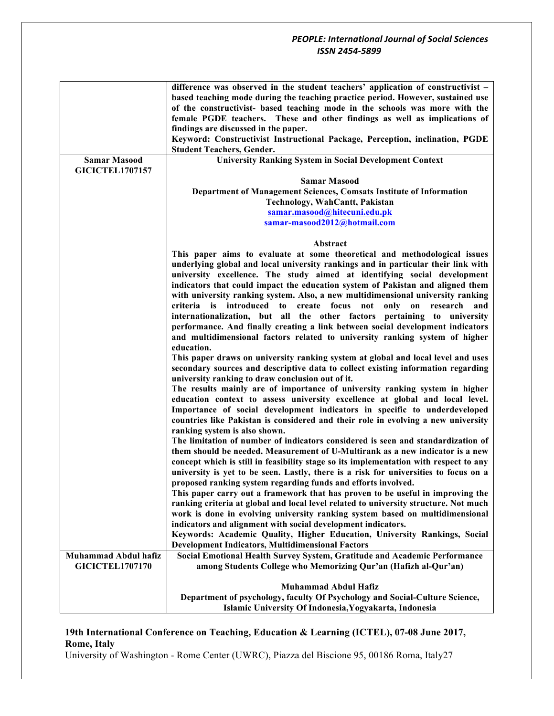|                                                | difference was observed in the student teachers' application of constructivist -<br>based teaching mode during the teaching practice period. However, sustained use<br>of the constructivist- based teaching mode in the schools was more with the<br>female PGDE teachers. These and other findings as well as implications of<br>findings are discussed in the paper.<br>Keyword: Constructivist Instructional Package, Perception, inclination, PGDE<br><b>Student Teachers, Gender.</b> |
|------------------------------------------------|---------------------------------------------------------------------------------------------------------------------------------------------------------------------------------------------------------------------------------------------------------------------------------------------------------------------------------------------------------------------------------------------------------------------------------------------------------------------------------------------|
| <b>Samar Masood</b>                            | <b>University Ranking System in Social Development Context</b>                                                                                                                                                                                                                                                                                                                                                                                                                              |
| <b>GICICTEL1707157</b>                         |                                                                                                                                                                                                                                                                                                                                                                                                                                                                                             |
|                                                | <b>Samar Masood</b><br>Department of Management Sciences, Comsats Institute of Information<br>Technology, WahCantt, Pakistan                                                                                                                                                                                                                                                                                                                                                                |
|                                                | samar.masood@hitecuni.edu.pk                                                                                                                                                                                                                                                                                                                                                                                                                                                                |
|                                                | samar-masood2012@hotmail.com                                                                                                                                                                                                                                                                                                                                                                                                                                                                |
|                                                | Abstract                                                                                                                                                                                                                                                                                                                                                                                                                                                                                    |
|                                                | This paper aims to evaluate at some theoretical and methodological issues                                                                                                                                                                                                                                                                                                                                                                                                                   |
|                                                | underlying global and local university rankings and in particular their link with                                                                                                                                                                                                                                                                                                                                                                                                           |
|                                                | university excellence. The study aimed at identifying social development                                                                                                                                                                                                                                                                                                                                                                                                                    |
|                                                | indicators that could impact the education system of Pakistan and aligned them                                                                                                                                                                                                                                                                                                                                                                                                              |
|                                                | with university ranking system. Also, a new multidimensional university ranking<br>criteria<br>is introduced<br>to create<br>focus<br>only<br>not<br>on<br>research<br>and                                                                                                                                                                                                                                                                                                                  |
|                                                | internationalization, but all the other factors pertaining to university                                                                                                                                                                                                                                                                                                                                                                                                                    |
|                                                | performance. And finally creating a link between social development indicators                                                                                                                                                                                                                                                                                                                                                                                                              |
|                                                | and multidimensional factors related to university ranking system of higher                                                                                                                                                                                                                                                                                                                                                                                                                 |
|                                                | education.                                                                                                                                                                                                                                                                                                                                                                                                                                                                                  |
|                                                | This paper draws on university ranking system at global and local level and uses<br>secondary sources and descriptive data to collect existing information regarding                                                                                                                                                                                                                                                                                                                        |
|                                                | university ranking to draw conclusion out of it.                                                                                                                                                                                                                                                                                                                                                                                                                                            |
|                                                | The results mainly are of importance of university ranking system in higher                                                                                                                                                                                                                                                                                                                                                                                                                 |
|                                                | education context to assess university excellence at global and local level.                                                                                                                                                                                                                                                                                                                                                                                                                |
|                                                | Importance of social development indicators in specific to underdeveloped                                                                                                                                                                                                                                                                                                                                                                                                                   |
|                                                | countries like Pakistan is considered and their role in evolving a new university<br>ranking system is also shown.                                                                                                                                                                                                                                                                                                                                                                          |
|                                                | The limitation of number of indicators considered is seen and standardization of                                                                                                                                                                                                                                                                                                                                                                                                            |
|                                                | them should be needed. Measurement of U-Multirank as a new indicator is a new                                                                                                                                                                                                                                                                                                                                                                                                               |
|                                                | concept which is still in feasibility stage so its implementation with respect to any                                                                                                                                                                                                                                                                                                                                                                                                       |
|                                                | university is yet to be seen. Lastly, there is a risk for universities to focus on a<br>proposed ranking system regarding funds and efforts involved.                                                                                                                                                                                                                                                                                                                                       |
|                                                | This paper carry out a framework that has proven to be useful in improving the                                                                                                                                                                                                                                                                                                                                                                                                              |
|                                                | ranking criteria at global and local level related to university structure. Not much                                                                                                                                                                                                                                                                                                                                                                                                        |
|                                                | work is done in evolving university ranking system based on multidimensional                                                                                                                                                                                                                                                                                                                                                                                                                |
|                                                | indicators and alignment with social development indicators.                                                                                                                                                                                                                                                                                                                                                                                                                                |
|                                                | Keywords: Academic Quality, Higher Education, University Rankings, Social                                                                                                                                                                                                                                                                                                                                                                                                                   |
|                                                | <b>Development Indicators, Multidimensional Factors</b>                                                                                                                                                                                                                                                                                                                                                                                                                                     |
| Muhammad Abdul hafiz<br><b>GICICTEL1707170</b> | Social Emotional Health Survey System, Gratitude and Academic Performance                                                                                                                                                                                                                                                                                                                                                                                                                   |
|                                                | among Students College who Memorizing Qur'an (Hafizh al-Qur'an)                                                                                                                                                                                                                                                                                                                                                                                                                             |
|                                                | <b>Muhammad Abdul Hafiz</b>                                                                                                                                                                                                                                                                                                                                                                                                                                                                 |
|                                                | Department of psychology, faculty Of Psychology and Social-Culture Science,                                                                                                                                                                                                                                                                                                                                                                                                                 |
|                                                | Islamic University Of Indonesia, Yogyakarta, Indonesia                                                                                                                                                                                                                                                                                                                                                                                                                                      |

# **19th International Conference on Teaching, Education & Learning (ICTEL), 07-08 June 2017, Rome, Italy**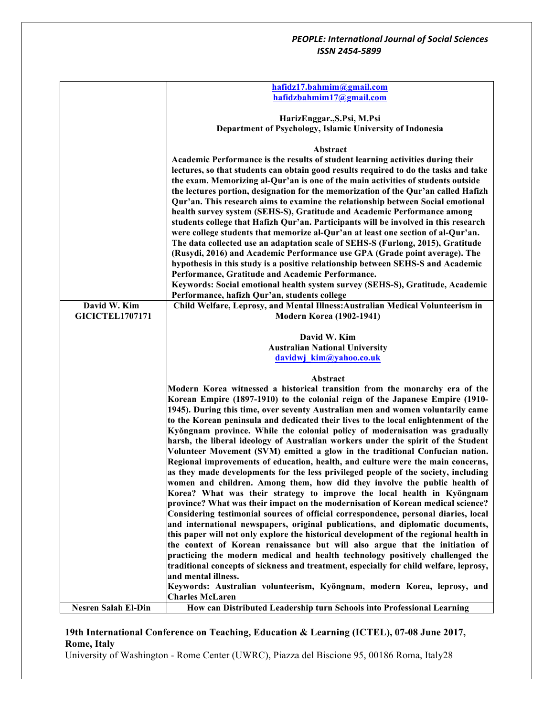|                            | hafidz17.bahmim@gmail.com                                                                                                                                                                                                                                      |
|----------------------------|----------------------------------------------------------------------------------------------------------------------------------------------------------------------------------------------------------------------------------------------------------------|
|                            | hafidzbahmim17@gmail.com                                                                                                                                                                                                                                       |
|                            |                                                                                                                                                                                                                                                                |
|                            | HarizEnggar., S.Psi, M.Psi                                                                                                                                                                                                                                     |
|                            | Department of Psychology, Islamic University of Indonesia                                                                                                                                                                                                      |
|                            | Abstract                                                                                                                                                                                                                                                       |
|                            | Academic Performance is the results of student learning activities during their                                                                                                                                                                                |
|                            | lectures, so that students can obtain good results required to do the tasks and take<br>the exam. Memorizing al-Qur'an is one of the main activities of students outside<br>the lectures portion, designation for the memorization of the Qur'an called Hafizh |
|                            | Qur'an. This research aims to examine the relationship between Social emotional<br>health survey system (SEHS-S), Gratitude and Academic Performance among<br>students college that Hafizh Qur'an. Participants will be involved in this research              |
|                            | were college students that memorize al-Qur'an at least one section of al-Qur'an.<br>The data collected use an adaptation scale of SEHS-S (Furlong, 2015), Gratitude                                                                                            |
|                            | (Rusydi, 2016) and Academic Performance use GPA (Grade point average). The                                                                                                                                                                                     |
|                            | hypothesis in this study is a positive relationship between SEHS-S and Academic                                                                                                                                                                                |
|                            | Performance, Gratitude and Academic Performance.                                                                                                                                                                                                               |
|                            | Keywords: Social emotional health system survey (SEHS-S), Gratitude, Academic                                                                                                                                                                                  |
| David W. Kim               | Performance, hafizh Qur'an, students college<br>Child Welfare, Leprosy, and Mental Illness: Australian Medical Volunteerism in                                                                                                                                 |
| <b>GICICTEL1707171</b>     | <b>Modern Korea (1902-1941)</b>                                                                                                                                                                                                                                |
|                            |                                                                                                                                                                                                                                                                |
|                            | David W. Kim                                                                                                                                                                                                                                                   |
|                            | <b>Australian National University</b>                                                                                                                                                                                                                          |
|                            | davidwj kim@yahoo.co.uk                                                                                                                                                                                                                                        |
|                            |                                                                                                                                                                                                                                                                |
|                            | Abstract                                                                                                                                                                                                                                                       |
|                            | Modern Korea witnessed a historical transition from the monarchy era of the                                                                                                                                                                                    |
|                            | Korean Empire (1897-1910) to the colonial reign of the Japanese Empire (1910-                                                                                                                                                                                  |
|                            | 1945). During this time, over seventy Australian men and women voluntarily came                                                                                                                                                                                |
|                            | to the Korean peninsula and dedicated their lives to the local enlightenment of the                                                                                                                                                                            |
|                            | Kyŏngnam province. While the colonial policy of modernisation was gradually<br>harsh, the liberal ideology of Australian workers under the spirit of the Student                                                                                               |
|                            | Volunteer Movement (SVM) emitted a glow in the traditional Confucian nation.                                                                                                                                                                                   |
|                            | Regional improvements of education, health, and culture were the main concerns,                                                                                                                                                                                |
|                            | as they made developments for the less privileged people of the society, including                                                                                                                                                                             |
|                            | women and children. Among them, how did they involve the public health of                                                                                                                                                                                      |
|                            | Korea? What was their strategy to improve the local health in Kyŏngnam                                                                                                                                                                                         |
|                            | province? What was their impact on the modernisation of Korean medical science?                                                                                                                                                                                |
|                            | Considering testimonial sources of official correspondence, personal diaries, local                                                                                                                                                                            |
|                            | and international newspapers, original publications, and diplomatic documents,                                                                                                                                                                                 |
|                            | this paper will not only explore the historical development of the regional health in                                                                                                                                                                          |
|                            | the context of Korean renaissance but will also argue that the initiation of                                                                                                                                                                                   |
|                            | practicing the modern medical and health technology positively challenged the                                                                                                                                                                                  |
|                            | traditional concepts of sickness and treatment, especially for child welfare, leprosy,                                                                                                                                                                         |
|                            | and mental illness.<br>Keywords: Australian volunteerism, Kyŏngnam, modern Korea, leprosy, and                                                                                                                                                                 |
|                            | <b>Charles McLaren</b>                                                                                                                                                                                                                                         |
| <b>Nesren Salah El-Din</b> | How can Distributed Leadership turn Schools into Professional Learning                                                                                                                                                                                         |

# **19th International Conference on Teaching, Education & Learning (ICTEL), 07-08 June 2017, Rome, Italy**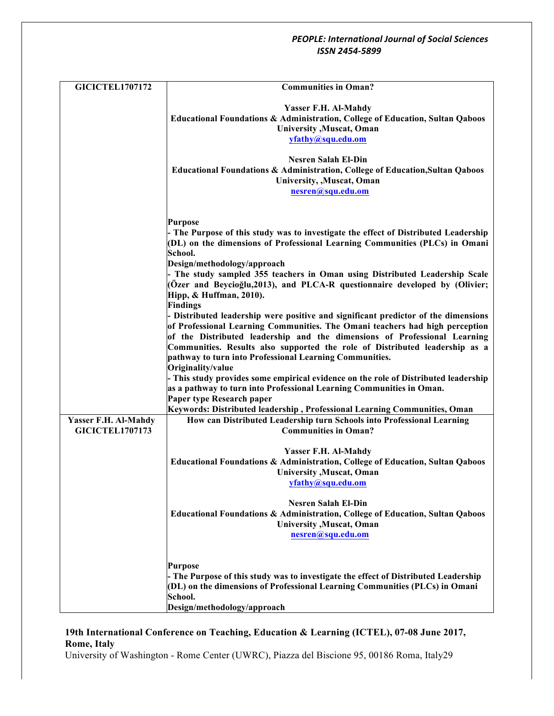| <b>GICICTEL1707172</b>                         | <b>Communities in Oman?</b>                                                                                                                                                                                                                                                                                                    |
|------------------------------------------------|--------------------------------------------------------------------------------------------------------------------------------------------------------------------------------------------------------------------------------------------------------------------------------------------------------------------------------|
|                                                | Yasser F.H. Al-Mahdy<br>Educational Foundations & Administration, College of Education, Sultan Qaboos<br>University , Muscat, Oman<br>yfathy@squ.edu.om                                                                                                                                                                        |
|                                                | <b>Nesren Salah El-Din</b><br><b>Educational Foundations &amp; Administration, College of Education, Sultan Qaboos</b><br>University, , Muscat, Oman<br>nesren@squ.edu.om                                                                                                                                                      |
|                                                | <b>Purpose</b><br>- The Purpose of this study was to investigate the effect of Distributed Leadership<br>(DL) on the dimensions of Professional Learning Communities (PLCs) in Omani<br>School.                                                                                                                                |
|                                                | Design/methodology/approach<br>- The study sampled 355 teachers in Oman using Distributed Leadership Scale<br>(Özer and Beycioğlu,2013), and PLCA-R questionnaire developed by (Olivier;<br>Hipp, & Huffman, 2010).<br><b>Findings</b>                                                                                         |
|                                                | - Distributed leadership were positive and significant predictor of the dimensions<br>of Professional Learning Communities. The Omani teachers had high perception<br>of the Distributed leadership and the dimensions of Professional Learning<br>Communities. Results also supported the role of Distributed leadership as a |
|                                                | pathway to turn into Professional Learning Communities.<br>Originality/value<br>- This study provides some empirical evidence on the role of Distributed leadership<br>as a pathway to turn into Professional Learning Communities in Oman.<br>Paper type Research paper                                                       |
| Yasser F.H. Al-Mahdy<br><b>GICICTEL1707173</b> | Keywords: Distributed leadership, Professional Learning Communities, Oman<br>How can Distributed Leadership turn Schools into Professional Learning<br><b>Communities in Oman?</b>                                                                                                                                             |
|                                                | Yasser F.H. Al-Mahdy<br>Educational Foundations & Administration, College of Education, Sultan Qaboos<br>University , Muscat, Oman<br>yfathy@squ.edu.om                                                                                                                                                                        |
|                                                | <b>Nesren Salah El-Din</b><br>Educational Foundations & Administration, College of Education, Sultan Qaboos<br>University , Muscat, Oman<br>nesren@squ.edu.om                                                                                                                                                                  |
|                                                | <b>Purpose</b><br>- The Purpose of this study was to investigate the effect of Distributed Leadership<br>(DL) on the dimensions of Professional Learning Communities (PLCs) in Omani<br>School.<br>Design/methodology/approach                                                                                                 |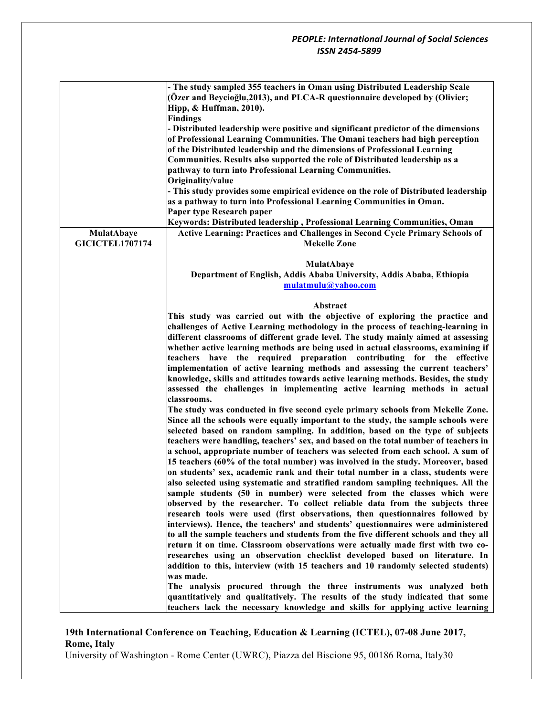|                        | - The study sampled 355 teachers in Oman using Distributed Leadership Scale<br>(Özer and Beycioğlu, 2013), and PLCA-R questionnaire developed by (Olivier;<br>Hipp, & Huffman, 2010). |
|------------------------|---------------------------------------------------------------------------------------------------------------------------------------------------------------------------------------|
|                        | <b>Findings</b>                                                                                                                                                                       |
|                        | - Distributed leadership were positive and significant predictor of the dimensions                                                                                                    |
|                        | of Professional Learning Communities. The Omani teachers had high perception                                                                                                          |
|                        | of the Distributed leadership and the dimensions of Professional Learning                                                                                                             |
|                        | Communities. Results also supported the role of Distributed leadership as a                                                                                                           |
|                        | pathway to turn into Professional Learning Communities.                                                                                                                               |
|                        | Originality/value                                                                                                                                                                     |
|                        | - This study provides some empirical evidence on the role of Distributed leadership                                                                                                   |
|                        | as a pathway to turn into Professional Learning Communities in Oman.                                                                                                                  |
|                        | Paper type Research paper                                                                                                                                                             |
|                        | Keywords: Distributed leadership, Professional Learning Communities, Oman                                                                                                             |
| MulatAbaye             | Active Learning: Practices and Challenges in Second Cycle Primary Schools of                                                                                                          |
| <b>GICICTEL1707174</b> | <b>Mekelle Zone</b>                                                                                                                                                                   |
|                        |                                                                                                                                                                                       |
|                        | <b>MulatAbaye</b>                                                                                                                                                                     |
|                        | Department of English, Addis Ababa University, Addis Ababa, Ethiopia                                                                                                                  |
|                        | mulatmulu@yahoo.com                                                                                                                                                                   |
|                        |                                                                                                                                                                                       |
|                        | Abstract                                                                                                                                                                              |
|                        | This study was carried out with the objective of exploring the practice and                                                                                                           |
|                        | challenges of Active Learning methodology in the process of teaching-learning in                                                                                                      |
|                        | different classrooms of different grade level. The study mainly aimed at assessing                                                                                                    |
|                        | whether active learning methods are being used in actual classrooms, examining if                                                                                                     |
|                        | teachers have the required preparation contributing for the<br>effective                                                                                                              |
|                        | implementation of active learning methods and assessing the current teachers'                                                                                                         |
|                        | knowledge, skills and attitudes towards active learning methods. Besides, the study                                                                                                   |
|                        | assessed the challenges in implementing active learning methods in actual                                                                                                             |
|                        | classrooms.                                                                                                                                                                           |
|                        | The study was conducted in five second cycle primary schools from Mekelle Zone.                                                                                                       |
|                        | Since all the schools were equally important to the study, the sample schools were                                                                                                    |
|                        | selected based on random sampling. In addition, based on the type of subjects                                                                                                         |
|                        | teachers were handling, teachers' sex, and based on the total number of teachers in                                                                                                   |
|                        | a school, appropriate number of teachers was selected from each school. A sum of                                                                                                      |
|                        | 15 teachers (60% of the total number) was involved in the study. Moreover, based                                                                                                      |
|                        | on students' sex, academic rank and their total number in a class, students were                                                                                                      |
|                        | also selected using systematic and stratified random sampling techniques. All the                                                                                                     |
|                        | sample students (50 in number) were selected from the classes which were                                                                                                              |
|                        | observed by the researcher. To collect reliable data from the subjects three                                                                                                          |
|                        | research tools were used (first observations, then questionnaires followed by                                                                                                         |
|                        | interviews). Hence, the teachers' and students' questionnaires were administered                                                                                                      |
|                        | to all the sample teachers and students from the five different schools and they all                                                                                                  |
|                        | return it on time. Classroom observations were actually made first with two co-                                                                                                       |
|                        | researches using an observation checklist developed based on literature. In                                                                                                           |
|                        | addition to this, interview (with 15 teachers and 10 randomly selected students)                                                                                                      |
|                        | was made.                                                                                                                                                                             |
|                        | The analysis procured through the three instruments was analyzed both                                                                                                                 |
|                        | quantitatively and qualitatively. The results of the study indicated that some                                                                                                        |
|                        | teachers lack the necessary knowledge and skills for applying active learning                                                                                                         |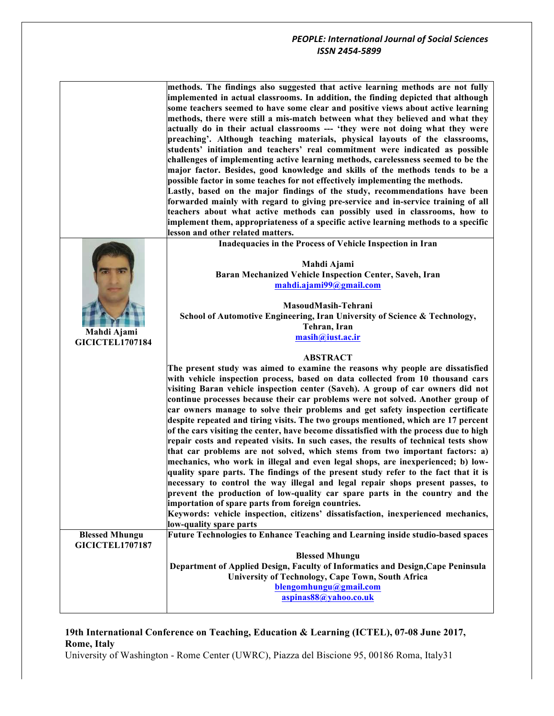|                                                 | methods. The findings also suggested that active learning methods are not fully<br>implemented in actual classrooms. In addition, the finding depicted that although<br>some teachers seemed to have some clear and positive views about active learning<br>methods, there were still a mis-match between what they believed and what they<br>actually do in their actual classrooms --- 'they were not doing what they were<br>preaching'. Although teaching materials, physical layouts of the classrooms,<br>students' initiation and teachers' real commitment were indicated as possible<br>challenges of implementing active learning methods, carelessness seemed to be the<br>major factor. Besides, good knowledge and skills of the methods tends to be a<br>possible factor in some teaches for not effectively implementing the methods.<br>Lastly, based on the major findings of the study, recommendations have been<br>forwarded mainly with regard to giving pre-service and in-service training of all<br>teachers about what active methods can possibly used in classrooms, how to<br>implement them, appropriateness of a specific active learning methods to a specific<br>lesson and other related matters.                                                                                     |
|-------------------------------------------------|------------------------------------------------------------------------------------------------------------------------------------------------------------------------------------------------------------------------------------------------------------------------------------------------------------------------------------------------------------------------------------------------------------------------------------------------------------------------------------------------------------------------------------------------------------------------------------------------------------------------------------------------------------------------------------------------------------------------------------------------------------------------------------------------------------------------------------------------------------------------------------------------------------------------------------------------------------------------------------------------------------------------------------------------------------------------------------------------------------------------------------------------------------------------------------------------------------------------------------------------------------------------------------------------------------------------|
| Mahdi Ajami<br><b>GICICTEL1707184</b>           | Inadequacies in the Process of Vehicle Inspection in Iran<br>Mahdi Ajami<br>Baran Mechanized Vehicle Inspection Center, Saveh, Iran<br>mahdi.ajami99@gmail.com<br>MasoudMasih-Tehrani<br>School of Automotive Engineering, Iran University of Science & Technology,<br>Tehran, Iran<br>masih@iust.ac.ir                                                                                                                                                                                                                                                                                                                                                                                                                                                                                                                                                                                                                                                                                                                                                                                                                                                                                                                                                                                                                |
|                                                 | <b>ABSTRACT</b><br>The present study was aimed to examine the reasons why people are dissatisfied<br>with vehicle inspection process, based on data collected from 10 thousand cars<br>visiting Baran vehicle inspection center (Saveh). A group of car owners did not<br>continue processes because their car problems were not solved. Another group of<br>car owners manage to solve their problems and get safety inspection certificate<br>despite repeated and tiring visits. The two groups mentioned, which are 17 percent<br>of the cars visiting the center, have become dissatisfied with the process due to high<br>repair costs and repeated visits. In such cases, the results of technical tests show<br>that car problems are not solved, which stems from two important factors: a)<br>mechanics, who work in illegal and even legal shops, are inexperienced; b) low-<br>quality spare parts. The findings of the present study refer to the fact that it is<br>necessary to control the way illegal and legal repair shops present passes, to<br>prevent the production of low-quality car spare parts in the country and the<br>importation of spare parts from foreign countries.<br>Keywords: vehicle inspection, citizens' dissatisfaction, inexperienced mechanics,<br>low-quality spare parts |
| <b>Blessed Mhungu</b><br><b>GICICTEL1707187</b> | Future Technologies to Enhance Teaching and Learning inside studio-based spaces<br><b>Blessed Mhungu</b><br>Department of Applied Design, Faculty of Informatics and Design, Cape Peninsula<br>University of Technology, Cape Town, South Africa<br>blengomhungu@gmail.com<br>aspinas88@yahoo.co.uk                                                                                                                                                                                                                                                                                                                                                                                                                                                                                                                                                                                                                                                                                                                                                                                                                                                                                                                                                                                                                    |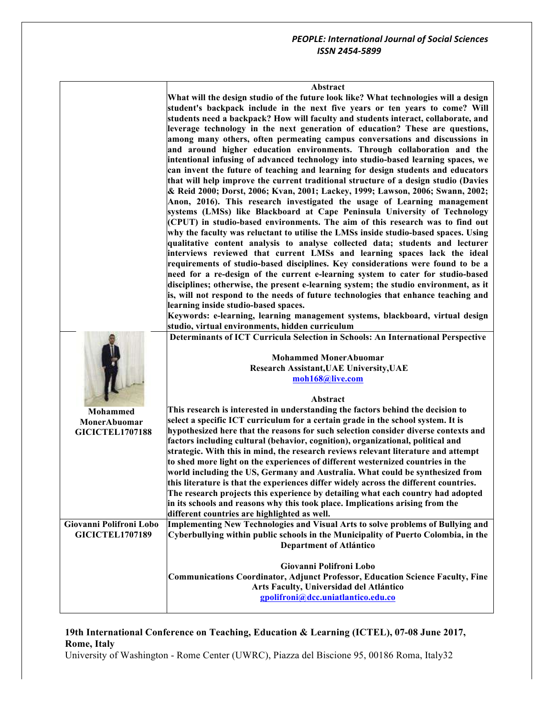| Abstract |  |
|----------|--|
|----------|--|

**What will the design studio of the future look like? What technologies will a design student's backpack include in the next five years or ten years to come? Will students need a backpack? How will faculty and students interact, collaborate, and leverage technology in the next generation of education? These are questions, among many others, often permeating campus conversations and discussions in and around higher education environments. Through collaboration and the intentional infusing of advanced technology into studio-based learning spaces, we can invent the future of teaching and learning for design students and educators that will help improve the current traditional structure of a design studio (Davies & Reid 2000; Dorst, 2006; Kvan, 2001; Lackey, 1999; Lawson, 2006; Swann, 2002; Anon, 2016). This research investigated the usage of Learning management systems (LMSs) like Blackboard at Cape Peninsula University of Technology (CPUT) in studio-based environments. The aim of this research was to find out why the faculty was reluctant to utilise the LMSs inside studio-based spaces. Using qualitative content analysis to analyse collected data; students and lecturer interviews reviewed that current LMSs and learning spaces lack the ideal requirements of studio-based disciplines. Key considerations were found to be a need for a re-design of the current e-learning system to cater for studio-based disciplines; otherwise, the present e-learning system; the studio environment, as it is, will not respond to the needs of future technologies that enhance teaching and learning inside studio-based spaces. Keywords: e-learning, learning management systems, blackboard, virtual design studio, virtual environments, hidden curriculum**

**Mohammed MonerAbuomar GICICTEL1707188 Determinants of ICT Curricula Selection in Schools: An International Perspective Mohammed MonerAbuomar Research Assistant,UAE University,UAE moh168@live.com Abstract This research is interested in understanding the factors behind the decision to select a specific ICT curriculum for a certain grade in the school system. It is hypothesized here that the reasons for such selection consider diverse contexts and factors including cultural (behavior, cognition), organizational, political and strategic. With this in mind, the research reviews relevant literature and attempt to shed more light on the experiences of different westernized countries in the world including the US, Germany and Australia. What could be synthesized from this literature is that the experiences differ widely across the different countries. The research projects this experience by detailing what each country had adopted in its schools and reasons why this took place. Implications arising from the different countries are highlighted as well. Giovanni Polifroni Lobo GICICTEL1707189 Implementing New Technologies and Visual Arts to solve problems of Bullying and Cyberbullying within public schools in the Municipality of Puerto Colombia, in the Department of Atlántico Giovanni Polifroni Lobo Communications Coordinator, Adjunct Professor, Education Science Faculty, Fine Arts Faculty, Universidad del Atlántico gpolifroni@dcc.uniatlantico.edu.co**

## **19th International Conference on Teaching, Education & Learning (ICTEL), 07-08 June 2017, Rome, Italy**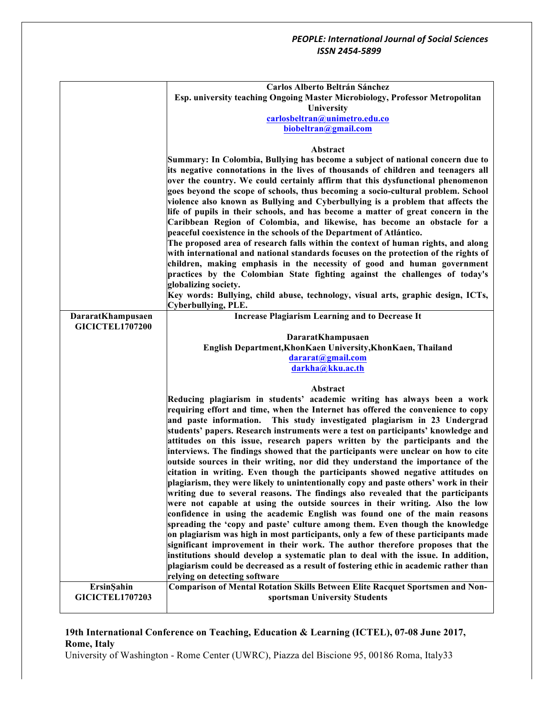|                                      | Carlos Alberto Beltrán Sánchez                                                                                                                                         |
|--------------------------------------|------------------------------------------------------------------------------------------------------------------------------------------------------------------------|
|                                      | Esp. university teaching Ongoing Master Microbiology, Professor Metropolitan                                                                                           |
|                                      | University                                                                                                                                                             |
|                                      | carlosbeltran@unimetro.edu.co                                                                                                                                          |
|                                      | biobeltran@gmail.com                                                                                                                                                   |
|                                      |                                                                                                                                                                        |
|                                      | Abstract                                                                                                                                                               |
|                                      | Summary: In Colombia, Bullying has become a subject of national concern due to                                                                                         |
|                                      | its negative connotations in the lives of thousands of children and teenagers all                                                                                      |
|                                      | over the country. We could certainly affirm that this dysfunctional phenomenon                                                                                         |
|                                      | goes beyond the scope of schools, thus becoming a socio-cultural problem. School                                                                                       |
|                                      | violence also known as Bullying and Cyberbullying is a problem that affects the                                                                                        |
|                                      | life of pupils in their schools, and has become a matter of great concern in the                                                                                       |
|                                      | Caribbean Region of Colombia, and likewise, has become an obstacle for a                                                                                               |
|                                      | peaceful coexistence in the schools of the Department of Atlántico.                                                                                                    |
|                                      | The proposed area of research falls within the context of human rights, and along                                                                                      |
|                                      | with international and national standards focuses on the protection of the rights of                                                                                   |
|                                      | children, making emphasis in the necessity of good and human government                                                                                                |
|                                      | practices by the Colombian State fighting against the challenges of today's                                                                                            |
|                                      | globalizing society.                                                                                                                                                   |
|                                      | Key words: Bullying, child abuse, technology, visual arts, graphic design, ICTs,                                                                                       |
|                                      | Cyberbullying, PLE.                                                                                                                                                    |
| DararatKhampusaen                    | <b>Increase Plagiarism Learning and to Decrease It</b>                                                                                                                 |
| <b>GICICTEL1707200</b>               |                                                                                                                                                                        |
|                                      | DararatKhampusaen                                                                                                                                                      |
|                                      | English Department, Khon Kaen University, Khon Kaen, Thailand                                                                                                          |
|                                      | dararat@gmail.com                                                                                                                                                      |
|                                      | darkha@kku.ac.th                                                                                                                                                       |
|                                      |                                                                                                                                                                        |
|                                      | Abstract                                                                                                                                                               |
|                                      | Reducing plagiarism in students' academic writing has always been a work                                                                                               |
|                                      | requiring effort and time, when the Internet has offered the convenience to copy                                                                                       |
|                                      | This study investigated plagiarism in 23 Undergrad<br>and paste information.                                                                                           |
|                                      | students' papers. Research instruments were a test on participants' knowledge and                                                                                      |
|                                      | attitudes on this issue, research papers written by the participants and the                                                                                           |
|                                      | interviews. The findings showed that the participants were unclear on how to cite<br>outside sources in their writing, nor did they understand the importance of the   |
|                                      |                                                                                                                                                                        |
|                                      | citation in writing. Even though the participants showed negative attitudes on<br>plagiarism, they were likely to unintentionally copy and paste others' work in their |
|                                      | writing due to several reasons. The findings also revealed that the participants                                                                                       |
|                                      | were not capable at using the outside sources in their writing. Also the low                                                                                           |
|                                      | confidence in using the academic English was found one of the main reasons                                                                                             |
|                                      | spreading the 'copy and paste' culture among them. Even though the knowledge                                                                                           |
|                                      | on plagiarism was high in most participants, only a few of these participants made                                                                                     |
|                                      | significant improvement in their work. The author therefore proposes that the                                                                                          |
|                                      | institutions should develop a systematic plan to deal with the issue. In addition,                                                                                     |
|                                      |                                                                                                                                                                        |
|                                      |                                                                                                                                                                        |
|                                      | plagiarism could be decreased as a result of fostering ethic in academic rather than                                                                                   |
|                                      | relying on detecting software                                                                                                                                          |
| ErsinŞahin<br><b>GICICTEL1707203</b> | <b>Comparison of Mental Rotation Skills Between Elite Racquet Sportsmen and Non-</b><br>sportsman University Students                                                  |

# **19th International Conference on Teaching, Education & Learning (ICTEL), 07-08 June 2017, Rome, Italy**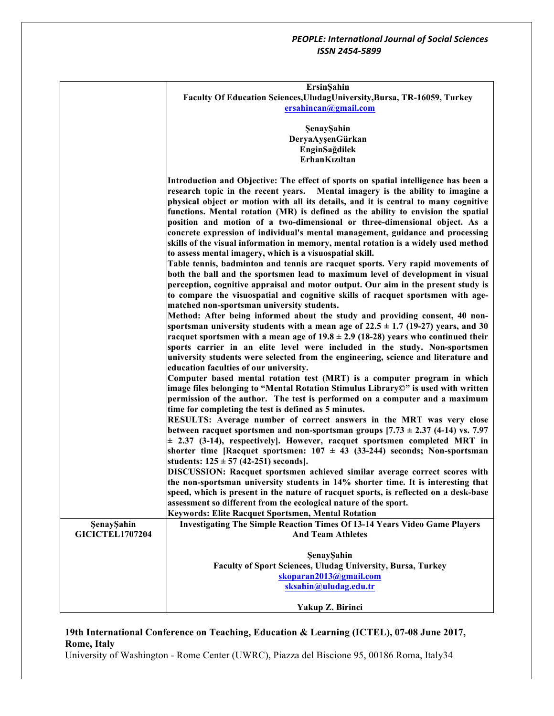|                        | ErsinŞahin                                                                                    |
|------------------------|-----------------------------------------------------------------------------------------------|
|                        | Faculty Of Education Sciences, UludagUniversity, Bursa, TR-16059, Turkey                      |
|                        | ersahincan@gmail.com                                                                          |
|                        |                                                                                               |
|                        | ŞenayŞahin                                                                                    |
|                        | DeryaAyşenGürkan                                                                              |
|                        | EnginSağdilek                                                                                 |
|                        | ErhanKızıltan                                                                                 |
|                        |                                                                                               |
|                        | Introduction and Objective: The effect of sports on spatial intelligence has been a           |
|                        | research topic in the recent years.<br>Mental imagery is the ability to imagine a             |
|                        | physical object or motion with all its details, and it is central to many cognitive           |
|                        | functions. Mental rotation (MR) is defined as the ability to envision the spatial             |
|                        | position and motion of a two-dimensional or three-dimensional object. As a                    |
|                        | concrete expression of individual's mental management, guidance and processing                |
|                        | skills of the visual information in memory, mental rotation is a widely used method           |
|                        | to assess mental imagery, which is a visuospatial skill.                                      |
|                        | Table tennis, badminton and tennis are racquet sports. Very rapid movements of                |
|                        | both the ball and the sportsmen lead to maximum level of development in visual                |
|                        | perception, cognitive appraisal and motor output. Our aim in the present study is             |
|                        | to compare the visuospatial and cognitive skills of racquet sportsmen with age-               |
|                        | matched non-sportsman university students.                                                    |
|                        | Method: After being informed about the study and providing consent, 40 non-                   |
|                        | sportsman university students with a mean age of $22.5 \pm 1.7$ (19-27) years, and 30         |
|                        | racquet sportsmen with a mean age of $19.8 \pm 2.9$ (18-28) years who continued their         |
|                        | sports carrier in an elite level were included in the study. Non-sportsmen                    |
|                        |                                                                                               |
|                        | university students were selected from the engineering, science and literature and            |
|                        | education faculties of our university.                                                        |
|                        | Computer based mental rotation test (MRT) is a computer program in which                      |
|                        | image files belonging to "Mental Rotation Stimulus Library©" is used with written             |
|                        | permission of the author. The test is performed on a computer and a maximum                   |
|                        | time for completing the test is defined as 5 minutes.                                         |
|                        | RESULTS: Average number of correct answers in the MRT was very close                          |
|                        | between racquet sportsmen and non-sportsman groups $[7.73 \pm 2.37 (4-14) \text{ vs. } 7.97]$ |
|                        | $\pm$ 2.37 (3-14), respectively]. However, racquet sportsmen completed MRT in                 |
|                        | shorter time [Racquet sportsmen: $107 \pm 43$ (33-244) seconds; Non-sportsman                 |
|                        | students: $125 \pm 57$ (42-251) seconds].                                                     |
|                        | DISCUSSION: Racquet sportsmen achieved similar average correct scores with                    |
|                        | the non-sportsman university students in 14% shorter time. It is interesting that             |
|                        | speed, which is present in the nature of racquet sports, is reflected on a desk-base          |
|                        | assessment so different from the ecological nature of the sport.                              |
|                        | Keywords: Elite Racquet Sportsmen, Mental Rotation                                            |
| ŞenayŞahin             | <b>Investigating The Simple Reaction Times Of 13-14 Years Video Game Players</b>              |
| <b>GICICTEL1707204</b> | <b>And Team Athletes</b>                                                                      |
|                        |                                                                                               |
|                        | ŞenayŞahin                                                                                    |
|                        | <b>Faculty of Sport Sciences, Uludag University, Bursa, Turkey</b>                            |
|                        | skoparan2013@gmail.com                                                                        |
|                        | sksahin@uludag.edu.tr                                                                         |
|                        |                                                                                               |
|                        | Yakup Z. Birinci                                                                              |

# **19th International Conference on Teaching, Education & Learning (ICTEL), 07-08 June 2017, Rome, Italy**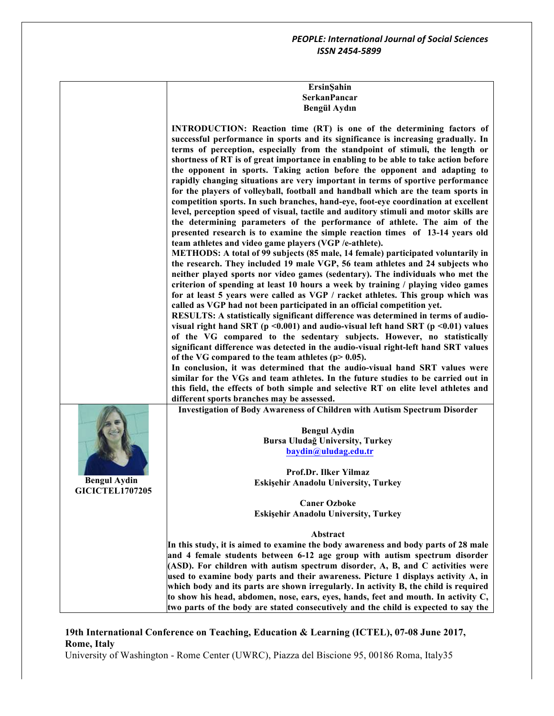| ErsinSahin   |  |
|--------------|--|
| SerkanPancar |  |
| Bengül Aydın |  |

**INTRODUCTION: Reaction time (RT) is one of the determining factors of successful performance in sports and its significance is increasing gradually. In terms of perception, especially from the standpoint of stimuli, the length or shortness of RT is of great importance in enabling to be able to take action before the opponent in sports. Taking action before the opponent and adapting to rapidly changing situations are very important in terms of sportive performance for the players of volleyball, football and handball which are the team sports in competition sports. In such branches, hand-eye, foot-eye coordination at excellent level, perception speed of visual, tactile and auditory stimuli and motor skills are the determining parameters of the performance of athlete. The aim of the presented research is to examine the simple reaction times of 13-14 years old team athletes and video game players (VGP /e-athlete). METHODS: A total of 99 subjects (85 male, 14 female) participated voluntarily in the research. They included 19 male VGP, 56 team athletes and 24 subjects who neither played sports nor video games (sedentary). The individuals who met the criterion of spending at least 10 hours a week by training / playing video games for at least 5 years were called as VGP / racket athletes. This group which was called as VGP had not been participated in an official competition yet. RESULTS: A statistically significant difference was determined in terms of audiovisual right hand SRT (p <0.001) and audio-visual left hand SRT (p <0.01) values of the VG compared to the sedentary subjects. However, no statistically significant difference was detected in the audio-visual right-left hand SRT values of the VG compared to the team athletes (p> 0.05). In conclusion, it was determined that the audio-visual hand SRT values were similar for the VGs and team athletes. In the future studies to be carried out in this field, the effects of both simple and selective RT on elite level athletes and different sports branches may be assessed. Bengul Aydin GICICTEL1707205 Investigation of Body Awareness of Children with Autism Spectrum Disorder Bengul Aydin Bursa Uludağ University, Turkey baydin@uludag.edu.tr Prof.Dr. Ilker Yilmaz Eskişehir Anadolu University, Turkey Caner Ozboke Eskişehir Anadolu University, Turkey Abstract In this study, it is aimed to examine the body awareness and body parts of 28 male and 4 female students between 6-12 age group with autism spectrum disorder (ASD). For children with autism spectrum disorder, A, B, and C activities were used to examine body parts and their awareness. Picture 1 displays activity A, in which body and its parts are shown irregularly. In activity B, the child is required to show his head, abdomen, nose, ears, eyes, hands, feet and mouth. In activity C, two parts of the body are stated consecutively and the child is expected to say the** 

## **19th International Conference on Teaching, Education & Learning (ICTEL), 07-08 June 2017, Rome, Italy**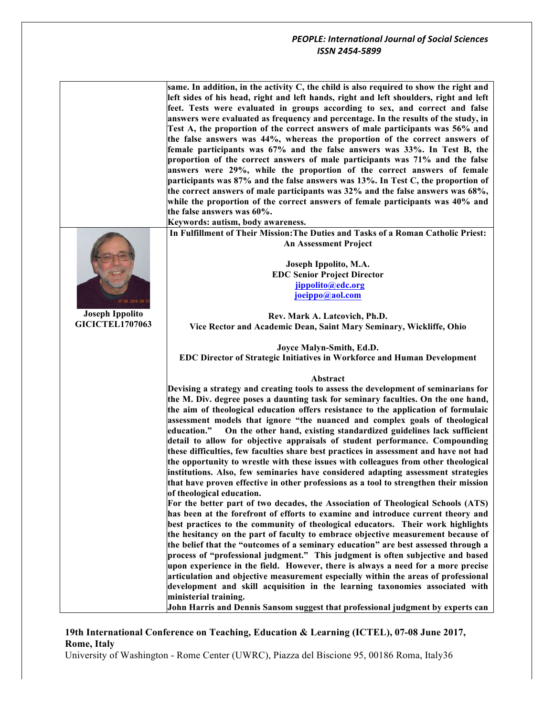**same. In addition, in the activity C, the child is also required to show the right and left sides of his head, right and left hands, right and left shoulders, right and left feet. Tests were evaluated in groups according to sex, and correct and false answers were evaluated as frequency and percentage. In the results of the study, in Test A, the proportion of the correct answers of male participants was 56% and the false answers was 44%, whereas the proportion of the correct answers of female participants was 67% and the false answers was 33%. In Test B, the proportion of the correct answers of male participants was 71% and the false answers were 29%, while the proportion of the correct answers of female participants was 87% and the false answers was 13%. In Test C, the proportion of the correct answers of male participants was 32% and the false answers was 68%, while the proportion of the correct answers of female participants was 40% and the false answers was 60%.**

**Keywords: autism, body awareness.**

**In Fulfillment of Their Mission:The Duties and Tasks of a Roman Catholic Priest: An Assessment Project** 

> **Joseph Ippolito, M.A. EDC Senior Project Director jippolito@edc.org joeippo@aol.com**

**Rev. Mark A. Latcovich, Ph.D. Vice Rector and Academic Dean, Saint Mary Seminary, Wickliffe, Ohio**

**Joyce Malyn-Smith, Ed.D. EDC Director of Strategic Initiatives in Workforce and Human Development**

#### **Abstract**

**Devising a strategy and creating tools to assess the development of seminarians for the M. Div. degree poses a daunting task for seminary faculties. On the one hand, the aim of theological education offers resistance to the application of formulaic assessment models that ignore "the nuanced and complex goals of theological education." On the other hand, existing standardized guidelines lack sufficient detail to allow for objective appraisals of student performance. Compounding these difficulties, few faculties share best practices in assessment and have not had the opportunity to wrestle with these issues with colleagues from other theological institutions. Also, few seminaries have considered adapting assessment strategies that have proven effective in other professions as a tool to strengthen their mission of theological education.** 

**For the better part of two decades, the Association of Theological Schools (ATS) has been at the forefront of efforts to examine and introduce current theory and best practices to the community of theological educators. Their work highlights the hesitancy on the part of faculty to embrace objective measurement because of the belief that the "outcomes of a seminary education" are best assessed through a process of "professional judgment." This judgment is often subjective and based upon experience in the field. However, there is always a need for a more precise articulation and objective measurement especially within the areas of professional development and skill acquisition in the learning taxonomies associated with ministerial training.** 

**John Harris and Dennis Sansom suggest that professional judgment by experts can** 

## **19th International Conference on Teaching, Education & Learning (ICTEL), 07-08 June 2017, Rome, Italy**

University of Washington - Rome Center (UWRC), Piazza del Biscione 95, 00186 Roma, Italy36



**Joseph Ippolito GICICTEL1707063**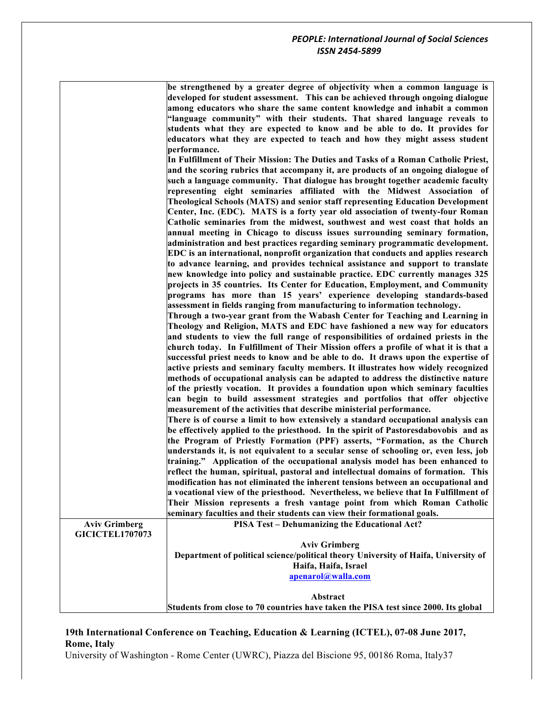| be strengthened by a greater degree of objectivity when a common language is    |
|---------------------------------------------------------------------------------|
| developed for student assessment. This can be achieved through ongoing dialogue |
| among educators who share the same content knowledge and inhabit a common       |
| "language community" with their students. That shared language reveals to       |
| students what they are expected to know and be able to do. It provides for      |
| educators what they are expected to teach and how they might assess student     |
| performance.                                                                    |

**In Fulfillment of Their Mission: The Duties and Tasks of a Roman Catholic Priest, and the scoring rubrics that accompany it, are products of an ongoing dialogue of such a language community. That dialogue has brought together academic faculty representing eight seminaries affiliated with the Midwest Association of Theological Schools (MATS) and senior staff representing Education Development Center, Inc. (EDC). MATS is a forty year old association of twenty-four Roman Catholic seminaries from the midwest, southwest and west coast that holds an annual meeting in Chicago to discuss issues surrounding seminary formation, administration and best practices regarding seminary programmatic development. EDC is an international, nonprofit organization that conducts and applies research to advance learning, and provides technical assistance and support to translate new knowledge into policy and sustainable practice. EDC currently manages 325 projects in 35 countries. Its Center for Education, Employment, and Community programs has more than 15 years' experience developing standards-based assessment in fields ranging from manufacturing to information technology.** 

**Through a two-year grant from the Wabash Center for Teaching and Learning in Theology and Religion, MATS and EDC have fashioned a new way for educators and students to view the full range of responsibilities of ordained priests in the church today. In Fulfillment of Their Mission offers a profile of what it is that a successful priest needs to know and be able to do. It draws upon the expertise of active priests and seminary faculty members. It illustrates how widely recognized methods of occupational analysis can be adapted to address the distinctive nature of the priestly vocation. It provides a foundation upon which seminary faculties can begin to build assessment strategies and portfolios that offer objective measurement of the activities that describe ministerial performance.**

**There is of course a limit to how extensively a standard occupational analysis can be effectively applied to the priesthood. In the spirit of Pastoresdabovobis and as the Program of Priestly Formation (PPF) asserts, "Formation, as the Church understands it, is not equivalent to a secular sense of schooling or, even less, job training." Application of the occupational analysis model has been enhanced to reflect the human, spiritual, pastoral and intellectual domains of formation. This modification has not eliminated the inherent tensions between an occupational and a vocational view of the priesthood. Nevertheless, we believe that In Fulfillment of Their Mission represents a fresh vantage point from which Roman Catholic**  faculties and their students can

|                        | seminary faculties and their students can view their formational goals.             |
|------------------------|-------------------------------------------------------------------------------------|
| <b>Aviv Grimberg</b>   | <b>PISA Test - Dehumanizing the Educational Act?</b>                                |
| <b>GICICTEL1707073</b> |                                                                                     |
|                        | <b>Aviv Grimberg</b>                                                                |
|                        | Department of political science/political theory University of Haifa, University of |
|                        | Haifa, Haifa, Israel                                                                |
|                        | apenarol@walla.com                                                                  |
|                        |                                                                                     |
|                        | Abstract                                                                            |
|                        | Students from close to 70 countries have taken the PISA test since 2000. Its global |

## **19th International Conference on Teaching, Education & Learning (ICTEL), 07-08 June 2017, Rome, Italy**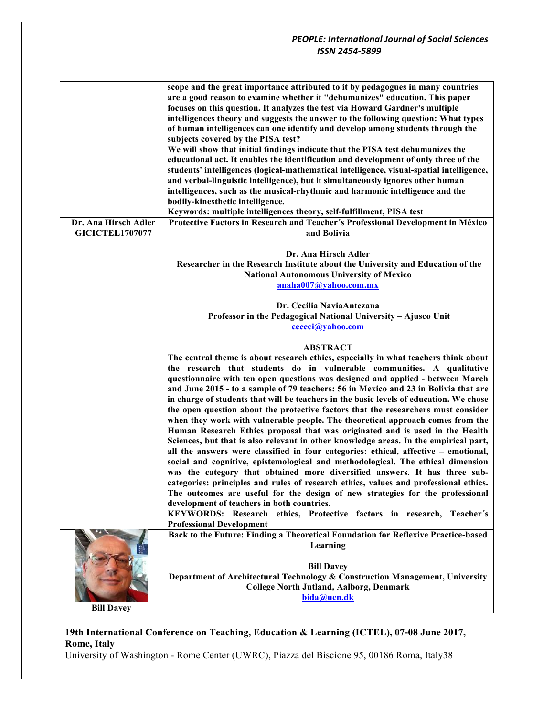|                        | scope and the great importance attributed to it by pedagogues in many countries          |
|------------------------|------------------------------------------------------------------------------------------|
|                        | are a good reason to examine whether it "dehumanizes" education. This paper              |
|                        | focuses on this question. It analyzes the test via Howard Gardner's multiple             |
|                        | intelligences theory and suggests the answer to the following question: What types       |
|                        |                                                                                          |
|                        | of human intelligences can one identify and develop among students through the           |
|                        | subjects covered by the PISA test?                                                       |
|                        | We will show that initial findings indicate that the PISA test dehumanizes the           |
|                        | educational act. It enables the identification and development of only three of the      |
|                        | students' intelligences (logical-mathematical intelligence, visual-spatial intelligence, |
|                        | and verbal-linguistic intelligence), but it simultaneously ignores other human           |
|                        | intelligences, such as the musical-rhythmic and harmonic intelligence and the            |
|                        | bodily-kinesthetic intelligence.                                                         |
|                        | Keywords: multiple intelligences theory, self-fulfillment, PISA test                     |
|                        |                                                                                          |
| Dr. Ana Hirsch Adler   | Protective Factors in Research and Teacher's Professional Development in México          |
| <b>GICICTEL1707077</b> | and Bolivia                                                                              |
|                        |                                                                                          |
|                        | Dr. Ana Hirsch Adler                                                                     |
|                        | Researcher in the Research Institute about the University and Education of the           |
|                        | <b>National Autonomous University of Mexico</b>                                          |
|                        | anaha007@yahoo.com.mx                                                                    |
|                        |                                                                                          |
|                        | Dr. Cecilia NaviaAntezana                                                                |
|                        | Professor in the Pedagogical National University - Ajusco Unit                           |
|                        | ceeeci@yahoo.com                                                                         |
|                        |                                                                                          |
|                        |                                                                                          |
|                        | <b>ABSTRACT</b>                                                                          |
|                        | The central theme is about research ethics, especially in what teachers think about      |
|                        | the research that students do in vulnerable communities. A qualitative                   |
|                        | questionnaire with ten open questions was designed and applied - between March           |
|                        | and June 2015 - to a sample of 79 teachers: 56 in Mexico and 23 in Bolivia that are      |
|                        | in charge of students that will be teachers in the basic levels of education. We chose   |
|                        | the open question about the protective factors that the researchers must consider        |
|                        | when they work with vulnerable people. The theoretical approach comes from the           |
|                        | Human Research Ethics proposal that was originated and is used in the Health             |
|                        | Sciences, but that is also relevant in other knowledge areas. In the empirical part,     |
|                        |                                                                                          |
|                        | all the answers were classified in four categories: ethical, affective - emotional,      |
|                        | social and cognitive, epistemological and methodological. The ethical dimension          |
|                        | was the category that obtained more diversified answers. It has three sub-               |
|                        | categories: principles and rules of research ethics, values and professional ethics.     |
|                        | The outcomes are useful for the design of new strategies for the professional            |
|                        | development of teachers in both countries.                                               |
|                        | KEYWORDS: Research ethics, Protective factors in research, Teacher's                     |
|                        | <b>Professional Development</b>                                                          |
|                        | Back to the Future: Finding a Theoretical Foundation for Reflexive Practice-based        |
|                        | Learning                                                                                 |
|                        |                                                                                          |
|                        |                                                                                          |
|                        | <b>Bill Davey</b>                                                                        |
|                        | Department of Architectural Technology & Construction Management, University             |
|                        | <b>College North Jutland, Aalborg, Denmark</b>                                           |
|                        | bida@ucn.dk                                                                              |
| <b>Bill Davey</b>      |                                                                                          |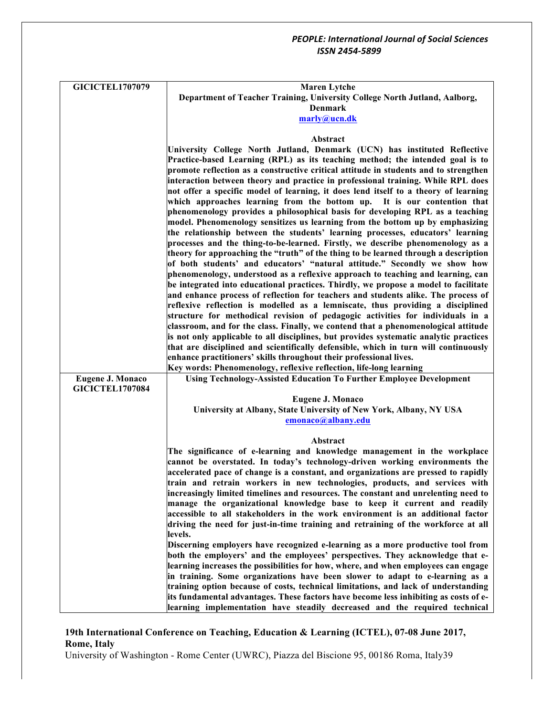| <b>GICICTEL1707079</b>  | <b>Maren Lytche</b><br>Department of Teacher Training, University College North Jutland, Aalborg,                                                                    |
|-------------------------|----------------------------------------------------------------------------------------------------------------------------------------------------------------------|
|                         | <b>Denmark</b>                                                                                                                                                       |
|                         | marly@ucn.dk                                                                                                                                                         |
|                         |                                                                                                                                                                      |
|                         | Abstract                                                                                                                                                             |
|                         | University College North Jutland, Denmark (UCN) has instituted Reflective                                                                                            |
|                         | Practice-based Learning (RPL) as its teaching method; the intended goal is to                                                                                        |
|                         | promote reflection as a constructive critical attitude in students and to strengthen                                                                                 |
|                         | interaction between theory and practice in professional training. While RPL does                                                                                     |
|                         | not offer a specific model of learning, it does lend itself to a theory of learning                                                                                  |
|                         | which approaches learning from the bottom up. It is our contention that<br>phenomenology provides a philosophical basis for developing RPL as a teaching             |
|                         | model. Phenomenology sensitizes us learning from the bottom up by emphasizing                                                                                        |
|                         | the relationship between the students' learning processes, educators' learning                                                                                       |
|                         | processes and the thing-to-be-learned. Firstly, we describe phenomenology as a                                                                                       |
|                         | theory for approaching the "truth" of the thing to be learned through a description                                                                                  |
|                         | of both students' and educators' "natural attitude." Secondly we show how                                                                                            |
|                         | phenomenology, understood as a reflexive approach to teaching and learning, can                                                                                      |
|                         | be integrated into educational practices. Thirdly, we propose a model to facilitate                                                                                  |
|                         | and enhance process of reflection for teachers and students alike. The process of                                                                                    |
|                         | reflexive reflection is modelled as a lemniscate, thus providing a disciplined                                                                                       |
|                         | structure for methodical revision of pedagogic activities for individuals in a<br>classroom, and for the class. Finally, we contend that a phenomenological attitude |
|                         | is not only applicable to all disciplines, but provides systematic analytic practices                                                                                |
|                         | that are disciplined and scientifically defensible, which in turn will continuously                                                                                  |
|                         | enhance practitioners' skills throughout their professional lives.                                                                                                   |
|                         | Key words: Phenomenology, reflexive reflection, life-long learning                                                                                                   |
| <b>Eugene J. Monaco</b> | <b>Using Technology-Assisted Education To Further Employee Development</b>                                                                                           |
| <b>GICICTEL1707084</b>  |                                                                                                                                                                      |
|                         | <b>Eugene J. Monaco</b>                                                                                                                                              |
|                         | University at Albany, State University of New York, Albany, NY USA                                                                                                   |
|                         | emonaco@albany.edu                                                                                                                                                   |
|                         | Abstract                                                                                                                                                             |
|                         | The significance of e-learning and knowledge management in the workplace                                                                                             |
|                         | cannot be overstated. In today's technology-driven working environments the                                                                                          |
|                         | accelerated pace of change is a constant, and organizations are pressed to rapidly                                                                                   |
|                         | train and retrain workers in new technologies, products, and services with                                                                                           |
|                         | increasingly limited timelines and resources. The constant and unrelenting need to                                                                                   |
|                         | manage the organizational knowledge base to keep it current and readily                                                                                              |
|                         | accessible to all stakeholders in the work environment is an additional factor                                                                                       |
|                         | driving the need for just-in-time training and retraining of the workforce at all                                                                                    |
|                         | levels.<br>Discerning employers have recognized e-learning as a more productive tool from                                                                            |
|                         | both the employers' and the employees' perspectives. They acknowledge that e-                                                                                        |
|                         | learning increases the possibilities for how, where, and when employees can engage                                                                                   |
|                         | in training. Some organizations have been slower to adapt to e-learning as a                                                                                         |
|                         | training option because of costs, technical limitations, and lack of understanding                                                                                   |
|                         | its fundamental advantages. These factors have become less inhibiting as costs of e-                                                                                 |
|                         | learning implementation have steadily decreased and the required technical                                                                                           |

# **19th International Conference on Teaching, Education & Learning (ICTEL), 07-08 June 2017, Rome, Italy**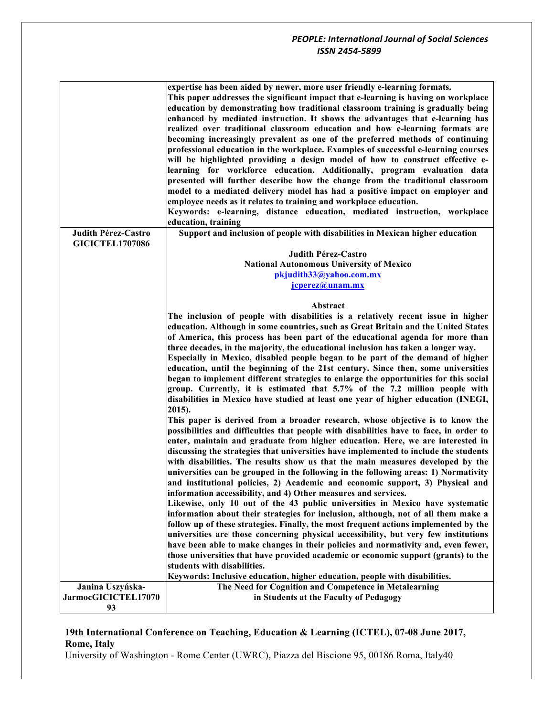|                                               | expertise has been aided by newer, more user friendly e-learning formats.<br>This paper addresses the significant impact that e-learning is having on workplace<br>education by demonstrating how traditional classroom training is gradually being<br>enhanced by mediated instruction. It shows the advantages that e-learning has<br>realized over traditional classroom education and how e-learning formats are<br>becoming increasingly prevalent as one of the preferred methods of continuing<br>professional education in the workplace. Examples of successful e-learning courses<br>will be highlighted providing a design model of how to construct effective e-<br>learning for workforce education. Additionally, program evaluation data<br>presented will further describe how the change from the traditional classroom<br>model to a mediated delivery model has had a positive impact on employer and<br>employee needs as it relates to training and workplace education.<br>Keywords: e-learning, distance education, mediated instruction, workplace<br>education, training |
|-----------------------------------------------|---------------------------------------------------------------------------------------------------------------------------------------------------------------------------------------------------------------------------------------------------------------------------------------------------------------------------------------------------------------------------------------------------------------------------------------------------------------------------------------------------------------------------------------------------------------------------------------------------------------------------------------------------------------------------------------------------------------------------------------------------------------------------------------------------------------------------------------------------------------------------------------------------------------------------------------------------------------------------------------------------------------------------------------------------------------------------------------------------|
| Judith Pérez-Castro<br><b>GICICTEL1707086</b> | Support and inclusion of people with disabilities in Mexican higher education                                                                                                                                                                                                                                                                                                                                                                                                                                                                                                                                                                                                                                                                                                                                                                                                                                                                                                                                                                                                                     |
|                                               | Judith Pérez-Castro                                                                                                                                                                                                                                                                                                                                                                                                                                                                                                                                                                                                                                                                                                                                                                                                                                                                                                                                                                                                                                                                               |
|                                               | <b>National Autonomous University of Mexico</b>                                                                                                                                                                                                                                                                                                                                                                                                                                                                                                                                                                                                                                                                                                                                                                                                                                                                                                                                                                                                                                                   |
|                                               | pkjudith33@yahoo.com.mx                                                                                                                                                                                                                                                                                                                                                                                                                                                                                                                                                                                                                                                                                                                                                                                                                                                                                                                                                                                                                                                                           |
|                                               | jcperez@unam.mx                                                                                                                                                                                                                                                                                                                                                                                                                                                                                                                                                                                                                                                                                                                                                                                                                                                                                                                                                                                                                                                                                   |
|                                               |                                                                                                                                                                                                                                                                                                                                                                                                                                                                                                                                                                                                                                                                                                                                                                                                                                                                                                                                                                                                                                                                                                   |
|                                               | Abstract                                                                                                                                                                                                                                                                                                                                                                                                                                                                                                                                                                                                                                                                                                                                                                                                                                                                                                                                                                                                                                                                                          |
|                                               | The inclusion of people with disabilities is a relatively recent issue in higher                                                                                                                                                                                                                                                                                                                                                                                                                                                                                                                                                                                                                                                                                                                                                                                                                                                                                                                                                                                                                  |
|                                               | education. Although in some countries, such as Great Britain and the United States                                                                                                                                                                                                                                                                                                                                                                                                                                                                                                                                                                                                                                                                                                                                                                                                                                                                                                                                                                                                                |
|                                               | of America, this process has been part of the educational agenda for more than                                                                                                                                                                                                                                                                                                                                                                                                                                                                                                                                                                                                                                                                                                                                                                                                                                                                                                                                                                                                                    |
|                                               | three decades, in the majority, the educational inclusion has taken a longer way.                                                                                                                                                                                                                                                                                                                                                                                                                                                                                                                                                                                                                                                                                                                                                                                                                                                                                                                                                                                                                 |
|                                               | Especially in Mexico, disabled people began to be part of the demand of higher                                                                                                                                                                                                                                                                                                                                                                                                                                                                                                                                                                                                                                                                                                                                                                                                                                                                                                                                                                                                                    |
|                                               | education, until the beginning of the 21st century. Since then, some universities                                                                                                                                                                                                                                                                                                                                                                                                                                                                                                                                                                                                                                                                                                                                                                                                                                                                                                                                                                                                                 |
|                                               | began to implement different strategies to enlarge the opportunities for this social                                                                                                                                                                                                                                                                                                                                                                                                                                                                                                                                                                                                                                                                                                                                                                                                                                                                                                                                                                                                              |
|                                               | group. Currently, it is estimated that 5.7% of the 7.2 million people with<br>disabilities in Mexico have studied at least one year of higher education (INEGI,                                                                                                                                                                                                                                                                                                                                                                                                                                                                                                                                                                                                                                                                                                                                                                                                                                                                                                                                   |
|                                               | 2015).                                                                                                                                                                                                                                                                                                                                                                                                                                                                                                                                                                                                                                                                                                                                                                                                                                                                                                                                                                                                                                                                                            |
|                                               | This paper is derived from a broader research, whose objective is to know the<br>possibilities and difficulties that people with disabilities have to face, in order to<br>enter, maintain and graduate from higher education. Here, we are interested in<br>discussing the strategies that universities have implemented to include the students<br>with disabilities. The results show us that the main measures developed by the<br>universities can be grouped in the following in the following areas: 1) Normativity<br>and institutional policies, 2) Academic and economic support, 3) Physical and<br>information accessibility, and 4) Other measures and services.                                                                                                                                                                                                                                                                                                                                                                                                                     |
|                                               | Likewise, only 10 out of the 43 public universities in Mexico have systematic<br>information about their strategies for inclusion, although, not of all them make a                                                                                                                                                                                                                                                                                                                                                                                                                                                                                                                                                                                                                                                                                                                                                                                                                                                                                                                               |
|                                               | follow up of these strategies. Finally, the most frequent actions implemented by the                                                                                                                                                                                                                                                                                                                                                                                                                                                                                                                                                                                                                                                                                                                                                                                                                                                                                                                                                                                                              |
|                                               | universities are those concerning physical accessibility, but very few institutions                                                                                                                                                                                                                                                                                                                                                                                                                                                                                                                                                                                                                                                                                                                                                                                                                                                                                                                                                                                                               |
|                                               | have been able to make changes in their policies and normativity and, even fewer,                                                                                                                                                                                                                                                                                                                                                                                                                                                                                                                                                                                                                                                                                                                                                                                                                                                                                                                                                                                                                 |
|                                               | those universities that have provided academic or economic support (grants) to the                                                                                                                                                                                                                                                                                                                                                                                                                                                                                                                                                                                                                                                                                                                                                                                                                                                                                                                                                                                                                |
|                                               | students with disabilities.                                                                                                                                                                                                                                                                                                                                                                                                                                                                                                                                                                                                                                                                                                                                                                                                                                                                                                                                                                                                                                                                       |
|                                               | Keywords: Inclusive education, higher education, people with disabilities.                                                                                                                                                                                                                                                                                                                                                                                                                                                                                                                                                                                                                                                                                                                                                                                                                                                                                                                                                                                                                        |
| Janina Uszyńska-                              | The Need for Cognition and Competence in Metalearning                                                                                                                                                                                                                                                                                                                                                                                                                                                                                                                                                                                                                                                                                                                                                                                                                                                                                                                                                                                                                                             |
| JarmocGICICTEL17070                           | in Students at the Faculty of Pedagogy                                                                                                                                                                                                                                                                                                                                                                                                                                                                                                                                                                                                                                                                                                                                                                                                                                                                                                                                                                                                                                                            |
| 93                                            |                                                                                                                                                                                                                                                                                                                                                                                                                                                                                                                                                                                                                                                                                                                                                                                                                                                                                                                                                                                                                                                                                                   |
|                                               |                                                                                                                                                                                                                                                                                                                                                                                                                                                                                                                                                                                                                                                                                                                                                                                                                                                                                                                                                                                                                                                                                                   |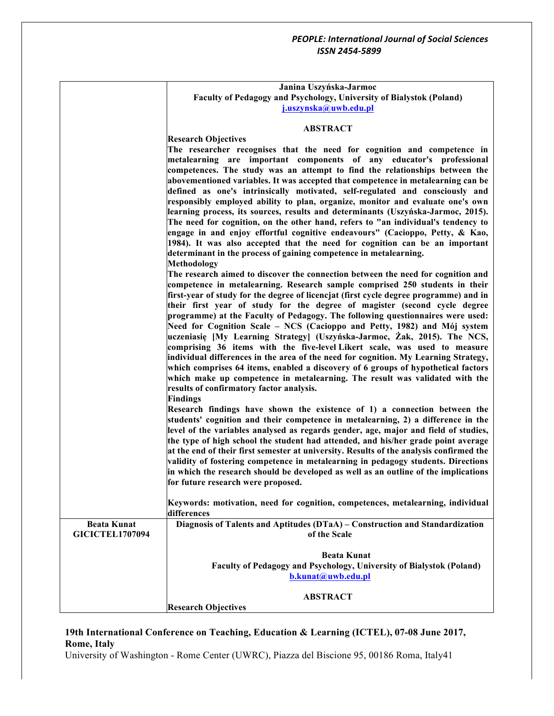|                        | Janina Uszyńska-Jarmoc                                                                                                                                                   |
|------------------------|--------------------------------------------------------------------------------------------------------------------------------------------------------------------------|
|                        | Faculty of Pedagogy and Psychology, University of Bialystok (Poland)                                                                                                     |
|                        | j.uszynska@uwb.edu.pl                                                                                                                                                    |
|                        | <b>ABSTRACT</b>                                                                                                                                                          |
|                        |                                                                                                                                                                          |
|                        | <b>Research Objectives</b><br>The researcher recognises that the need for cognition and competence in                                                                    |
|                        | metalearning are important components of any educator's professional                                                                                                     |
|                        | competences. The study was an attempt to find the relationships between the                                                                                              |
|                        | abovementioned variables. It was accepted that competence in metalearning can be                                                                                         |
|                        | defined as one's intrinsically motivated, self-regulated and consciously and                                                                                             |
|                        | responsibly employed ability to plan, organize, monitor and evaluate one's own                                                                                           |
|                        | learning process, its sources, results and determinants (Uszyńska-Jarmoc, 2015).                                                                                         |
|                        | The need for cognition, on the other hand, refers to "an individual's tendency to                                                                                        |
|                        | engage in and enjoy effortful cognitive endeavours" (Cacioppo, Petty, & Kao,                                                                                             |
|                        | 1984). It was also accepted that the need for cognition can be an important                                                                                              |
|                        | determinant in the process of gaining competence in metalearning.                                                                                                        |
|                        | <b>Methodology</b>                                                                                                                                                       |
|                        | The research aimed to discover the connection between the need for cognition and                                                                                         |
|                        | competence in metalearning. Research sample comprised 250 students in their                                                                                              |
|                        | first-year of study for the degree of licencjat (first cycle degree programme) and in<br>their first year of study for the degree of magister (second cycle degree       |
|                        | programme) at the Faculty of Pedagogy. The following questionnaires were used:                                                                                           |
|                        | Need for Cognition Scale – NCS (Cacioppo and Petty, 1982) and Mój system                                                                                                 |
|                        | uczeniasię [My Learning Strategy] (Uszyńska-Jarmoc, Żak, 2015). The NCS,                                                                                                 |
|                        | comprising 36 items with the five-level Likert scale, was used to measure                                                                                                |
|                        | individual differences in the area of the need for cognition. My Learning Strategy,                                                                                      |
|                        | which comprises 64 items, enabled a discovery of 6 groups of hypothetical factors                                                                                        |
|                        | which make up competence in metalearning. The result was validated with the                                                                                              |
|                        | results of confirmatory factor analysis.                                                                                                                                 |
|                        | <b>Findings</b>                                                                                                                                                          |
|                        | Research findings have shown the existence of 1) a connection between the                                                                                                |
|                        | students' cognition and their competence in metalearning, 2) a difference in the                                                                                         |
|                        | level of the variables analysed as regards gender, age, major and field of studies,                                                                                      |
|                        | the type of high school the student had attended, and his/her grade point average                                                                                        |
|                        | at the end of their first semester at university. Results of the analysis confirmed the                                                                                  |
|                        | validity of fostering competence in metalearning in pedagogy students. Directions<br>in which the research should be developed as well as an outline of the implications |
|                        | for future research were proposed.                                                                                                                                       |
|                        |                                                                                                                                                                          |
|                        | Keywords: motivation, need for cognition, competences, metalearning, individual                                                                                          |
|                        | differences                                                                                                                                                              |
| <b>Beata Kunat</b>     | Diagnosis of Talents and Aptitudes (DTaA) – Construction and Standardization                                                                                             |
| <b>GICICTEL1707094</b> | of the Scale                                                                                                                                                             |
|                        |                                                                                                                                                                          |
|                        | <b>Beata Kunat</b>                                                                                                                                                       |
|                        | Faculty of Pedagogy and Psychology, University of Bialystok (Poland)                                                                                                     |
|                        | b.kunat@uwb.edu.pl                                                                                                                                                       |
|                        | <b>ABSTRACT</b>                                                                                                                                                          |
|                        | <b>Research Objectives</b>                                                                                                                                               |
|                        |                                                                                                                                                                          |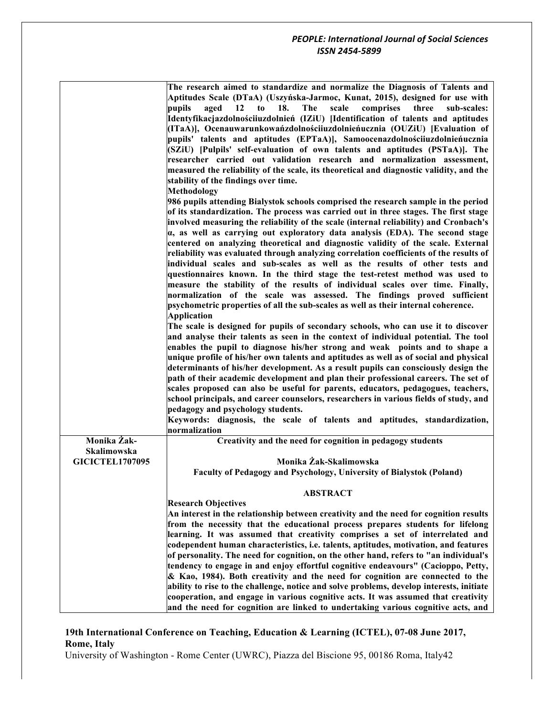|                        | The research aimed to standardize and normalize the Diagnosis of Talents and<br>Aptitudes Scale (DTaA) (Uszyńska-Jarmoc, Kunat, 2015), designed for use with |
|------------------------|--------------------------------------------------------------------------------------------------------------------------------------------------------------|
|                        | pupils<br>The<br>scale<br>comprises<br>aged $12$ to<br>18.<br>three<br>sub-scales:                                                                           |
|                        | Identyfikacjazdolnościiuzdolnień (IZiU) [Identification of talents and aptitudes                                                                             |
|                        |                                                                                                                                                              |
|                        | (ITaA)], Ocenauwarunkowańzdolnościiuzdolnieńucznia (OUZiU) [Evaluation of                                                                                    |
|                        | pupils' talents and aptitudes (EPTaA)], Samoocenazdolnościiuzdolnieńucznia                                                                                   |
|                        | (SZiU) [Pulpils' self-evaluation of own talents and aptitudes (PSTaA)]. The                                                                                  |
|                        | researcher carried out validation research and normalization assessment,                                                                                     |
|                        | measured the reliability of the scale, its theoretical and diagnostic validity, and the                                                                      |
|                        | stability of the findings over time.                                                                                                                         |
|                        | <b>Methodology</b>                                                                                                                                           |
|                        | 986 pupils attending Bialystok schools comprised the research sample in the period                                                                           |
|                        | of its standardization. The process was carried out in three stages. The first stage                                                                         |
|                        | involved measuring the reliability of the scale (internal reliability) and Cronbach's                                                                        |
|                        | $\alpha$ , as well as carrying out exploratory data analysis (EDA). The second stage                                                                         |
|                        | centered on analyzing theoretical and diagnostic validity of the scale. External                                                                             |
|                        | reliability was evaluated through analyzing correlation coefficients of the results of                                                                       |
|                        | individual scales and sub-scales as well as the results of other tests and                                                                                   |
|                        | questionnaires known. In the third stage the test-retest method was used to                                                                                  |
|                        | measure the stability of the results of individual scales over time. Finally,                                                                                |
|                        | normalization of the scale was assessed. The findings proved sufficient                                                                                      |
|                        | psychometric properties of all the sub-scales as well as their internal coherence.                                                                           |
|                        | <b>Application</b>                                                                                                                                           |
|                        |                                                                                                                                                              |
|                        | The scale is designed for pupils of secondary schools, who can use it to discover                                                                            |
|                        | and analyse their talents as seen in the context of individual potential. The tool                                                                           |
|                        | enables the pupil to diagnose his/her strong and weak points and to shape a                                                                                  |
|                        | unique profile of his/her own talents and aptitudes as well as of social and physical                                                                        |
|                        | determinants of his/her development. As a result pupils can consciously design the                                                                           |
|                        | path of their academic development and plan their professional careers. The set of                                                                           |
|                        | scales proposed can also be useful for parents, educators, pedagogues, teachers,                                                                             |
|                        | school principals, and career counselors, researchers in various fields of study, and                                                                        |
|                        | pedagogy and psychology students.                                                                                                                            |
|                        | Keywords: diagnosis, the scale of talents and aptitudes, standardization,                                                                                    |
|                        | normalization                                                                                                                                                |
| Monika Żak-            | Creativity and the need for cognition in pedagogy students                                                                                                   |
| Skalimowska            |                                                                                                                                                              |
| <b>GICICTEL1707095</b> | Monika Żak-Skalimowska                                                                                                                                       |
|                        | Faculty of Pedagogy and Psychology, University of Bialystok (Poland)                                                                                         |
|                        |                                                                                                                                                              |
|                        | <b>ABSTRACT</b>                                                                                                                                              |
|                        | <b>Research Objectives</b>                                                                                                                                   |
|                        | An interest in the relationship between creativity and the need for cognition results                                                                        |
|                        | from the necessity that the educational process prepares students for lifelong                                                                               |
|                        | learning. It was assumed that creativity comprises a set of interrelated and                                                                                 |
|                        | codependent human characteristics, i.e. talents, aptitudes, motivation, and features                                                                         |
|                        | of personality. The need for cognition, on the other hand, refers to "an individual's                                                                        |
|                        | tendency to engage in and enjoy effortful cognitive endeavours" (Cacioppo, Petty,                                                                            |
|                        | & Kao, 1984). Both creativity and the need for cognition are connected to the                                                                                |
|                        | ability to rise to the challenge, notice and solve problems, develop interests, initiate                                                                     |
|                        | cooperation, and engage in various cognitive acts. It was assumed that creativity                                                                            |
|                        | and the need for cognition are linked to undertaking various cognitive acts, and                                                                             |
|                        |                                                                                                                                                              |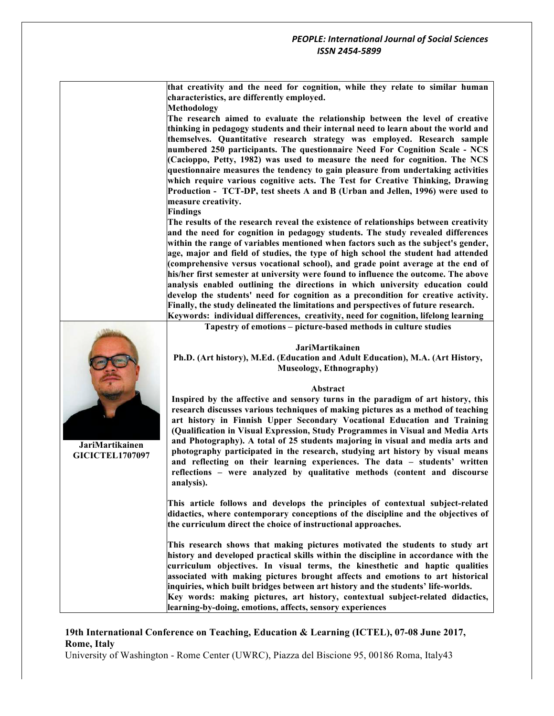**that creativity and the need for cognition, while they relate to similar human characteristics, are differently employed.** 

**Methodology**

**The research aimed to evaluate the relationship between the level of creative thinking in pedagogy students and their internal need to learn about the world and themselves. Quantitative research strategy was employed. Research sample numbered 250 participants. The questionnaire Need For Cognition Scale - NCS (Cacioppo, Petty, 1982) was used to measure the need for cognition. The NCS questionnaire measures the tendency to gain pleasure from undertaking activities which require various cognitive acts. The Test for Creative Thinking, Drawing Production - TCT-DP, test sheets A and B (Urban and Jellen, 1996) were used to measure creativity.**

**Findings**

**The results of the research reveal the existence of relationships between creativity and the need for cognition in pedagogy students. The study revealed differences within the range of variables mentioned when factors such as the subject's gender, age, major and field of studies, the type of high school the student had attended (comprehensive versus vocational school), and grade point average at the end of his/her first semester at university were found to influence the outcome. The above analysis enabled outlining the directions in which university education could develop the students' need for cognition as a precondition for creative activity. Finally, the study delineated the limitations and perspectives of future research. Keywords: individual differences, creativity, need for cognition, lifelong learning**

**Tapestry of emotions – picture-based methods in culture studies**

#### **JariMartikainen**

**Ph.D. (Art history), M.Ed. (Education and Adult Education), M.A. (Art History, Museology, Ethnography)**

#### **Abstract**

**Inspired by the affective and sensory turns in the paradigm of art history, this research discusses various techniques of making pictures as a method of teaching art history in Finnish Upper Secondary Vocational Education and Training (Qualification in Visual Expression, Study Programmes in Visual and Media Arts and Photography). A total of 25 students majoring in visual and media arts and photography participated in the research, studying art history by visual means and reflecting on their learning experiences. The data – students' written reflections – were analyzed by qualitative methods (content and discourse analysis).**

**This article follows and develops the principles of contextual subject-related didactics, where contemporary conceptions of the discipline and the objectives of the curriculum direct the choice of instructional approaches.** 

**This research shows that making pictures motivated the students to study art history and developed practical skills within the discipline in accordance with the curriculum objectives. In visual terms, the kinesthetic and haptic qualities associated with making pictures brought affects and emotions to art historical inquiries, which built bridges between art history and the students' life-worlds. Key words: making pictures, art history, contextual subject-related didactics, learning-by-doing, emotions, affects, sensory experiences**

#### **19th International Conference on Teaching, Education & Learning (ICTEL), 07-08 June 2017, Rome, Italy**

University of Washington - Rome Center (UWRC), Piazza del Biscione 95, 00186 Roma, Italy43



**JariMartikainen GICICTEL1707097**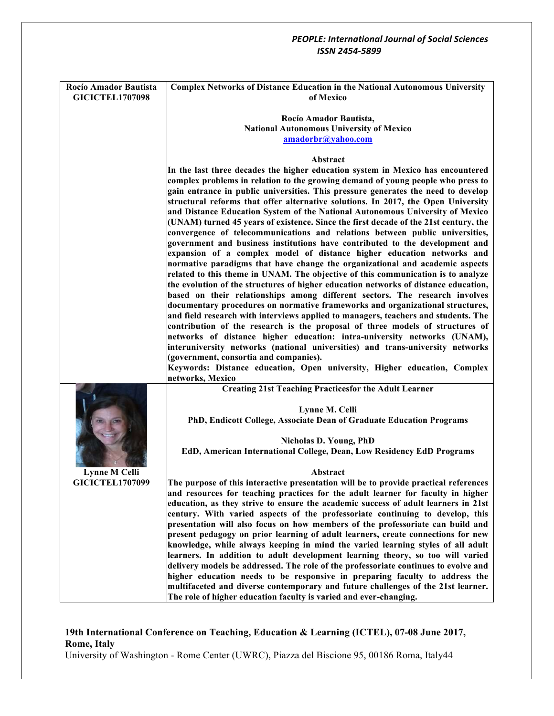#### *PEOPLE: International Journal of Social Sciences ISSN 2454-5899* **Rocío Amador Bautista GICICTEL1707098 Complex Networks of Distance Education in the National Autonomous University of Mexico Rocío Amador Bautista, National Autonomous University of Mexico amadorbr@yahoo.com Abstract In the last three decades the higher education system in Mexico has encountered complex problems in relation to the growing demand of young people who press to gain entrance in public universities. This pressure generates the need to develop structural reforms that offer alternative solutions. In 2017, the Open University and Distance Education System of the National Autonomous University of Mexico (UNAM) turned 45 years of existence. Since the first decade of the 21st century, the convergence of telecommunications and relations between public universities, government and business institutions have contributed to the development and expansion of a complex model of distance higher education networks and normative paradigms that have change the organizational and academic aspects related to this theme in UNAM. The objective of this communication is to analyze the evolution of the structures of higher education networks of distance education, based on their relationships among different sectors. The research involves documentary procedures on normative frameworks and organizational structures, and field research with interviews applied to managers, teachers and students. The contribution of the research is the proposal of three models of structures of networks of distance higher education: intra-university networks (UNAM), interuniversity networks (national universities) and trans-university networks (government, consortia and companies). Keywords: Distance education, Open university, Higher education, Complex networks, Mexico Lynne M Celli GICICTEL1707099 Creating 21st Teaching Practicesfor the Adult Learner Lynne M. Celli PhD, Endicott College, Associate Dean of Graduate Education Programs Nicholas D. Young, PhD EdD, American International College, Dean, Low Residency EdD Programs Abstract The purpose of this interactive presentation will be to provide practical references and resources for teaching practices for the adult learner for faculty in higher education, as they strive to ensure the academic success of adult learners in 21st century. With varied aspects of the professoriate continuing to develop, this presentation will also focus on how members of the professoriate can build and present pedagogy on prior learning of adult learners, create connections for new knowledge, while always keeping in mind the varied learning styles of all adult learners. In addition to adult development learning theory, so too will varied delivery models be addressed. The role of the professoriate continues to evolve and higher education needs to be responsive in preparing faculty to address the multifaceted and diverse contemporary and future challenges of the 21st learner. The role of higher education faculty is varied and ever-changing.**

## **19th International Conference on Teaching, Education & Learning (ICTEL), 07-08 June 2017, Rome, Italy**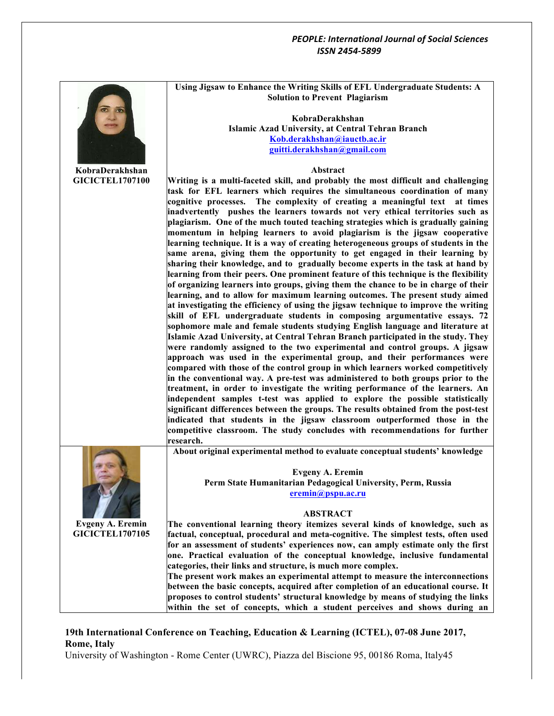

# **19th International Conference on Teaching, Education & Learning (ICTEL), 07-08 June 2017, Rome, Italy**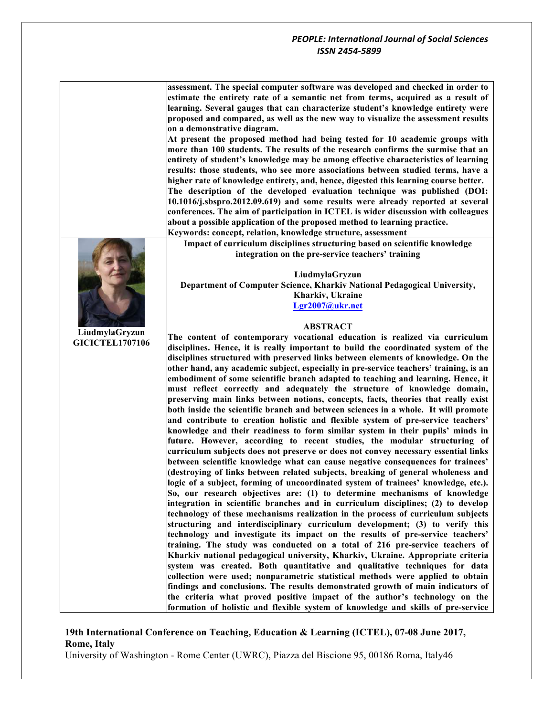**assessment. The special computer software was developed and checked in order to estimate the entirety rate of a semantic net from terms, acquired as a result of learning. Several gauges that can characterize student's knowledge entirety were proposed and compared, as well as the new way to visualize the assessment results on a demonstrative diagram.**

**At present the proposed method had being tested for 10 academic groups with more than 100 students. The results of the research confirms the surmise that an entirety of student's knowledge may be among effective characteristics of learning results: those students, who see more associations between studied terms, have a higher rate of knowledge entirety, and, hence, digested this learning course better. The description of the developed evaluation technique was published (DOI: 10.1016/j.sbspro.2012.09.619) and some results were already reported at several** 

**conferences. The aim of participation in ICTEL is wider discussion with colleagues about a possible application of the proposed method to learning practice.**

**Keywords: concept, relation, knowledge structure, assessment Impact of curriculum disciplines structuring based on scientific knowledge** 

**integration on the pre-service teachers' training**

**LiudmylaGryzun Department of Computer Science, Kharkiv National Pedagogical University, Kharkiv, Ukraine Lgr2007@ukr.net**

#### **ABSTRACT**

**The content of contemporary vocational education is realized via curriculum disciplines. Hence, it is really important to build the coordinated system of the disciplines structured with preserved links between elements of knowledge. On the other hand, any academic subject, especially in pre-service teachers' training, is an embodiment of some scientific branch adapted to teaching and learning. Hence, it must reflect correctly and adequately the structure of knowledge domain, preserving main links between notions, concepts, facts, theories that really exist both inside the scientific branch and between sciences in a whole. It will promote and contribute to creation holistic and flexible system of pre-service teachers' knowledge and their readiness to form similar system in their pupils' minds in future. However, according to recent studies, the modular structuring of curriculum subjects does not preserve or does not convey necessary essential links between scientific knowledge what can cause negative consequences for trainees' (destroying of links between related subjects, breaking of general wholeness and logic of a subject, forming of uncoordinated system of trainees' knowledge, etc.). So, our research objectives are: (1) to determine mechanisms of knowledge integration in scientific branches and in curriculum disciplines; (2) to develop technology of these mechanisms realization in the process of curriculum subjects structuring and interdisciplinary curriculum development; (3) to verify this technology and investigate its impact on the results of pre-service teachers' training. The study was conducted on a total of 216 pre-service teachers of Kharkiv national pedagogical university, Kharkiv, Ukraine. Appropriate criteria system was created. Both quantitative and qualitative techniques for data collection were used; nonparametric statistical methods were applied to obtain findings and conclusions. The results demonstrated growth of main indicators of the criteria what proved positive impact of the author's technology on the formation of holistic and flexible system of knowledge and skills of pre-service** 

#### **19th International Conference on Teaching, Education & Learning (ICTEL), 07-08 June 2017, Rome, Italy**

University of Washington - Rome Center (UWRC), Piazza del Biscione 95, 00186 Roma, Italy46



**LiudmylaGryzun GICICTEL1707106**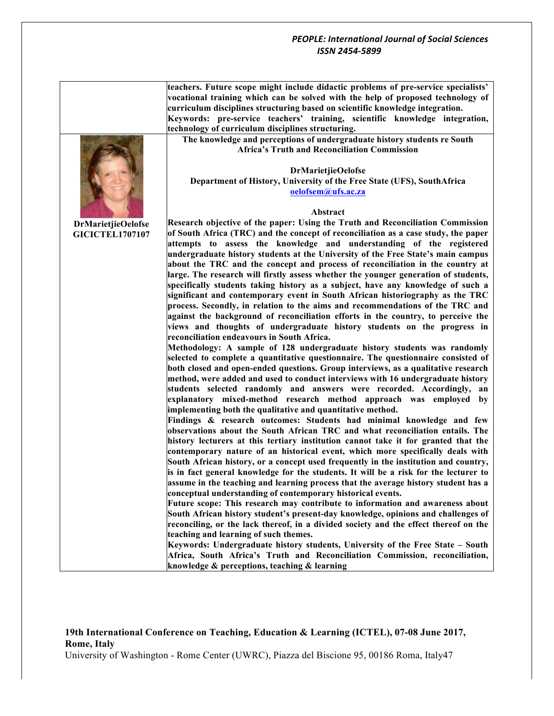**teachers. Future scope might include didactic problems of pre-service specialists' vocational training which can be solved with the help of proposed technology of curriculum disciplines structuring based on scientific knowledge integration. Keywords: pre-service teachers' training, scientific knowledge integration, technology of curriculum disciplines structuring.**

**The knowledge and perceptions of undergraduate history students re South Africa's Truth and Reconciliation Commission**

#### **DrMarietjieOelofse Department of History, University of the Free State (UFS), SouthAfrica oelofsem@ufs.ac.za**

#### **Abstract**

**Research objective of the paper: Using the Truth and Reconciliation Commission of South Africa (TRC) and the concept of reconciliation as a case study, the paper attempts to assess the knowledge and understanding of the registered undergraduate history students at the University of the Free State's main campus about the TRC and the concept and process of reconciliation in the country at large. The research will firstly assess whether the younger generation of students, specifically students taking history as a subject, have any knowledge of such a significant and contemporary event in South African historiography as the TRC process. Secondly, in relation to the aims and recommendations of the TRC and against the background of reconciliation efforts in the country, to perceive the views and thoughts of undergraduate history students on the progress in reconciliation endeavours in South Africa.** 

**Methodology: A sample of 128 undergraduate history students was randomly selected to complete a quantitative questionnaire. The questionnaire consisted of both closed and open-ended questions. Group interviews, as a qualitative research method, were added and used to conduct interviews with 16 undergraduate history students selected randomly and answers were recorded. Accordingly, an explanatory mixed-method research method approach was employed by implementing both the qualitative and quantitative method.** 

**Findings & research outcomes: Students had minimal knowledge and few observations about the South African TRC and what reconciliation entails. The history lecturers at this tertiary institution cannot take it for granted that the contemporary nature of an historical event, which more specifically deals with South African history, or a concept used frequently in the institution and country, is in fact general knowledge for the students. It will be a risk for the lecturer to assume in the teaching and learning process that the average history student has a conceptual understanding of contemporary historical events.** 

**Future scope: This research may contribute to information and awareness about South African history student's present-day knowledge, opinions and challenges of reconciling, or the lack thereof, in a divided society and the effect thereof on the teaching and learning of such themes.**

**Keywords: Undergraduate history students, University of the Free State – South Africa, South Africa's Truth and Reconciliation Commission, reconciliation, knowledge & perceptions, teaching & learning**

## **19th International Conference on Teaching, Education & Learning (ICTEL), 07-08 June 2017, Rome, Italy**

University of Washington - Rome Center (UWRC), Piazza del Biscione 95, 00186 Roma, Italy47



**DrMarietjieOelofse GICICTEL1707107**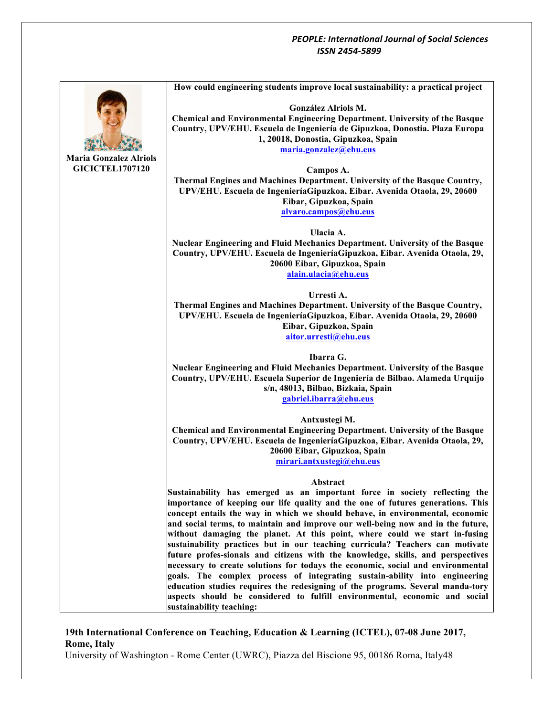

## **19th International Conference on Teaching, Education & Learning (ICTEL), 07-08 June 2017, Rome, Italy**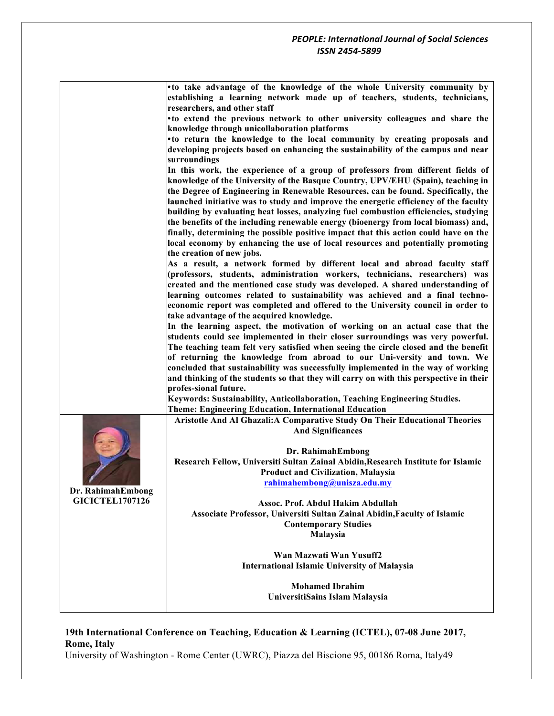|                        | . to take advantage of the knowledge of the whole University community by                                                                                                  |
|------------------------|----------------------------------------------------------------------------------------------------------------------------------------------------------------------------|
|                        | establishing a learning network made up of teachers, students, technicians,                                                                                                |
|                        | researchers, and other staff                                                                                                                                               |
|                        | • to extend the previous network to other university colleagues and share the                                                                                              |
|                        | knowledge through unicollaboration platforms                                                                                                                               |
|                        | • to return the knowledge to the local community by creating proposals and                                                                                                 |
|                        | developing projects based on enhancing the sustainability of the campus and near                                                                                           |
|                        | surroundings                                                                                                                                                               |
|                        | In this work, the experience of a group of professors from different fields of                                                                                             |
|                        | knowledge of the University of the Basque Country, UPV/EHU (Spain), teaching in                                                                                            |
|                        | the Degree of Engineering in Renewable Resources, can be found. Specifically, the                                                                                          |
|                        | launched initiative was to study and improve the energetic efficiency of the faculty                                                                                       |
|                        | building by evaluating heat losses, analyzing fuel combustion efficiencies, studying<br>the benefits of the including renewable energy (bioenergy from local biomass) and, |
|                        | finally, determining the possible positive impact that this action could have on the                                                                                       |
|                        | local economy by enhancing the use of local resources and potentially promoting                                                                                            |
|                        | the creation of new jobs.                                                                                                                                                  |
|                        | As a result, a network formed by different local and abroad faculty staff                                                                                                  |
|                        | (professors, students, administration workers, technicians, researchers) was                                                                                               |
|                        | created and the mentioned case study was developed. A shared understanding of                                                                                              |
|                        | learning outcomes related to sustainability was achieved and a final techno-                                                                                               |
|                        | economic report was completed and offered to the University council in order to                                                                                            |
|                        | take advantage of the acquired knowledge.                                                                                                                                  |
|                        | In the learning aspect, the motivation of working on an actual case that the                                                                                               |
|                        | students could see implemented in their closer surroundings was very powerful.                                                                                             |
|                        | The teaching team felt very satisfied when seeing the circle closed and the benefit                                                                                        |
|                        | of returning the knowledge from abroad to our Uni-versity and town. We                                                                                                     |
|                        | concluded that sustainability was successfully implemented in the way of working                                                                                           |
|                        | and thinking of the students so that they will carry on with this perspective in their                                                                                     |
|                        | profes-sional future.                                                                                                                                                      |
|                        | Keywords: Sustainability, Anticollaboration, Teaching Engineering Studies.                                                                                                 |
|                        | <b>Theme: Engineering Education, International Education</b>                                                                                                               |
|                        | Aristotle And Al Ghazali: A Comparative Study On Their Educational Theories                                                                                                |
|                        | <b>And Significances</b>                                                                                                                                                   |
|                        | Dr. RahimahEmbong                                                                                                                                                          |
|                        | Research Fellow, Universiti Sultan Zainal Abidin, Research Institute for Islamic                                                                                           |
|                        | <b>Product and Civilization, Malaysia</b>                                                                                                                                  |
|                        | rahimahembong@unisza.edu.my                                                                                                                                                |
| Dr. RahimahEmbong      |                                                                                                                                                                            |
| <b>GICICTEL1707126</b> | Assoc. Prof. Abdul Hakim Abdullah                                                                                                                                          |
|                        | Associate Professor, Universiti Sultan Zainal Abidin, Faculty of Islamic                                                                                                   |
|                        | <b>Contemporary Studies</b>                                                                                                                                                |
|                        | Malaysia                                                                                                                                                                   |
|                        |                                                                                                                                                                            |
|                        | Wan Mazwati Wan Yusuff2                                                                                                                                                    |
|                        | <b>International Islamic University of Malaysia</b>                                                                                                                        |
|                        |                                                                                                                                                                            |
|                        | <b>Mohamed Ibrahim</b>                                                                                                                                                     |
|                        | UniversitiSains Islam Malaysia                                                                                                                                             |
|                        |                                                                                                                                                                            |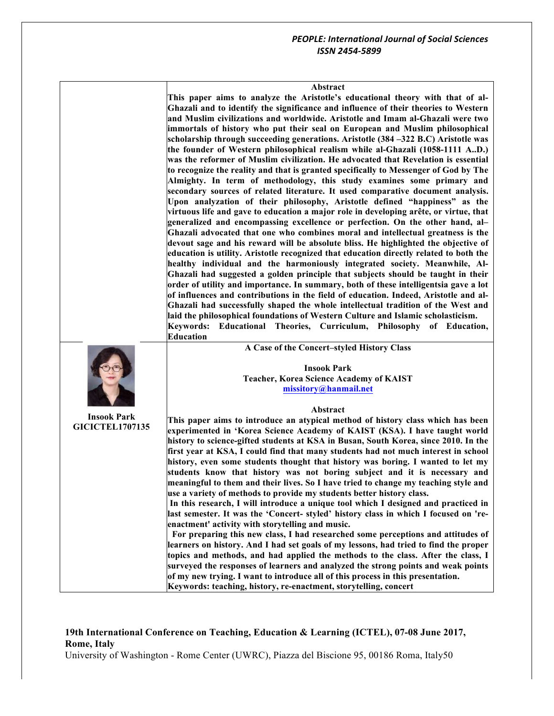#### **Abstract**

**This paper aims to analyze the Aristotle's educational theory with that of al-Ghazali and to identify the significance and influence of their theories to Western and Muslim civilizations and worldwide. Aristotle and Imam al-Ghazali were two immortals of history who put their seal on European and Muslim philosophical scholarship through succeeding generations. Aristotle (384 –322 B.C) Aristotle was the founder of Western philosophical realism while al-Ghazali (1058-1111 A..D.) was the reformer of Muslim civilization. He advocated that Revelation is essential to recognize the reality and that is granted specifically to Messenger of God by The Almighty. In term of methodology, this study examines some primary and secondary sources of related literature. It used comparative document analysis. Upon analyzation of their philosophy, Aristotle defined "happiness" as the virtuous life and gave to education a major role in developing arête, or virtue, that generalized and encompassing excellence or perfection. On the other hand, al– Ghazali advocated that one who combines moral and intellectual greatness is the devout sage and his reward will be absolute bliss. He highlighted the objective of education is utility. Aristotle recognized that education directly related to both the healthy individual and the harmoniously integrated society. Meanwhile, Al-Ghazali had suggested a golden principle that subjects should be taught in their order of utility and importance. In summary, both of these intelligentsia gave a lot of influences and contributions in the field of education. Indeed, Aristotle and al-Ghazali had successfully shaped the whole intellectual tradition of the West and laid the philosophical foundations of Western Culture and Islamic scholasticism. Keywords: Educational Theories, Curriculum, Philosophy of Education,** 

|                        | Keywords: Educational Theories, Curriculum, Philosophy of Education,                 |
|------------------------|--------------------------------------------------------------------------------------|
|                        | <b>Education</b>                                                                     |
|                        | A Case of the Concert-styled History Class                                           |
|                        | <b>Insook Park</b>                                                                   |
|                        | <b>Teacher, Korea Science Academy of KAIST</b>                                       |
|                        | missitory@hanmail.net                                                                |
|                        |                                                                                      |
| <b>Insook Park</b>     | Abstract                                                                             |
| <b>GICICTEL1707135</b> | This paper aims to introduce an atypical method of history class which has been      |
|                        | experimented in 'Korea Science Academy of KAIST (KSA). I have taught world           |
|                        | history to science-gifted students at KSA in Busan, South Korea, since 2010. In the  |
|                        | first year at KSA, I could find that many students had not much interest in school   |
|                        | history, even some students thought that history was boring. I wanted to let my      |
|                        | students know that history was not boring subject and it is necessary and            |
|                        | meaningful to them and their lives. So I have tried to change my teaching style and  |
|                        | use a variety of methods to provide my students better history class.                |
|                        | In this research, I will introduce a unique tool which I designed and practiced in   |
|                        | last semester. It was the 'Concert- styled' history class in which I focused on 're- |
|                        | enactment' activity with storytelling and music.                                     |
|                        | For preparing this new class, I had researched some perceptions and attitudes of     |
|                        | learners on history. And I had set goals of my lessons, had tried to find the proper |
|                        | topics and methods, and had applied the methods to the class. After the class, I     |
|                        | surveyed the responses of learners and analyzed the strong points and weak points    |
|                        | of my new trying. I want to introduce all of this process in this presentation.      |
|                        | Keywords: teaching, history, re-enactment, storytelling, concert                     |

## **19th International Conference on Teaching, Education & Learning (ICTEL), 07-08 June 2017, Rome, Italy**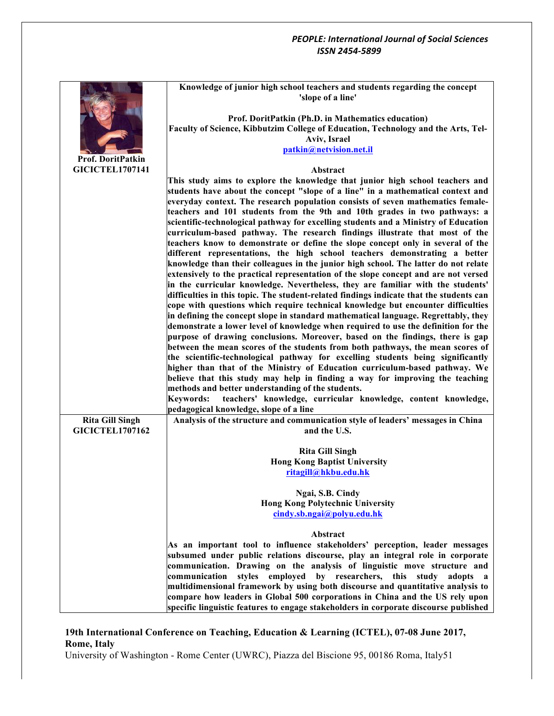|                          | Knowledge of junior high school teachers and students regarding the concept<br>'slope of a line'                                                                |
|--------------------------|-----------------------------------------------------------------------------------------------------------------------------------------------------------------|
|                          | Prof. DoritPatkin (Ph.D. in Mathematics education)                                                                                                              |
|                          | Faculty of Science, Kibbutzim College of Education, Technology and the Arts, Tel-                                                                               |
|                          | Aviv, Israel                                                                                                                                                    |
|                          | patkin@netvision.net.il                                                                                                                                         |
| <b>Prof. DoritPatkin</b> |                                                                                                                                                                 |
| <b>GICICTEL1707141</b>   | Abstract                                                                                                                                                        |
|                          | This study aims to explore the knowledge that junior high school teachers and                                                                                   |
|                          | students have about the concept "slope of a line" in a mathematical context and                                                                                 |
|                          | everyday context. The research population consists of seven mathematics female-                                                                                 |
|                          | teachers and 101 students from the 9th and 10th grades in two pathways: a                                                                                       |
|                          | scientific-technological pathway for excelling students and a Ministry of Education                                                                             |
|                          | curriculum-based pathway. The research findings illustrate that most of the<br>teachers know to demonstrate or define the slope concept only in several of the  |
|                          | different representations, the high school teachers demonstrating a better                                                                                      |
|                          | knowledge than their colleagues in the junior high school. The latter do not relate                                                                             |
|                          | extensively to the practical representation of the slope concept and are not versed                                                                             |
|                          | in the curricular knowledge. Nevertheless, they are familiar with the students'                                                                                 |
|                          | difficulties in this topic. The student-related findings indicate that the students can                                                                         |
|                          | cope with questions which require technical knowledge but encounter difficulties                                                                                |
|                          | in defining the concept slope in standard mathematical language. Regrettably, they                                                                              |
|                          | demonstrate a lower level of knowledge when required to use the definition for the                                                                              |
|                          | purpose of drawing conclusions. Moreover, based on the findings, there is gap                                                                                   |
|                          | between the mean scores of the students from both pathways, the mean scores of                                                                                  |
|                          | the scientific-technological pathway for excelling students being significantly                                                                                 |
|                          | higher than that of the Ministry of Education curriculum-based pathway. We<br>believe that this study may help in finding a way for improving the teaching      |
|                          | methods and better understanding of the students.                                                                                                               |
|                          | teachers' knowledge, curricular knowledge, content knowledge,<br><b>Keywords:</b>                                                                               |
|                          | pedagogical knowledge, slope of a line                                                                                                                          |
| <b>Rita Gill Singh</b>   | Analysis of the structure and communication style of leaders' messages in China                                                                                 |
| <b>GICICTEL1707162</b>   | and the U.S.                                                                                                                                                    |
|                          |                                                                                                                                                                 |
|                          | <b>Rita Gill Singh</b>                                                                                                                                          |
|                          | <b>Hong Kong Baptist University</b>                                                                                                                             |
|                          | ritagill@hkbu.edu.hk                                                                                                                                            |
|                          | Ngai, S.B. Cindy                                                                                                                                                |
|                          | <b>Hong Kong Polytechnic University</b>                                                                                                                         |
|                          | cindy.sb.ngai@polyu.edu.hk                                                                                                                                      |
|                          |                                                                                                                                                                 |
|                          | Abstract                                                                                                                                                        |
|                          | As an important tool to influence stakeholders' perception, leader messages                                                                                     |
|                          | subsumed under public relations discourse, play an integral role in corporate                                                                                   |
|                          | communication. Drawing on the analysis of linguistic move structure and                                                                                         |
|                          | styles employed<br>by researchers, this<br>communication<br>study<br>adopts a                                                                                   |
|                          | multidimensional framework by using both discourse and quantitative analysis to<br>compare how leaders in Global 500 corporations in China and the US rely upon |
|                          | specific linguistic features to engage stakeholders in corporate discourse published                                                                            |
|                          |                                                                                                                                                                 |

# **19th International Conference on Teaching, Education & Learning (ICTEL), 07-08 June 2017, Rome, Italy**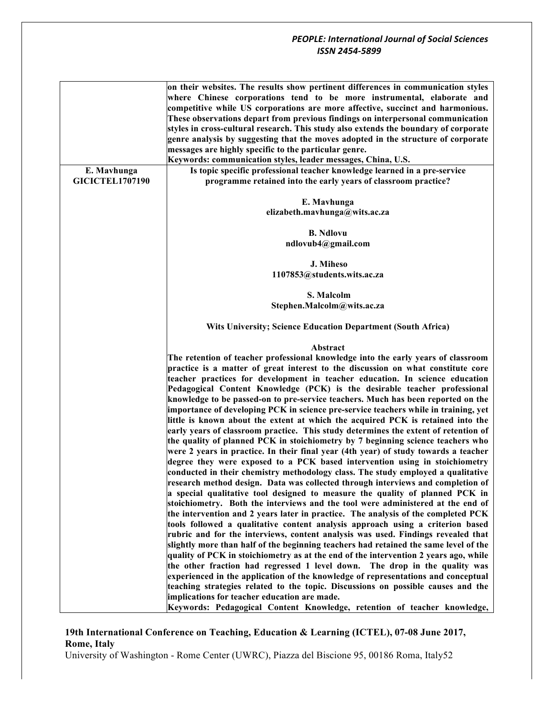## **19th International Conference on Teaching, Education & Learning (ICTEL), 07-08 June 2017, Rome, Italy**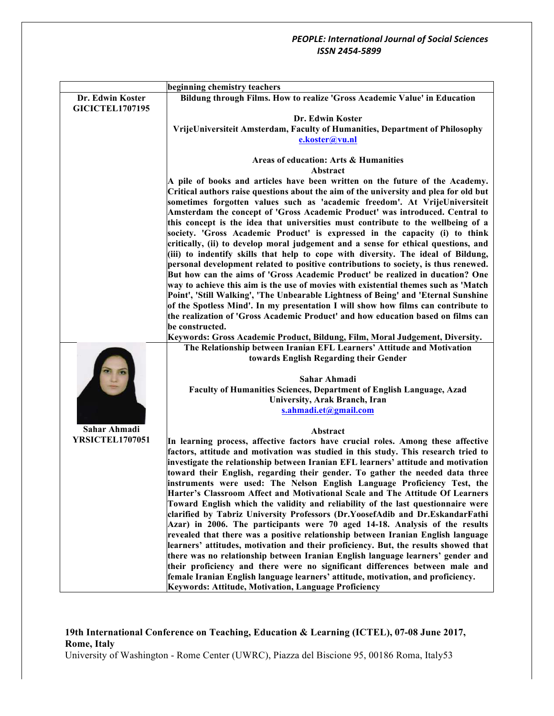|                        | beginning chemistry teachers                                                                                                                                         |
|------------------------|----------------------------------------------------------------------------------------------------------------------------------------------------------------------|
| Dr. Edwin Koster       | Bildung through Films. How to realize 'Gross Academic Value' in Education                                                                                            |
| <b>GICICTEL1707195</b> |                                                                                                                                                                      |
|                        | Dr. Edwin Koster                                                                                                                                                     |
|                        | VrijeUniversiteit Amsterdam, Faculty of Humanities, Department of Philosophy                                                                                         |
|                        | e.koster@vu.nl                                                                                                                                                       |
|                        |                                                                                                                                                                      |
|                        | Areas of education: Arts & Humanities                                                                                                                                |
|                        | Abstract                                                                                                                                                             |
|                        | A pile of books and articles have been written on the future of the Academy.                                                                                         |
|                        | Critical authors raise questions about the aim of the university and plea for old but                                                                                |
|                        | sometimes forgotten values such as 'academic freedom'. At VrijeUniversiteit                                                                                          |
|                        | Amsterdam the concept of 'Gross Academic Product' was introduced. Central to                                                                                         |
|                        | this concept is the idea that universities must contribute to the wellbeing of a                                                                                     |
|                        | society. 'Gross Academic Product' is expressed in the capacity (i) to think                                                                                          |
|                        | critically, (ii) to develop moral judgement and a sense for ethical questions, and                                                                                   |
|                        | (iii) to indentify skills that help to cope with diversity. The ideal of Bildung,                                                                                    |
|                        | personal development related to positive contributions to society, is thus renewed.                                                                                  |
|                        | But how can the aims of 'Gross Academic Product' be realized in ducation? One<br>way to achieve this aim is the use of movies with existential themes such as 'Match |
|                        | Point', 'Still Walking', 'The Unbearable Lightness of Being' and 'Eternal Sunshine                                                                                   |
|                        | of the Spotless Mind'. In my presentation I will show how films can contribute to                                                                                    |
|                        | the realization of 'Gross Academic Product' and how education based on films can                                                                                     |
|                        | be constructed.                                                                                                                                                      |
|                        | Keywords: Gross Academic Product, Bildung, Film, Moral Judgement, Diversity.                                                                                         |
|                        | The Relationship between Iranian EFL Learners' Attitude and Motivation                                                                                               |
|                        | towards English Regarding their Gender                                                                                                                               |
|                        |                                                                                                                                                                      |
|                        | Sahar Ahmadi                                                                                                                                                         |
|                        | Faculty of Humanities Sciences, Department of English Language, Azad                                                                                                 |
|                        | University, Arak Branch, Iran                                                                                                                                        |
|                        | s.ahmadi.et@gmail.com                                                                                                                                                |
|                        |                                                                                                                                                                      |
| Sahar Ahmadi           | Abstract                                                                                                                                                             |
| <b>YRSICTEL1707051</b> | In learning process, affective factors have crucial roles. Among these affective                                                                                     |
|                        | factors, attitude and motivation was studied in this study. This research tried to                                                                                   |
|                        | investigate the relationship between Iranian EFL learners' attitude and motivation                                                                                   |
|                        | toward their English, regarding their gender. To gather the needed data three                                                                                        |
|                        | instruments were used: The Nelson English Language Proficiency Test, the                                                                                             |
|                        | Harter's Classroom Affect and Motivational Scale and The Attitude Of Learners<br>Toward English which the validity and reliability of the last questionnaire were    |
|                        | clarified by Tabriz University Professors (Dr.YoosefAdib and Dr.EskandarFathi                                                                                        |
|                        | Azar) in 2006. The participants were 70 aged 14-18. Analysis of the results                                                                                          |
|                        | revealed that there was a positive relationship between Iranian English language                                                                                     |
|                        | learners' attitudes, motivation and their proficiency. But, the results showed that                                                                                  |
|                        | there was no relationship between Iranian English language learners' gender and                                                                                      |
|                        | their proficiency and there were no significant differences between male and                                                                                         |
|                        | female Iranian English language learners' attitude, motivation, and proficiency.                                                                                     |
|                        | Keywords: Attitude, Motivation, Language Proficiency                                                                                                                 |

# **19th International Conference on Teaching, Education & Learning (ICTEL), 07-08 June 2017, Rome, Italy**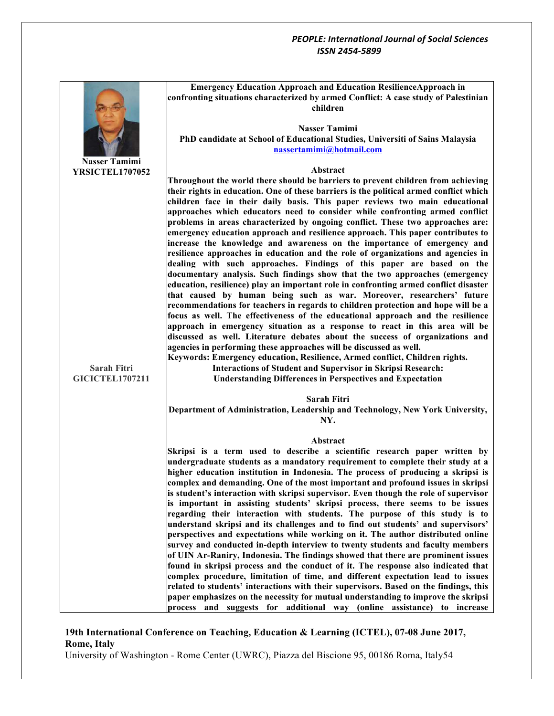|                        | <b>Emergency Education Approach and Education ResilienceApproach in</b><br>confronting situations characterized by armed Conflict: A case study of Palestinian       |
|------------------------|----------------------------------------------------------------------------------------------------------------------------------------------------------------------|
|                        | children                                                                                                                                                             |
|                        | <b>Nasser Tamimi</b>                                                                                                                                                 |
|                        | PhD candidate at School of Educational Studies, Universiti of Sains Malaysia                                                                                         |
|                        | nassertamimi@hotmail.com                                                                                                                                             |
| <b>Nasser Tamimi</b>   |                                                                                                                                                                      |
| YRSICTEL1707052        | Abstract<br>Throughout the world there should be barriers to prevent children from achieving                                                                         |
|                        | their rights in education. One of these barriers is the political armed conflict which                                                                               |
|                        | children face in their daily basis. This paper reviews two main educational                                                                                          |
|                        | approaches which educators need to consider while confronting armed conflict                                                                                         |
|                        | problems in areas characterized by ongoing conflict. These two approaches are:<br>emergency education approach and resilience approach. This paper contributes to    |
|                        | increase the knowledge and awareness on the importance of emergency and                                                                                              |
|                        | resilience approaches in education and the role of organizations and agencies in                                                                                     |
|                        | dealing with such approaches. Findings of this paper are based on the                                                                                                |
|                        | documentary analysis. Such findings show that the two approaches (emergency                                                                                          |
|                        | education, resilience) play an important role in confronting armed conflict disaster<br>that caused by human being such as war. Moreover, researchers' future        |
|                        | recommendations for teachers in regards to children protection and hope will be a                                                                                    |
|                        | focus as well. The effectiveness of the educational approach and the resilience                                                                                      |
|                        | approach in emergency situation as a response to react in this area will be                                                                                          |
|                        | discussed as well. Literature debates about the success of organizations and<br>agencies in performing these approaches will be discussed as well.                   |
|                        | Keywords: Emergency education, Resilience, Armed conflict, Children rights.                                                                                          |
| Sarah Fitri            | <b>Interactions of Student and Supervisor in Skripsi Research:</b>                                                                                                   |
| <b>GICICTEL1707211</b> | <b>Understanding Differences in Perspectives and Expectation</b>                                                                                                     |
|                        | Sarah Fitri                                                                                                                                                          |
|                        | Department of Administration, Leadership and Technology, New York University,<br>NY.                                                                                 |
|                        |                                                                                                                                                                      |
|                        | Abstract                                                                                                                                                             |
|                        | Skripsi is a term used to describe a scientific research paper written by<br>undergraduate students as a mandatory requirement to complete their study at a          |
|                        | higher education institution in Indonesia. The process of producing a skripsi is                                                                                     |
|                        | complex and demanding. One of the most important and profound issues in skripsi                                                                                      |
|                        | is student's interaction with skripsi supervisor. Even though the role of supervisor                                                                                 |
|                        | is important in assisting students' skripsi process, there seems to be issues<br>regarding their interaction with students. The purpose of this study is to          |
|                        | understand skripsi and its challenges and to find out students' and supervisors'                                                                                     |
|                        | perspectives and expectations while working on it. The author distributed online                                                                                     |
|                        | survey and conducted in-depth interview to twenty students and faculty members                                                                                       |
|                        | of UIN Ar-Raniry, Indonesia. The findings showed that there are prominent issues<br>found in skripsi process and the conduct of it. The response also indicated that |
|                        | complex procedure, limitation of time, and different expectation lead to issues                                                                                      |
|                        | related to students' interactions with their supervisors. Based on the findings, this                                                                                |
|                        | paper emphasizes on the necessity for mutual understanding to improve the skripsi                                                                                    |
|                        | process and suggests for additional way (online assistance) to increase                                                                                              |

# **19th International Conference on Teaching, Education & Learning (ICTEL), 07-08 June 2017, Rome, Italy**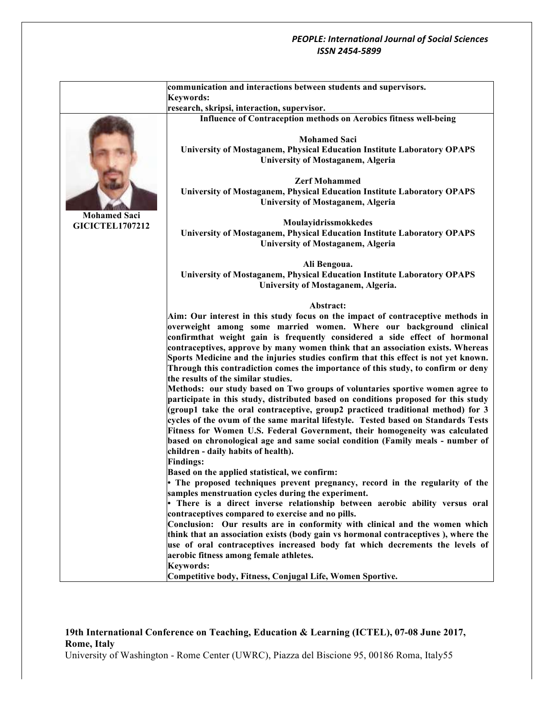|                        | communication and interactions between students and supervisors.                                                                                              |
|------------------------|---------------------------------------------------------------------------------------------------------------------------------------------------------------|
|                        | <b>Keywords:</b><br>research, skripsi, interaction, supervisor.                                                                                               |
|                        | Influence of Contraception methods on Aerobics fitness well-being                                                                                             |
|                        |                                                                                                                                                               |
|                        | <b>Mohamed Saci</b>                                                                                                                                           |
|                        | University of Mostaganem, Physical Education Institute Laboratory OPAPS                                                                                       |
|                        | <b>University of Mostaganem, Algeria</b>                                                                                                                      |
|                        |                                                                                                                                                               |
|                        | <b>Zerf Mohammed</b>                                                                                                                                          |
|                        | University of Mostaganem, Physical Education Institute Laboratory OPAPS                                                                                       |
|                        | <b>University of Mostaganem, Algeria</b>                                                                                                                      |
| <b>Mohamed Saci</b>    |                                                                                                                                                               |
| <b>GICICTEL1707212</b> | Moulayidrissmokkedes<br><b>University of Mostaganem, Physical Education Institute Laboratory OPAPS</b>                                                        |
|                        | <b>University of Mostaganem, Algeria</b>                                                                                                                      |
|                        |                                                                                                                                                               |
|                        | Ali Bengoua.                                                                                                                                                  |
|                        | University of Mostaganem, Physical Education Institute Laboratory OPAPS                                                                                       |
|                        | University of Mostaganem, Algeria.                                                                                                                            |
|                        |                                                                                                                                                               |
|                        | Abstract:                                                                                                                                                     |
|                        | Aim: Our interest in this study focus on the impact of contraceptive methods in                                                                               |
|                        | overweight among some married women. Where our background clinical                                                                                            |
|                        | confirmthat weight gain is frequently considered a side effect of hormonal<br>contraceptives, approve by many women think that an association exists. Whereas |
|                        | Sports Medicine and the injuries studies confirm that this effect is not yet known.                                                                           |
|                        | Through this contradiction comes the importance of this study, to confirm or deny                                                                             |
|                        | the results of the similar studies.                                                                                                                           |
|                        | Methods: our study based on Two groups of voluntaries sportive women agree to                                                                                 |
|                        | participate in this study, distributed based on conditions proposed for this study                                                                            |
|                        | (group1 take the oral contraceptive, group2 practiced traditional method) for 3                                                                               |
|                        | cycles of the ovum of the same marital lifestyle. Tested based on Standards Tests                                                                             |
|                        | Fitness for Women U.S. Federal Government, their homogeneity was calculated                                                                                   |
|                        | based on chronological age and same social condition (Family meals - number of                                                                                |
|                        | children - daily habits of health).                                                                                                                           |
|                        | <b>Findings:</b>                                                                                                                                              |
|                        | Based on the applied statistical, we confirm:<br>The proposed techniques prevent pregnancy, record in the regularity of the                                   |
|                        | samples menstruation cycles during the experiment.                                                                                                            |
|                        | • There is a direct inverse relationship between aerobic ability versus oral                                                                                  |
|                        | contraceptives compared to exercise and no pills.                                                                                                             |
|                        | Conclusion: Our results are in conformity with clinical and the women which                                                                                   |
|                        | think that an association exists (body gain vs hormonal contraceptives), where the                                                                            |
|                        | use of oral contraceptives increased body fat which decrements the levels of                                                                                  |
|                        | aerobic fitness among female athletes.                                                                                                                        |
|                        | <b>Keywords:</b>                                                                                                                                              |
|                        | Competitive body, Fitness, Conjugal Life, Women Sportive.                                                                                                     |

# **19th International Conference on Teaching, Education & Learning (ICTEL), 07-08 June 2017, Rome, Italy**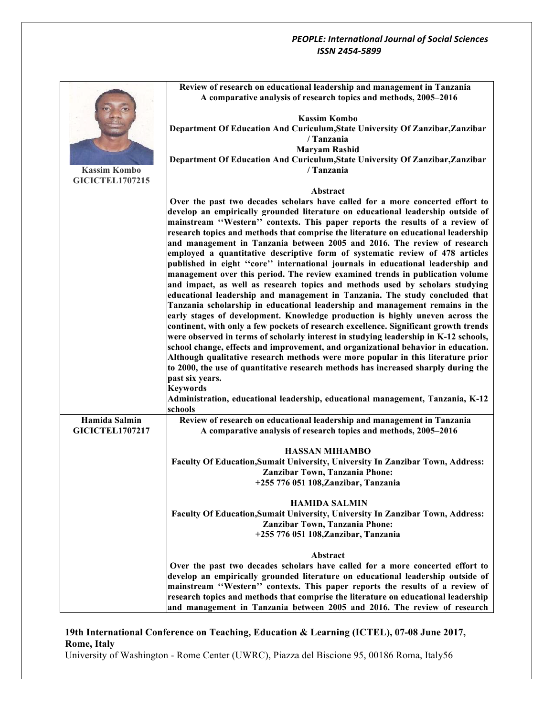|                        | Review of research on educational leadership and management in Tanzania<br>A comparative analysis of research topics and methods, 2005-2016 |
|------------------------|---------------------------------------------------------------------------------------------------------------------------------------------|
|                        | <b>Kassim Kombo</b>                                                                                                                         |
|                        |                                                                                                                                             |
|                        | Department Of Education And Curiculum, State University Of Zanzibar, Zanzibar                                                               |
|                        | / Tanzania                                                                                                                                  |
|                        | <b>Maryam Rashid</b>                                                                                                                        |
|                        | Department Of Education And Curiculum, State University Of Zanzibar, Zanzibar                                                               |
| <b>Kassim Kombo</b>    | / Tanzania                                                                                                                                  |
| <b>GICICTEL1707215</b> |                                                                                                                                             |
|                        | Abstract                                                                                                                                    |
|                        | Over the past two decades scholars have called for a more concerted effort to                                                               |
|                        | develop an empirically grounded literature on educational leadership outside of                                                             |
|                        |                                                                                                                                             |
|                        | mainstream "Western" contexts. This paper reports the results of a review of                                                                |
|                        | research topics and methods that comprise the literature on educational leadership                                                          |
|                        | and management in Tanzania between 2005 and 2016. The review of research                                                                    |
|                        | employed a quantitative descriptive form of systematic review of 478 articles                                                               |
|                        | published in eight "core" international journals in educational leadership and                                                              |
|                        | management over this period. The review examined trends in publication volume                                                               |
|                        | and impact, as well as research topics and methods used by scholars studying                                                                |
|                        | educational leadership and management in Tanzania. The study concluded that                                                                 |
|                        | Tanzania scholarship in educational leadership and management remains in the                                                                |
|                        |                                                                                                                                             |
|                        | early stages of development. Knowledge production is highly uneven across the                                                               |
|                        | continent, with only a few pockets of research excellence. Significant growth trends                                                        |
|                        | were observed in terms of scholarly interest in studying leadership in K-12 schools,                                                        |
|                        | school change, effects and improvement, and organizational behavior in education.                                                           |
|                        | Although qualitative research methods were more popular in this literature prior                                                            |
|                        | to 2000, the use of quantitative research methods has increased sharply during the                                                          |
|                        | past six years.                                                                                                                             |
|                        | <b>Keywords</b>                                                                                                                             |
|                        | Administration, educational leadership, educational management, Tanzania, K-12                                                              |
|                        | schools                                                                                                                                     |
| Hamida Salmin          | Review of research on educational leadership and management in Tanzania                                                                     |
|                        |                                                                                                                                             |
| <b>GICICTEL1707217</b> | A comparative analysis of research topics and methods, 2005-2016                                                                            |
|                        |                                                                                                                                             |
|                        | <b>HASSAN MIHAMBO</b>                                                                                                                       |
|                        | Faculty Of Education, Sumait University, University In Zanzibar Town, Address:                                                              |
|                        | Zanzibar Town, Tanzania Phone:                                                                                                              |
|                        | +255 776 051 108, Zanzibar, Tanzania                                                                                                        |
|                        |                                                                                                                                             |
|                        | <b>HAMIDA SALMIN</b>                                                                                                                        |
|                        | <b>Faculty Of Education, Sumait University, University In Zanzibar Town, Address:</b>                                                       |
|                        | <b>Zanzibar Town, Tanzania Phone:</b>                                                                                                       |
|                        |                                                                                                                                             |
|                        | +255 776 051 108, Zanzibar, Tanzania                                                                                                        |
|                        |                                                                                                                                             |
|                        | Abstract                                                                                                                                    |
|                        | Over the past two decades scholars have called for a more concerted effort to                                                               |
|                        | develop an empirically grounded literature on educational leadership outside of                                                             |
|                        | mainstream "Western" contexts. This paper reports the results of a review of                                                                |
|                        | research topics and methods that comprise the literature on educational leadership                                                          |
|                        | and management in Tanzania between 2005 and 2016. The review of research                                                                    |

# **19th International Conference on Teaching, Education & Learning (ICTEL), 07-08 June 2017, Rome, Italy**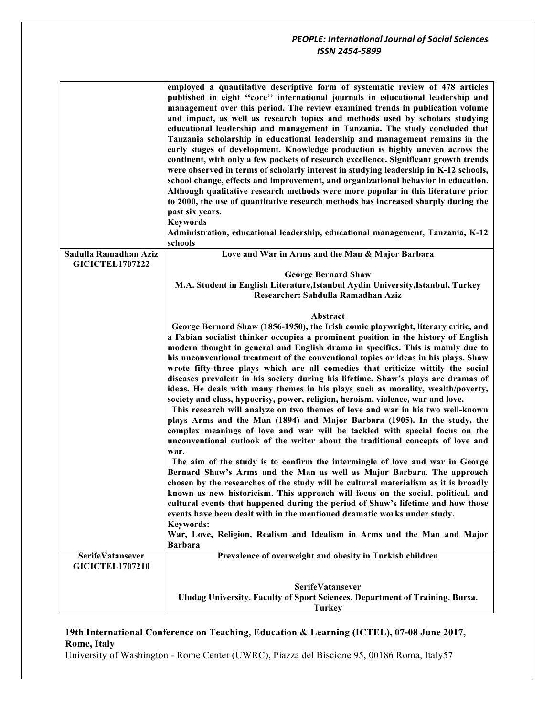|                                                 | employed a quantitative descriptive form of systematic review of 478 articles<br>published in eight "core" international journals in educational leadership and<br>management over this period. The review examined trends in publication volume |
|-------------------------------------------------|--------------------------------------------------------------------------------------------------------------------------------------------------------------------------------------------------------------------------------------------------|
|                                                 | and impact, as well as research topics and methods used by scholars studying                                                                                                                                                                     |
|                                                 | educational leadership and management in Tanzania. The study concluded that                                                                                                                                                                      |
|                                                 | Tanzania scholarship in educational leadership and management remains in the                                                                                                                                                                     |
|                                                 | early stages of development. Knowledge production is highly uneven across the                                                                                                                                                                    |
|                                                 | continent, with only a few pockets of research excellence. Significant growth trends                                                                                                                                                             |
|                                                 | were observed in terms of scholarly interest in studying leadership in K-12 schools,                                                                                                                                                             |
|                                                 | school change, effects and improvement, and organizational behavior in education.<br>Although qualitative research methods were more popular in this literature prior                                                                            |
|                                                 | to 2000, the use of quantitative research methods has increased sharply during the                                                                                                                                                               |
|                                                 | past six years.                                                                                                                                                                                                                                  |
|                                                 | <b>Keywords</b>                                                                                                                                                                                                                                  |
|                                                 | Administration, educational leadership, educational management, Tanzania, K-12                                                                                                                                                                   |
|                                                 | schools                                                                                                                                                                                                                                          |
| Sadulla Ramadhan Aziz<br><b>GICICTEL1707222</b> | Love and War in Arms and the Man & Major Barbara                                                                                                                                                                                                 |
|                                                 | <b>George Bernard Shaw</b>                                                                                                                                                                                                                       |
|                                                 | M.A. Student in English Literature, Istanbul Aydin University, Istanbul, Turkey<br>Researcher: Sahdulla Ramadhan Aziz                                                                                                                            |
|                                                 |                                                                                                                                                                                                                                                  |
|                                                 | Abstract                                                                                                                                                                                                                                         |
|                                                 | George Bernard Shaw (1856-1950), the Irish comic playwright, literary critic, and                                                                                                                                                                |
|                                                 | a Fabian socialist thinker occupies a prominent position in the history of English                                                                                                                                                               |
|                                                 | modern thought in general and English drama in specifics. This is mainly due to                                                                                                                                                                  |
|                                                 | his unconventional treatment of the conventional topics or ideas in his plays. Shaw                                                                                                                                                              |
|                                                 | wrote fifty-three plays which are all comedies that criticize wittily the social<br>diseases prevalent in his society during his lifetime. Shaw's plays are dramas of                                                                            |
|                                                 | ideas. He deals with many themes in his plays such as morality, wealth/poverty,                                                                                                                                                                  |
|                                                 | society and class, hypocrisy, power, religion, heroism, violence, war and love.                                                                                                                                                                  |
|                                                 | This research will analyze on two themes of love and war in his two well-known                                                                                                                                                                   |
|                                                 | plays Arms and the Man (1894) and Major Barbara (1905). In the study, the                                                                                                                                                                        |
|                                                 | complex meanings of love and war will be tackled with special focus on the                                                                                                                                                                       |
|                                                 | unconventional outlook of the writer about the traditional concepts of love and                                                                                                                                                                  |
|                                                 | war.                                                                                                                                                                                                                                             |
|                                                 | The aim of the study is to confirm the intermingle of love and war in George<br>Bernard Shaw's Arms and the Man as well as Major Barbara. The approach                                                                                           |
|                                                 | chosen by the researches of the study will be cultural materialism as it is broadly                                                                                                                                                              |
|                                                 | known as new historicism. This approach will focus on the social, political, and                                                                                                                                                                 |
|                                                 | cultural events that happened during the period of Shaw's lifetime and how those                                                                                                                                                                 |
|                                                 | events have been dealt with in the mentioned dramatic works under study.                                                                                                                                                                         |
|                                                 | <b>Keywords:</b>                                                                                                                                                                                                                                 |
|                                                 | War, Love, Religion, Realism and Idealism in Arms and the Man and Major                                                                                                                                                                          |
|                                                 | Barbara                                                                                                                                                                                                                                          |
| <b>SerifeVatansever</b>                         | Prevalence of overweight and obesity in Turkish children                                                                                                                                                                                         |
| <b>GICICTEL1707210</b>                          |                                                                                                                                                                                                                                                  |
|                                                 | <b>SerifeVatansever</b>                                                                                                                                                                                                                          |
|                                                 | Uludag University, Faculty of Sport Sciences, Department of Training, Bursa,                                                                                                                                                                     |
|                                                 | <b>Turkey</b>                                                                                                                                                                                                                                    |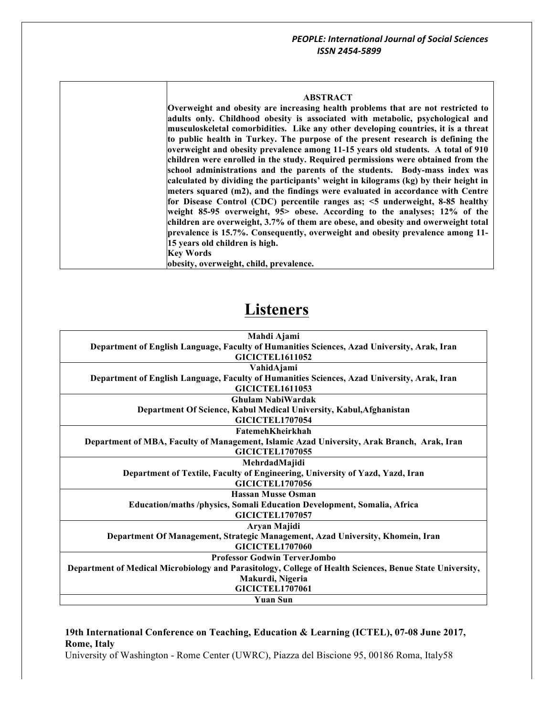#### **ABSTRACT**

**Overweight and obesity are increasing health problems that are not restricted to adults only. Childhood obesity is associated with metabolic, psychological and musculoskeletal comorbidities. Like any other developing countries, it is a threat to public health in Turkey. The purpose of the present research is defining the overweight and obesity prevalence among 11-15 years old students. A total of 910 children were enrolled in the study. Required permissions were obtained from the school administrations and the parents of the students. Body-mass index was calculated by dividing the participants' weight in kilograms (kg) by their height in meters squared (m2), and the findings were evaluated in accordance with Centre for Disease Control (CDC) percentile ranges as; <5 underweight, 8-85 healthy weight 85-95 overweight, 95> obese. According to the analyses; 12% of the children are overweight, 3.7% of them are obese, and obesity and owerweight total prevalence is 15.7%. Consequently, overweight and obesity prevalence among 11- 15 years old children is high. Key Words**

**obesity, overweight, child, prevalence.**

# **Listeners**

| Mahdi Ajami                                                                                              |
|----------------------------------------------------------------------------------------------------------|
| Department of English Language, Faculty of Humanities Sciences, Azad University, Arak, Iran              |
| <b>GICICTEL1611052</b>                                                                                   |
| VahidAjami                                                                                               |
| Department of English Language, Faculty of Humanities Sciences, Azad University, Arak, Iran              |
| <b>GICICTEL1611053</b>                                                                                   |
| <b>Ghulam NabiWardak</b>                                                                                 |
| Department Of Science, Kabul Medical University, Kabul, Afghanistan                                      |
| <b>GICICTEL1707054</b>                                                                                   |
| <b>FatemehKheirkhah</b>                                                                                  |
| Department of MBA, Faculty of Management, Islamic Azad University, Arak Branch, Arak, Iran               |
| <b>GICICTEL1707055</b>                                                                                   |
| MehrdadMajidi                                                                                            |
| Department of Textile, Faculty of Engineering, University of Yazd, Yazd, Iran                            |
| <b>GICICTEL1707056</b>                                                                                   |
| <b>Hassan Musse Osman</b>                                                                                |
| Education/maths/physics, Somali Education Development, Somalia, Africa                                   |
| <b>GICICTEL1707057</b>                                                                                   |
| Aryan Majidi                                                                                             |
| Department Of Management, Strategic Management, Azad University, Khomein, Iran                           |
| <b>GICICTEL1707060</b>                                                                                   |
| <b>Professor Godwin TerverJombo</b>                                                                      |
| Department of Medical Microbiology and Parasitology, College of Health Sciences, Benue State University, |
| Makurdi, Nigeria                                                                                         |
| <b>GICICTEL1707061</b>                                                                                   |
| <b>Yuan Sun</b>                                                                                          |

#### **19th International Conference on Teaching, Education & Learning (ICTEL), 07-08 June 2017, Rome, Italy**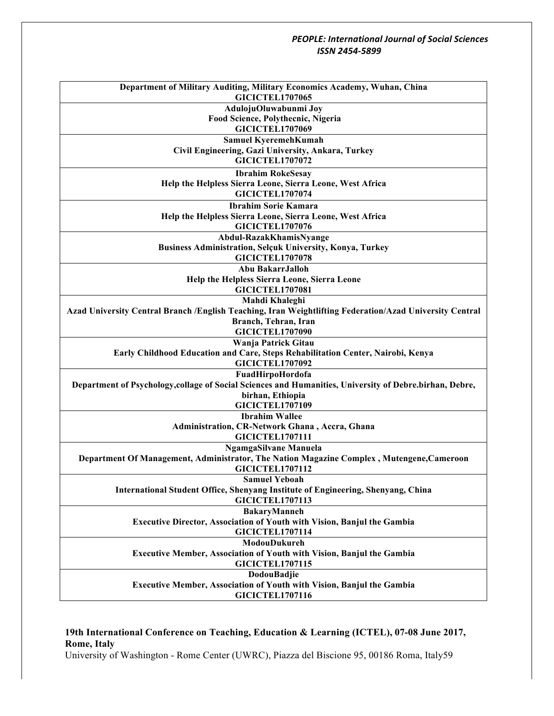| Department of Military Auditing, Military Economics Academy, Wuhan, China<br><b>GICICTEL1707065</b>     |
|---------------------------------------------------------------------------------------------------------|
| AdulojuOluwabunmi Joy                                                                                   |
| Food Science, Polythecnic, Nigeria                                                                      |
| <b>GICICTEL1707069</b>                                                                                  |
| Samuel KyeremehKumah                                                                                    |
|                                                                                                         |
| Civil Engineering, Gazi University, Ankara, Turkey<br><b>GICICTEL1707072</b>                            |
|                                                                                                         |
| <b>Ibrahim RokeSesay</b>                                                                                |
| Help the Helpless Sierra Leone, Sierra Leone, West Africa                                               |
| <b>GICICTEL1707074</b>                                                                                  |
| <b>Ibrahim Sorie Kamara</b>                                                                             |
| Help the Helpless Sierra Leone, Sierra Leone, West Africa                                               |
| <b>GICICTEL1707076</b>                                                                                  |
| Abdul-RazakKhamisNyange                                                                                 |
| <b>Business Administration, Selçuk University, Konya, Turkey</b>                                        |
| <b>GICICTEL1707078</b>                                                                                  |
| Abu BakarrJalloh                                                                                        |
| Help the Helpless Sierra Leone, Sierra Leone                                                            |
| <b>GICICTEL1707081</b>                                                                                  |
| Mahdi Khaleghi                                                                                          |
| Azad University Central Branch /English Teaching, Iran Weightlifting Federation/Azad University Central |
| Branch, Tehran, Iran                                                                                    |
| <b>GICICTEL1707090</b>                                                                                  |
| Wanja Patrick Gitau                                                                                     |
| Early Childhood Education and Care, Steps Rehabilitation Center, Nairobi, Kenya                         |
| <b>GICICTEL1707092</b>                                                                                  |
| FuadHirpoHordofa                                                                                        |
| Department of Psychology, collage of Social Sciences and Humanities, University of Debre.birhan, Debre, |
| birhan, Ethiopia                                                                                        |
| <b>GICICTEL1707109</b>                                                                                  |
| <b>Ibrahim Wallee</b>                                                                                   |
| Administration, CR-Network Ghana, Accra, Ghana                                                          |
| <b>GICICTEL1707111</b>                                                                                  |
| <b>NgamgaSilvane Manuela</b>                                                                            |
| Department Of Management, Administrator, The Nation Magazine Complex, Mutengene, Cameroon               |
| <b>GICICTEL1707112</b>                                                                                  |
| <b>Samuel Yeboah</b>                                                                                    |
| <b>International Student Office, Shenyang Institute of Engineering, Shenyang, China</b>                 |
| <b>GICICTEL1707113</b>                                                                                  |
| BakaryManneh                                                                                            |
| <b>Executive Director, Association of Youth with Vision, Banjul the Gambia</b>                          |
| <b>GICICTEL1707114</b>                                                                                  |
| ModouDukureh                                                                                            |
|                                                                                                         |
| Executive Member, Association of Youth with Vision, Banjul the Gambia<br><b>GICICTEL1707115</b>         |
|                                                                                                         |
| <b>DodouBadjie</b>                                                                                      |
| <b>Executive Member, Association of Youth with Vision, Banjul the Gambia</b>                            |
| <b>GICICTEL1707116</b>                                                                                  |

# **19th International Conference on Teaching, Education & Learning (ICTEL), 07-08 June 2017, Rome, Italy**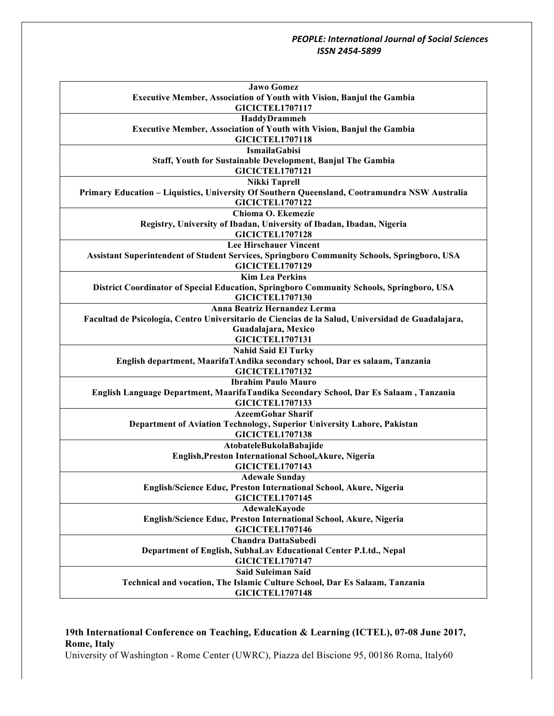| <b>Jawo Gomez</b>                                                                                 |  |
|---------------------------------------------------------------------------------------------------|--|
| <b>Executive Member, Association of Youth with Vision, Banjul the Gambia</b>                      |  |
| <b>GICICTEL1707117</b>                                                                            |  |
| HaddyDrammeh                                                                                      |  |
| <b>Executive Member, Association of Youth with Vision, Banjul the Gambia</b>                      |  |
| <b>GICICTEL1707118</b>                                                                            |  |
| <b>IsmailaGabisi</b>                                                                              |  |
| Staff, Youth for Sustainable Development, Banjul The Gambia                                       |  |
| <b>GICICTEL1707121</b>                                                                            |  |
| <b>Nikki Taprell</b>                                                                              |  |
| Primary Education - Liquistics, University Of Southern Queensland, Cootramundra NSW Australia     |  |
| <b>GICICTEL1707122</b>                                                                            |  |
| Chioma O. Ekemezie                                                                                |  |
| Registry, University of Ibadan, University of Ibadan, Ibadan, Nigeria                             |  |
| <b>GICICTEL1707128</b>                                                                            |  |
| <b>Lee Hirschauer Vincent</b>                                                                     |  |
| Assistant Superintendent of Student Services, Springboro Community Schools, Springboro, USA       |  |
| <b>GICICTEL1707129</b>                                                                            |  |
| <b>Kim Lea Perkins</b>                                                                            |  |
| District Coordinator of Special Education, Springboro Community Schools, Springboro, USA          |  |
| <b>GICICTEL1707130</b>                                                                            |  |
| Anna Beatriz Hernandez Lerma                                                                      |  |
| Facultad de Psicología, Centro Universitario de Ciencias de la Salud, Universidad de Guadalajara, |  |
| Guadalajara, Mexico                                                                               |  |
| <b>GICICTEL1707131</b>                                                                            |  |
| <b>Nahid Said El Turky</b>                                                                        |  |
| English department, MaarifaTAndika secondary school, Dar es salaam, Tanzania                      |  |
| <b>GICICTEL1707132</b>                                                                            |  |
| <b>Ibrahim Paulo Mauro</b>                                                                        |  |
| English Language Department, MaarifaTandika Secondary School, Dar Es Salaam, Tanzania             |  |
| <b>GICICTEL1707133</b>                                                                            |  |
| <b>AzeemGohar Sharif</b>                                                                          |  |
| Department of Aviation Technology, Superior University Lahore, Pakistan                           |  |
| <b>GICICTEL1707138</b>                                                                            |  |
| AtobateleBukolaBabajide                                                                           |  |
| English, Preston International School, Akure, Nigeria                                             |  |
| <b>GICICTEL1707143</b>                                                                            |  |
| <b>Adewale Sunday</b>                                                                             |  |
| English/Science Educ, Preston International School, Akure, Nigeria                                |  |
| <b>GICICTEL1707145</b>                                                                            |  |
| AdewaleKayode                                                                                     |  |
| English/Science Educ, Preston International School, Akure, Nigeria                                |  |
| <b>GICICTEL1707146</b>                                                                            |  |
| <b>Chandra DattaSubedi</b>                                                                        |  |
| Department of English, SubhaLav Educational Center P.Ltd., Nepal                                  |  |
| <b>GICICTEL1707147</b>                                                                            |  |
| <b>Said Suleiman Said</b>                                                                         |  |
| Technical and vocation, The Islamic Culture School, Dar Es Salaam, Tanzania                       |  |
| <b>GICICTEL1707148</b>                                                                            |  |
|                                                                                                   |  |

# **19th International Conference on Teaching, Education & Learning (ICTEL), 07-08 June 2017, Rome, Italy**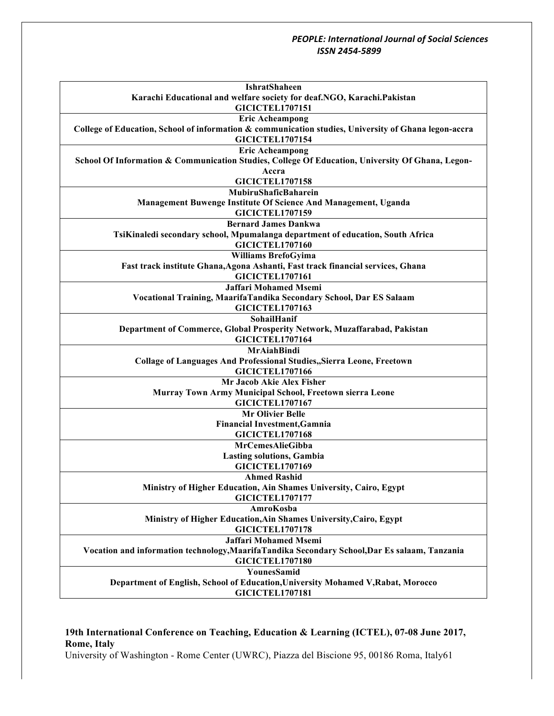| IshratShaheen                                                                                        |
|------------------------------------------------------------------------------------------------------|
| Karachi Educational and welfare society for deaf.NGO, Karachi.Pakistan                               |
| <b>GICICTEL1707151</b>                                                                               |
| <b>Eric Acheampong</b>                                                                               |
| College of Education, School of information & communication studies, University of Ghana legon-accra |
| <b>GICICTEL1707154</b>                                                                               |
| <b>Eric Acheampong</b>                                                                               |
| School Of Information & Communication Studies, College Of Education, University Of Ghana, Legon-     |
| Accra                                                                                                |
| <b>GICICTEL1707158</b>                                                                               |
| MubiruShaficBaharein                                                                                 |
| Management Buwenge Institute Of Science And Management, Uganda                                       |
| <b>GICICTEL1707159</b>                                                                               |
| <b>Bernard James Dankwa</b>                                                                          |
| TsiKinaledi secondary school, Mpumalanga department of education, South Africa                       |
| <b>GICICTEL1707160</b>                                                                               |
| <b>Williams BrefoGyima</b>                                                                           |
| Fast track institute Ghana, Agona Ashanti, Fast track financial services, Ghana                      |
| <b>GICICTEL1707161</b>                                                                               |
| <b>Jaffari Mohamed Msemi</b>                                                                         |
| Vocational Training, MaarifaTandika Secondary School, Dar ES Salaam                                  |
| <b>GICICTEL1707163</b>                                                                               |
| SohailHanif                                                                                          |
| Department of Commerce, Global Prosperity Network, Muzaffarabad, Pakistan                            |
| <b>GICICTEL1707164</b>                                                                               |
| <b>MrAiahBindi</b>                                                                                   |
| <b>Collage of Languages And Professional Studies, Sierra Leone, Freetown</b>                         |
| <b>GICICTEL1707166</b>                                                                               |
| Mr Jacob Akie Alex Fisher                                                                            |
| Murray Town Army Municipal School, Freetown sierra Leone                                             |
| <b>GICICTEL1707167</b>                                                                               |
| <b>Mr Olivier Belle</b>                                                                              |
| <b>Financial Investment, Gamnia</b>                                                                  |
| <b>GICICTEL1707168</b>                                                                               |
| MrCemesAlieGibba                                                                                     |
| <b>Lasting solutions, Gambia</b>                                                                     |
| <b>GICICTEL1707169</b>                                                                               |
| <b>Ahmed Rashid</b>                                                                                  |
| Ministry of Higher Education, Ain Shames University, Cairo, Egypt                                    |
| <b>GICICTEL1707177</b>                                                                               |
| AmroKosba                                                                                            |
| Ministry of Higher Education, Ain Shames University, Cairo, Egypt                                    |
| <b>GICICTEL1707178</b>                                                                               |
| <b>Jaffari Mohamed Msemi</b>                                                                         |
| Vocation and information technology, Maarifa Tandika Secondary School, Dar Es salaam, Tanzania       |
| <b>GICICTEL1707180</b>                                                                               |
| YounesSamid                                                                                          |
| Department of English, School of Education, University Mohamed V, Rabat, Morocco                     |
| <b>GICICTEL1707181</b>                                                                               |
|                                                                                                      |

# **19th International Conference on Teaching, Education & Learning (ICTEL), 07-08 June 2017, Rome, Italy**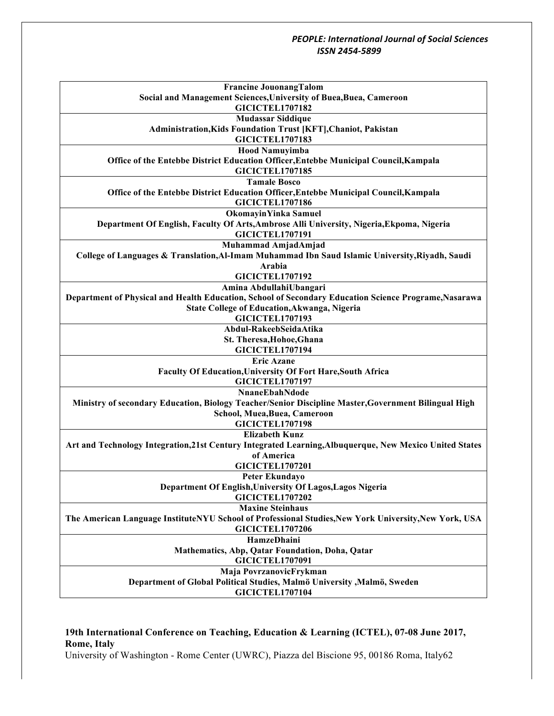| <b>Francine JouonangTalom</b>                                                                           |
|---------------------------------------------------------------------------------------------------------|
| Social and Management Sciences, University of Buea, Buea, Cameroon                                      |
| <b>GICICTEL1707182</b>                                                                                  |
| <b>Mudassar Siddique</b>                                                                                |
| Administration, Kids Foundation Trust [KFT], Chaniot, Pakistan                                          |
| <b>GICICTEL1707183</b>                                                                                  |
| <b>Hood Namuyimba</b>                                                                                   |
| Office of the Entebbe District Education Officer, Entebbe Municipal Council, Kampala                    |
| <b>GICICTEL1707185</b>                                                                                  |
| <b>Tamale Bosco</b>                                                                                     |
| Office of the Entebbe District Education Officer, Entebbe Municipal Council, Kampala                    |
| <b>GICICTEL1707186</b>                                                                                  |
| <b>OkomayinYinka Samuel</b>                                                                             |
| Department Of English, Faculty Of Arts, Ambrose Alli University, Nigeria, Ekpoma, Nigeria               |
| <b>GICICTEL1707191</b>                                                                                  |
| Muhammad AmjadAmjad                                                                                     |
| College of Languages & Translation, Al-Imam Muhammad Ibn Saud Islamic University, Riyadh, Saudi         |
| Arabia                                                                                                  |
| <b>GICICTEL1707192</b>                                                                                  |
| Amina AbdullahiUbangari                                                                                 |
| Department of Physical and Health Education, School of Secondary Education Science Programe, Nasarawa   |
| State College of Education, Akwanga, Nigeria<br><b>GICICTEL1707193</b>                                  |
| Abdul-RakeebSeidaAtika                                                                                  |
| St. Theresa, Hohoe, Ghana                                                                               |
| <b>GICICTEL1707194</b>                                                                                  |
| <b>Eric Azane</b>                                                                                       |
| <b>Faculty Of Education, University Of Fort Hare, South Africa</b>                                      |
| <b>GICICTEL1707197</b>                                                                                  |
| NnaneEbahNdode                                                                                          |
| Ministry of secondary Education, Biology Teacher/Senior Discipline Master, Government Bilingual High    |
| School, Muea, Buea, Cameroon                                                                            |
| <b>GICICTEL1707198</b>                                                                                  |
| <b>Elizabeth Kunz</b>                                                                                   |
| Art and Technology Integration, 21st Century Integrated Learning, Albuquerque, New Mexico United States |
| of America                                                                                              |
| <b>GICICTEL1707201</b>                                                                                  |
| Peter Ekundayo                                                                                          |
| Department Of English, University Of Lagos, Lagos Nigeria                                               |
| <b>GICICTEL1707202</b>                                                                                  |
| <b>Maxine Steinhaus</b>                                                                                 |
| The American Language InstituteNYU School of Professional Studies, New York University, New York, USA   |
| <b>GICICTEL1707206</b>                                                                                  |
| <b>HamzeDhaini</b>                                                                                      |
| Mathematics, Abp, Qatar Foundation, Doha, Qatar                                                         |
| <b>GICICTEL1707091</b>                                                                                  |
| Maja PovrzanovicFrykman                                                                                 |
| Department of Global Political Studies, Malmö University , Malmö, Sweden                                |
| <b>GICICTEL1707104</b>                                                                                  |

# **19th International Conference on Teaching, Education & Learning (ICTEL), 07-08 June 2017, Rome, Italy**